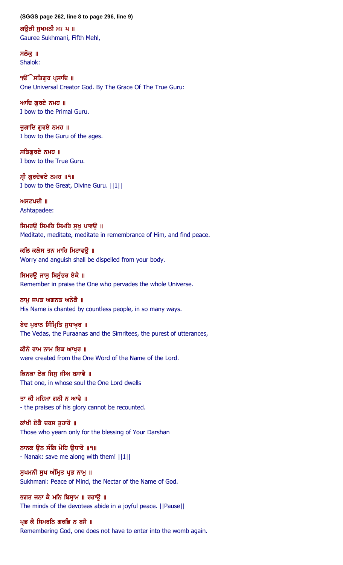#### **(SGGS page 262, line 8 to page 296, line 9)**

ਗਉੜੀ ਸੁਖਮਨੀ ਮਃ ੫ ॥ Gauree Sukhmani, Fifth Mehl,

ਸਲੋਕ ॥ Shalok:

੧**ੳੇਸਤਿਗੁਰ ਪ੍ਰਸਾਦਿ** ॥ One Universal Creator God. By The Grace Of The True Guru:

ਆਦਿ ਗਰਏ ਨਮਹ $\parallel$ I bow to the Primal Guru.

ਜੁਗਾਦਿ ਗੁਰਏ ਨਮਹ ॥ I bow to the Guru of the ages.

ਸਤਿਗੁਰਏ ਨਮਹ ॥ I bow to the True Guru.

ਸੀ ਗਰਦੇਵਏ ਨਮਹ ॥੧॥ I bow to the Great, Divine Guru. ||1||

ਅਸਟਪਦੀ ॥ Ashtapadee:

ਸਿਮਰਉ ਸਿਮਰਿ ਸਿਮਰਿ ਸੁਖੁ ਪਾਵਉ ॥ Meditate, meditate, meditate in remembrance of Him, and find peace.

ਕਲਿ ਕਲੇਸ ਤਨ ਮਾਹਿ ਮਿਟਾਵੳ ॥ Worry and anguish shall be dispelled from your body.

ਸਿਮਰੳ ਜਾਸ ਬਿਸੰਭਰ ਏਕੈ ॥ Remember in praise the One who pervades the whole Universe.

ਨਾਮ ਜਪਤ ਅਗਨਤ ਅਨੇਕੈ ॥ His Name is chanted by countless people, in so many ways.

ਬੇਦ ਪੁਰਾਨ ਸਿੰਮ੍ਰਿਤਿ ਸੁਧਾਖ਼ਰ ॥ The Vedas, the Puraanas and the Simritees, the purest of utterances,

ਕੀਨੇ ਰਾਮ ਨਾਮ ਇਕ ਆਖ਼ਰ ॥ were created from the One Word of the Name of the Lord.

ਕਿਨਕਾ ਏਕ ਜਿਸੁ ਜੀਅ ਬਸਾਵੈ ॥ That one, in whose soul the One Lord dwells

ਤਾ ਕੀ ਮਹਿਮਾ ਗਨੀ ਨ ਆਵੈ ॥ - the praises of his glory cannot be recounted.

ਕਾਂਖੀ ਏਕੈ ਦਰਸ ਤਹਾਰੋ ॥ Those who yearn only for the blessing of Your Darshan

ਨਾਨਕ ੳਨ ਸੰਗਿ ਮੋਹਿ ੳਧਾਰੋ ॥੧॥ - Nanak: save me along with them! ||1||

ਸੁਖਮਨੀ ਸੁਖ ਅੰਮ੍ਰਿਤ ਪ੍ਰਭ ਨਾਮੁ ॥ Sukhmani: Peace of Mind, the Nectar of the Name of God.

ਭਗਤ ਜਨਾ ਕੈ ਮਨਿ ਬਿਸ੍ਰਾਮ ॥ ਰਹਾਉ ॥ The minds of the devotees abide in a joyful peace. ||Pause||

ਪ੍ਰਭ ਕੈ ਸਿਮਰਨਿ ਗਰਭਿ ਨ ਬਸੈ ॥ Remembering God, one does not have to enter into the womb again.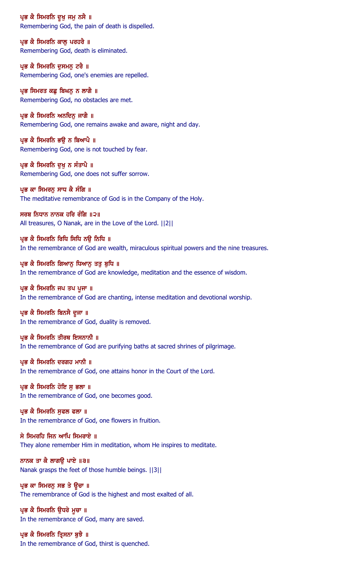ਪ੍ਰਭ ਕੈ ਸਿਮਰਨਿ ਦੁਖੁ ਜਮੁ ਨਸੈ ॥ Remembering God, the pain of death is dispelled.

ਪ੍ਰਭ ਕੈ ਸਿਮਰਨਿ ਕਾਲੂ ਪਰਹਰੈ ॥ Remembering God, death is eliminated.

ਪ੍ਰਭ ਕੈ ਸਿਮਰਨਿ ਦੁਸਮਨੁ ਟਰੈ ॥ Remembering God, one's enemies are repelled.

ਪ੍ਰਭ ਸਿਮਰਤ ਕਛੂ ਬਿਘਨੂ ਨ ਲਾਗੈ ॥ Remembering God, no obstacles are met.

ਪ੍ਰਭ ਕੈ ਸਿਮਰਨਿ ਅਨਦਿਨੁ ਜਾਗੈ ॥ Remembering God, one remains awake and aware, night and day.

ਪ੍ਰਭ ਕੈ ਸਿਮਰਨਿ ਭਉ ਨ ਬਿਆਪੈ ॥ Remembering God, one is not touched by fear.

ਪ੍ਰਭ ਕੈ ਸਿਮਰਨਿ ਦਖ ਨ ਸੰਤਾਪੈ ॥ Remembering God, one does not suffer sorrow.

ਪ੍ਰਭ ਕਾ ਸਿਮਰਨੂ ਸਾਧ ਕੈ ਸੰਗਿ ॥ The meditative remembrance of God is in the Company of the Holy.

ਸਰਬ ਨਿਧਾਨ ਨਾਨਕ ਹਰਿ ਰੰਗਿ ॥੨॥ All treasures, O Nanak, are in the Love of the Lord. ||2||

ਪ੍ਰਭ ਕੈ ਸਿਮਰਨਿ ਰਿਧਿ ਸਿਧਿ ਨੳ ਨਿਧਿ ॥ In the remembrance of God are wealth, miraculous spiritual powers and the nine treasures.

ਪ੍ਰਭ ਕੈ ਸਿਮਰਨਿ ਗਿਆਨੂ ਧਿਆਨੂ ਤਤੂ ਬੁਧਿ ॥ In the remembrance of God are knowledge, meditation and the essence of wisdom.

ਪ੍ਰਭ ਕੈ ਸਿਮਰਨਿ ਜਪ ਤਪ ਪੂਜਾ ॥ In the remembrance of God are chanting, intense meditation and devotional worship.

ਪ੍ਰਭ ਕੈ ਸਿਮਰਨਿ ਬਿਨਸੈ ਦੂਜਾ ॥ In the remembrance of God, duality is removed.

ਪ੍ਰਭ ਕੈ ਸਿਮਰਨਿ ਤੀਰਥ ਇਸਨਾਨੀ ॥ In the remembrance of God are purifying baths at sacred shrines of pilgrimage.

ਪ੍ਰਭ ਕੈ ਸਿਮਰਨਿ ਦਰਗਹ ਮਾਨੀ ॥ In the remembrance of God, one attains honor in the Court of the Lord.

ਪ੍ਰਭ ਕੈ ਸਿਮਰਨਿ ਹੋਇ ਸੁ ਭਲਾ ॥ In the remembrance of God, one becomes good.

ਪ੍ਰਭ ਕੈ ਸਿਮਰਨਿ ਸੁਫਲ ਫਲਾ ॥ In the remembrance of God, one flowers in fruition.

ਸੇ ਸਿਮਰਹਿ ਜਿਨ ਆਪਿ ਸਿਮਰਾਏ ॥ They alone remember Him in meditation, whom He inspires to meditate.

ਨਾਨਕ ਤਾ ਕੈ ਲਾਗਉ ਪਾਏ ॥੩॥ Nanak grasps the feet of those humble beings. ||3||

ਪ੍ਰਭ ਕਾ ਸਿਮਰਨ ਸਭ ਤੇ ਉਚਾ ॥ The remembrance of God is the highest and most exalted of all.

ਪ੍ਰਭ ਕੈ ਸਿਮਰਨਿ ਉਧਰੇ ਮੁਚਾ ॥ In the remembrance of God, many are saved.

ਪ੍ਰਭ ਕੈ ਸਿਮਰਨਿ ਤ੍ਰਿਸਨਾ ਬੁਝੈ ॥ In the remembrance of God, thirst is quenched.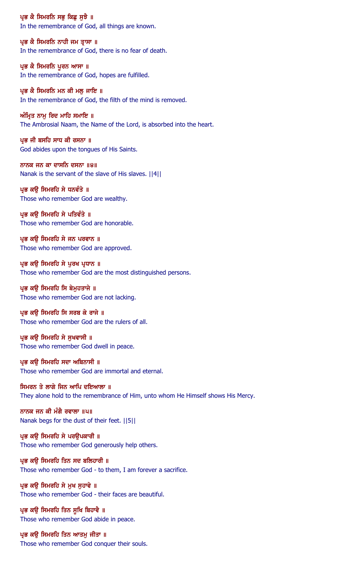ਪ੍ਰਭ ਕੈ ਸਿਮਰਨਿ ਸਭੂ ਕਿਛੂ ਸੂਝੈ ॥ In the remembrance of God, all things are known.

ਪ੍ਰਭ ਕੈ ਸਿਮਰਨਿ ਨਾਹੀ ਜਮ ਤ੍ਰਾਸਾ ॥ In the remembrance of God, there is no fear of death.

ਪ੍ਰਭ ਕੈ ਸਿਮਰਨਿ ਪੁਰਨ ਆਸਾ ॥ In the remembrance of God, hopes are fulfilled.

ਪ੍ਰਭ ਕੈ ਸਿਮਰਨਿ ਮਨ ਕੀ ਮਲੁ ਜਾਇ ॥ In the remembrance of God, the filth of the mind is removed.

ਅੰਮ੍ਰਿਤ ਨਾਮੂ ਰਿਦ ਮਾਹਿ ਸਮਾਇ ॥ The Ambrosial Naam, the Name of the Lord, is absorbed into the heart.

ਪ੍ਰਭ ਜੀ ਬਸਹਿ ਸਾਧ ਕੀ ਰਸਨਾ ॥ God abides upon the tongues of His Saints.

ਨਾਨਕ ਜਨ ਕਾ ਦਾਸਨਿ ਦਸਨਾ ॥੪॥ Nanak is the servant of the slave of His slaves. ||4||

ਪ੍ਰਭ ਕਉ ਸਿਮਰਹਿ ਸੇ ਧਨਵੰਤੇ ॥ Those who remember God are wealthy.

ਪ੍ਰਭ ਕਉ ਸਿਮਰਹਿ ਸੇ ਪਤਿਵੰਤੇ ॥ Those who remember God are honorable.

ਪ੍ਰਭ ਕੳ ਸਿਮਰਹਿ ਸੇ ਜਨ ਪਰਵਾਨ ॥ Those who remember God are approved.

ਪ੍ਰਭ ਕਉ ਸਿਮਰਹਿ ਸੇ ਪੁਰਖ ਪ੍ਰਧਾਨ ॥ Those who remember God are the most distinguished persons.

ਪ੍ਰਭ ਕਉ ਸਿਮਰਹਿ ਸਿ ਬੇਮੁਹਤਾਜੇ ॥ Those who remember God are not lacking.

ਪ੍ਰਭ ਕੳ ਸਿਮਰਹਿ ਸਿ ਸਰਬ ਕੇ ਰਾਜੇ ॥ Those who remember God are the rulers of all.

ਪ੍ਰਭ ਕਉ ਸਿਮਰਹਿ ਸੇ ਸੁਖਵਾਸੀ ॥ Those who remember God dwell in peace.

ਪ੍ਰਭ ਕਉ ਸਿਮਰਹਿ ਸਦਾ ਅਬਿਨਾਸੀ ॥ Those who remember God are immortal and eternal.

ਸਿਮਰਨ ਤੇ ਲਾਗੇ ਜਿਨ ਆਪਿ ਦਇਆਲਾ ॥ They alone hold to the remembrance of Him, unto whom He Himself shows His Mercy.

ਨਾਨਕ ਜਨ ਕੀ ਮੰਗੈ ਰਵਾਲਾ ॥੫॥ Nanak begs for the dust of their feet. ||5||

ਪ੍ਰਭ ਕੳ ਸਿਮਰਹਿ ਸੇ ਪਰੳਪਕਾਰੀ ॥ Those who remember God generously help others.

ਪ੍ਰਭ ਕਉ ਸਿਮਰਹਿ ਤਿਨ ਸਦ ਬਲਿਹਾਰੀ ॥ Those who remember God - to them, I am forever a sacrifice.

ਪ੍ਰਭ ਕਉ ਸਿਮਰਹਿ ਸੇ ਮੁਖ ਸੁਹਾਵੇ ॥ Those who remember God - their faces are beautiful.

ਪ੍ਰਭ ਕਉ ਸਿਮਰਹਿ ਤਿਨ ਸੁਖਿ ਬਿਹਾਵੈ ॥ Those who remember God abide in peace.

ਪ੍ਰਭ ਕਉ ਸਿਮਰਹਿ ਤਿਨ ਆਤਮੁ ਜੀਤਾ ॥ Those who remember God conquer their souls.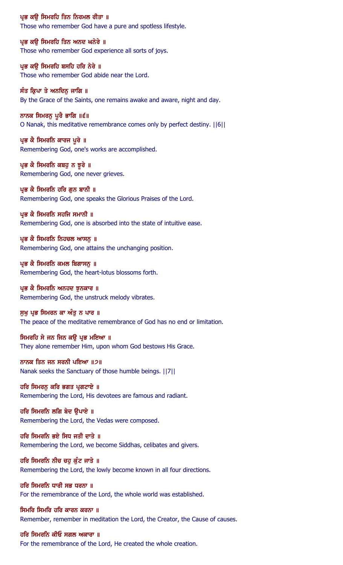#### ਪ੍ਰਭ ਕਉ ਸਿਮਰਹਿ ਤਿਨ ਨਿਰਮਲ ਰੀਤਾ ॥

Those who remember God have a pure and spotless lifestyle.

ਪ੍ਰਭ ਕਉ ਸਿਮਰਹਿ ਤਿਨ ਅਨਦ ਘਨੇਰੇ ॥ Those who remember God experience all sorts of joys.

ਪ੍ਰਭ ਕਉ ਸਿਮਰਹਿ ਬਸਹਿ ਹਰਿ ਨੇਰੇ ॥ Those who remember God abide near the Lord.

ਸੰਤ ਕਿ੍ਪਾ ਤੇ ਅਨਦਿਨ ਜਾਗਿ ॥ By the Grace of the Saints, one remains awake and aware, night and day.

ਨਾਨਕ ਸਿਮਰਨੂ ਪੂਰੈ ਭਾਗਿ ॥੬॥ O Nanak, this meditative remembrance comes only by perfect destiny. ||6||

ਪ੍ਰਭ ਕੈ ਸਿਮਰਨਿ ਕਾਰਜ ਪੂਰੇ ॥ Remembering God, one's works are accomplished.

ਪ੍ਰਭ ਕੈ ਸਿਮਰਨਿ ਕਬਹੁ ਨ ਝੁਰੇ ॥ Remembering God, one never grieves.

ਪ੍ਰਭ ਕੈ ਸਿਮਰਨਿ ਹਰਿ ਗੁਨ ਬਾਨੀ ॥ Remembering God, one speaks the Glorious Praises of the Lord.

## ਪ੍ਰਭ ਕੈ ਸਿਮਰਨਿ ਸਹਜਿ ਸਮਾਨੀ ॥

Remembering God, one is absorbed into the state of intuitive ease.

ਪ੍ਰਭ ਕੈ ਸਿਮਰਨਿ ਨਿਹਚਲ ਆਸਨ ॥ Remembering God, one attains the unchanging position.

ਪ੍ਰਭ ਕੈ ਸਿਮਰਨਿ ਕਮਲ ਬਿਗਾਸਨੂ ॥ Remembering God, the heart-lotus blossoms forth.

### ਪ੍ਰਭ ਕੈ ਸਿਮਰਨਿ ਅਨਹਦ ਝੁਨਕਾਰ ॥ Remembering God, the unstruck melody vibrates.

ਸੁਖੁ ਪ੍ਰਭ ਸਿਮਰਨ ਕਾ ਅੰਤੁ ਨ ਪਾਰ ॥ The peace of the meditative remembrance of God has no end or limitation.

### ਸਿਮਰਹਿ ਸੇ ਜਨ ਜਿਨ ਕਉ ਪ੍ਰਭ ਮਇਆ ॥

They alone remember Him, upon whom God bestows His Grace.

## ਨਾਨਕ ਤਿਨ ਜਨ ਸਰਨੀ ਪਇਆ ॥੭॥

Nanak seeks the Sanctuary of those humble beings. ||7||

#### ਹਰਿ ਸਿਮਰਨੂ ਕਰਿ ਭਗਤ ਪ੍ਰਗਟਾਏ ॥ Remembering the Lord, His devotees are famous and radiant.

ਹਰਿ ਸਿਮਰਨਿ ਲਗਿ ਬੇਦ ਉਪਾਏ ॥ Remembering the Lord, the Vedas were composed.

ਹਰਿ ਸਿਮਰਨਿ ਭਏ ਸਿਧ ਜਤੀ ਦਾਤੇ ॥ Remembering the Lord, we become Siddhas, celibates and givers.

ਹਰਿ ਸਿਮਰਨਿ ਨੀਚ ਚਹੁ ਕੁੰਟ ਜਾਤੇ ॥ Remembering the Lord, the lowly become known in all four directions.

ਹਰਿ ਸਿਮਰਨਿ ਧਾਰੀ ਸਭ ਧਰਨਾ ॥ For the remembrance of the Lord, the whole world was established.

## ਸਿਮਰਿ ਸਿਮਰਿ ਹਰਿ ਕਾਰਨ ਕਰਨਾ ॥

Remember, remember in meditation the Lord, the Creator, the Cause of causes.

#### ਹਰਿ ਸਿਮਰਨਿ ਕੀਓ ਸਗਲ ਅਕਾਰਾ ॥

For the remembrance of the Lord, He created the whole creation.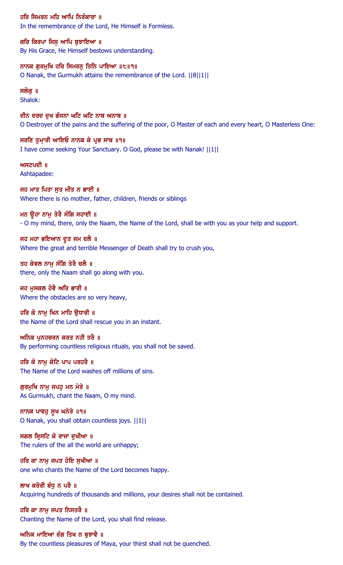ਹਰਿ ਸਿਮਰਨ ਮਹਿ ਆਪਿ ਨਿਰੰਕਾਰਾ ॥ In the remembrance of the Lord, He Himself is Formless.

ਕਰਿ ਕਿਰਪਾ ਜਿਸੁ ਆਪਿ ਬੁਝਾਇਆ ॥ By His Grace, He Himself bestows understanding.

ਨਾਨਕ ਗੁਰਮੁਖਿ ਹਰਿ ਸਿਮਰਨੂ ਤਿਨਿ ਪਾਇਆ ॥੮॥੧॥ O Nanak, the Gurmukh attains the remembrance of the Lord. ||8||1||

ਸਲੋਕੁ ॥ Shalok:

ਦੀਨ ਦਰਦ ਦੁਖ ਭੰਜਨਾ ਘਟਿ ਘਟਿ ਨਾਥ ਅਨਾਥ ॥ O Destroyer of the pains and the suffering of the poor, O Master of each and every heart, O Masterless One:

ਸਰਣਿ ਤੁਮਾਰੀ ਆਇਓ ਨਾਨਕ ਕੇ ਪ੍ਰਭ ਸਾਥ ॥੧॥ I have come seeking Your Sanctuary. O God, please be with Nanak! ||1||

ਅਸਟਪਦੀ ॥ Ashtapadee:

ਜਹ ਮਾਤ ਪਿਤਾ ਸੁਤ ਮੀਤ ਨ ਭਾਈ ॥ Where there is no mother, father, children, friends or siblings

ਮਨ ਉਹਾ ਨਾਮੂ ਤੇਰੈ ਸੰਗਿ ਸਹਾਈ ॥

- O my mind, there, only the Naam, the Name of the Lord, shall be with you as your help and support.

ਜਹ ਮਹਾ ਭਇਆਨ ਦੂਤ ਜਮ ਦਲੈ ॥ Where the great and terrible Messenger of Death shall try to crush you,

ਤਹ ਕੇਵਲ ਨਾਮੂ ਸੰਗਿ ਤੇਰੈ ਚਲੈ ॥ there, only the Naam shall go along with you.

ਜਹ ਮਸਕਲ ਹੋਵੈ ਅਤਿ ਭਾਰੀ ॥ Where the obstacles are so very heavy,

ਹਰਿ ਕੋ ਨਾਮ ਖਿਨ ਮਾਹਿ ੳਧਾਰੀ ॥ the Name of the Lord shall rescue you in an instant.

ਅਨਿਕ ਪੁਨਹਚਰਨ ਕਰਤ ਨਹੀ ਤਰੈ ॥ By performing countless religious rituals, you shall not be saved.

ਹਰਿ ਕੋ ਨਾਮੁ ਕੋਟਿ ਪਾਪ ਪਰਹਰੈ ॥ The Name of the Lord washes off millions of sins.

ਗੁਰਮੁਖਿ ਨਾਮੁ ਜਪਹੁ ਮਨ ਮੇਰੇ ॥ As Gurmukh, chant the Naam, O my mind.

ਨਾਨਕ ਪਾਵਹੁ ਸੁਖ ਘਨੇਰੇ ॥੧॥ O Nanak, you shall obtain countless joys. ||1||

ਸਗਲ ਸਿਸਟਿ ਕੋ ਰਾਜਾ ਦਖੀਆ ॥ The rulers of the all the world are unhappy;

ਹਰਿ ਕਾ ਨਾਮੂ ਜਪਤ ਹੋਇ ਸੁਖੀਆ ॥ one who chants the Name of the Lord becomes happy.

ਲਾਖ ਕਰੋਰੀ ਬੰਧ ਨ ਪਰੈ ॥ Acquiring hundreds of thousands and millions, your desires shall not be contained.

ਹਰਿ ਕਾ ਨਾਮ ਜਪਤ ਨਿਸਤਰੈ ॥ Chanting the Name of the Lord, you shall find release.

ਅਨਿਕ ਮਾਇਆ ਰੰਗ ਤਿਖ ਨ ਬੁਝਾਵੈ ॥ By the countless pleasures of Maya, your thirst shall not be quenched.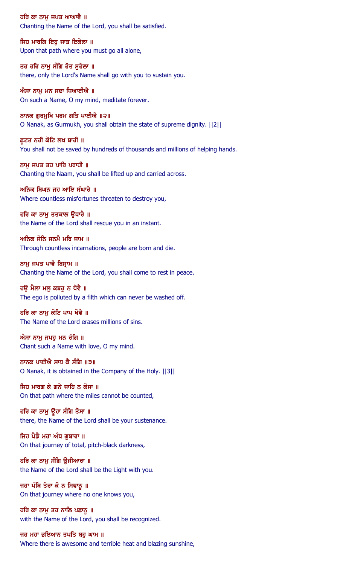ਹਰਿ ਕਾ ਨਾਮ ਜਪਤ ਆਘਾਵੈ ॥ Chanting the Name of the Lord, you shall be satisfied.

ਜਿਹ ਮਾਰਗਿ ਇਹ ਜਾਤ ਇਕੇਲਾ ॥ Upon that path where you must go all alone,

ਤਹ ਹਰਿ ਨਾਮੂ ਸੰਗਿ ਹੋਤ ਸੁਹੇਲਾ ॥ there, only the Lord's Name shall go with you to sustain you.

ਐਸਾ ਨਾਮੂ ਮਨ ਸਦਾ ਧਿਆਈਐ ॥ On such a Name, O my mind, meditate forever.

ਨਾਨਕ ਗੁਰਮੁਖਿ ਪਰਮ ਗਤਿ ਪਾਈਐ ॥੨॥ O Nanak, as Gurmukh, you shall obtain the state of supreme dignity. ||2||

ਛੁਟਤ ਨਹੀ ਕੋਟਿ ਲਖ ਬਾਹੀ ॥ You shall not be saved by hundreds of thousands and millions of helping hands.

ਨਾਮ ਜਪਤ ਤਹ ਪਾਰਿ ਪਰਾਹੀ ॥ Chanting the Naam, you shall be lifted up and carried across.

ਅਨਿਕ ਬਿਘਨ ਜਹ ਆਇ ਸੰਘਾਰੈ ॥ Where countless misfortunes threaten to destroy you,

ਹਰਿ ਕਾ ਨਾਮੂ ਤਤਕਾਲ ਉਧਾਰੈ ॥ the Name of the Lord shall rescue you in an instant.

ਅਨਿਕ ਜੋਨਿ ਜਨਮੈ ਮਰਿ ਜਾਮ ॥ Through countless incarnations, people are born and die.

ਨਾਮੁ ਜਪਤ ਪਾਵੈ ਬਿਸ੍ਰਾਮ ॥ Chanting the Name of the Lord, you shall come to rest in peace.

ਹੳ ਮੈਲਾ ਮਲ ਕਬਹ ਨ ਧੋਵੈ ॥ The ego is polluted by a filth which can never be washed off.

ਹਰਿ ਕਾ ਨਾਮ ਕੋਟਿ ਪਾਪ ਖੋਵੈ ॥ The Name of the Lord erases millions of sins.

ਐਸਾ ਨਾਮੂ ਜਪਹੂ ਮਨ ਰੰਗਿ ॥ Chant such a Name with love, O my mind.

ਨਾਨਕ ਪਾਈਐ ਸਾਧ ਕੈ ਸੰਗਿ ॥੩॥ O Nanak, it is obtained in the Company of the Holy. ||3||

ਜਿਹ ਮਾਰਗ ਕੇ ਗਨੇ ਜਾਹਿ ਨ ਕੋਸਾ ॥ On that path where the miles cannot be counted,

ਹਰਿ ਕਾ ਨਾਮੂ ਉਹਾ ਸੰਗਿ ਤੋਸਾ ॥ there, the Name of the Lord shall be your sustenance.

ਜਿਹ ਪੈਡੈ ਮਹਾ ਅੰਧ ਗਬਾਰਾ ॥ On that journey of total, pitch-black darkness,

ਹਰਿ ਕਾ ਨਾਮੂ ਸੰਗਿ ਉਜੀਆਰਾ ॥ the Name of the Lord shall be the Light with you.

ਜਹਾ ਪੰਥਿ ਤੇਰਾ ਕੋ ਨ ਸਿਞਾਨੂ ॥ On that journey where no one knows you,

ਹਰਿ ਕਾ ਨਾਮੂ ਤਹ ਨਾਲਿ ਪਛਾਨੂ ॥ with the Name of the Lord, you shall be recognized.

ਜਹ ਮਹਾ ਭਇਆਨ ਤਪਤਿ ਬਹੁ ਘਾਮ ॥ Where there is awesome and terrible heat and blazing sunshine,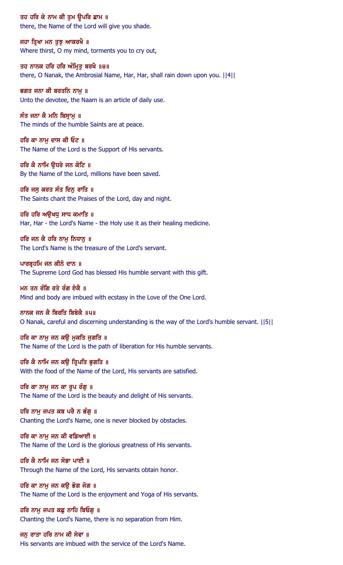ਤਹ ਹਰਿ ਕੇ ਨਾਮ ਕੀ ਤੁਮ ਉਪਰਿ ਛਾਮ ॥ there, the Name of the Lord will give you shade.

ਜਹਾ ਤ੍ਰਿਖਾ ਮਨ ਤੁਝੁ ਆਕਰਖੈ ॥ Where thirst, O my mind, torments you to cry out,

ਤਹ ਨਾਨਕ ਹਰਿ ਹਰਿ ਅੰਮ੍ਰਿਤੁ ਬਰਖੈ ॥੪॥ there, O Nanak, the Ambrosial Name, Har, Har, shall rain down upon you. ||4||

ਭਗਤ ਜਨਾ ਕੀ ਬਰਤਨਿ ਨਾਮੁ ॥ Unto the devotee, the Naam is an article of daily use.

ਸੰਤ ਜਨਾ ਕੈ ਮਨਿ ਬਿਸ੍ਰਾਮੁ ॥ The minds of the humble Saints are at peace.

ਹਰਿ ਕਾ ਨਾਮੂ ਦਾਸ ਕੀ ਓਟ ॥ The Name of the Lord is the Support of His servants.

ਹਰਿ ਕੈ ਨਾਮਿ ੳਧਰੇ ਜਨ ਕੋਟਿ ॥ By the Name of the Lord, millions have been saved.

ਹਰਿ ਜਸੁ ਕਰਤ ਸੰਤ ਦਿਨੁ ਰਾਤਿ ॥ The Saints chant the Praises of the Lord, day and night.

ਹਰਿ ਹਰਿ ਅੳਖਧ ਸਾਧ ਕਮਾਤਿ ॥ Har, Har - the Lord's Name - the Holy use it as their healing medicine.

ਹਰਿ ਜਨ ਕੈ ਹਰਿ ਨਾਮ ਨਿਧਾਨ ॥ The Lord's Name is the treasure of the Lord's servant.

ਪਾਰਬ੍ਰਹਮਿ ਜਨ ਕੀਨੋ ਦਾਨ ॥ The Supreme Lord God has blessed His humble servant with this gift.

ਮਨ ਤਨ ਰੰਗਿ ਰਤੇ ਰੰਗ ਏਕੈ ॥ Mind and body are imbued with ecstasy in the Love of the One Lord.

ਨਾਨਕ ਜਨ ਕੈ ਬਿਰਤਿ ਬਿਬੇਕੈ ॥੫॥ O Nanak, careful and discerning understanding is the way of the Lord's humble servant. ||5||

ਹਰਿ ਕਾ ਨਾਮੁ ਜਨ ਕਉ ਮੁਕਤਿ ਜੁਗਤਿ ॥ The Name of the Lord is the path of liberation for His humble servants.

ਹਰਿ ਕੈ ਨਾਮਿ ਜਨ ਕਉ ਤ੍ਰਿਪਤਿ ਭੁਗਤਿ ॥ With the food of the Name of the Lord, His servants are satisfied.

ਹਰਿ ਕਾ ਨਾਮੂ ਜਨ ਕਾ ਰੂਪ ਰੰਗੂ ॥ The Name of the Lord is the beauty and delight of His servants.

ਹਰਿ ਨਾਮੂ ਜਪਤ ਕਬ ਪਰੈ ਨ ਭੰਗੂ ॥ Chanting the Lord's Name, one is never blocked by obstacles.

ਹਰਿ ਕਾ ਨਾਮ ਜਨ ਕੀ ਵਡਿਆਈ ॥ The Name of the Lord is the glorious greatness of His servants.

ਹਰਿ ਕੈ ਨਾਮਿ ਜਨ ਸੋਭਾ ਪਾਈ ॥ Through the Name of the Lord, His servants obtain honor.

ਹਰਿ ਕਾ ਨਾਮੂ ਜਨ ਕਉ ਭੋਗ ਜੋਗ ॥ The Name of the Lord is the enjoyment and Yoga of His servants.

ਹਰਿ ਨਾਮ ਜਪਤ ਕਛ ਨਾਹਿ ਬਿਓਗ ॥ Chanting the Lord's Name, there is no separation from Him.

ਜਨੂ ਰਾਤਾ ਹਰਿ ਨਾਮ ਕੀ ਸੇਵਾ ॥ His servants are imbued with the service of the Lord's Name.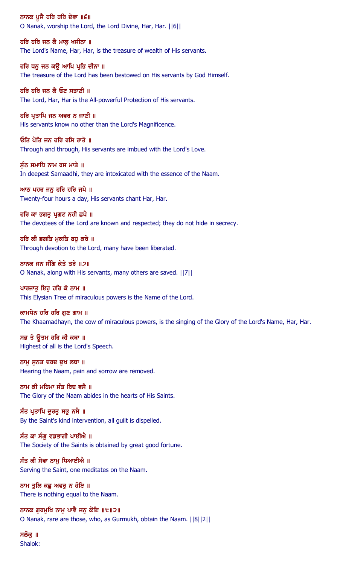ਨਾਨਕ ਪੂਜੈ ਹਰਿ ਹਰਿ ਦੇਵਾ ॥੬॥ O Nanak, worship the Lord, the Lord Divine, Har, Har. ||6||

ਹਰਿ ਹਰਿ ਜਨ ਕੈ ਮਾਲ ਖਜੀਨਾ ॥ The Lord's Name, Har, Har, is the treasure of wealth of His servants.

ਹਰਿ ਧਨੁ ਜਨ ਕਉ ਆਪਿ ਪ੍ਰਭਿ ਦੀਨਾ ॥ The treasure of the Lord has been bestowed on His servants by God Himself.

ਹਰਿ ਹਰਿ ਜਨ ਕੈ ਓਟ ਸਤਾਣੀ ॥ The Lord, Har, Har is the All-powerful Protection of His servants.

ਹਰਿ ਪ੍ਰਤਾਪਿ ਜਨ ਅਵਰ ਨ ਜਾਣੀ ॥ His servants know no other than the Lord's Magnificence.

ਓਂਤਿ ਪੋਤਿ ਜਨ ਹਰਿ ਰਸਿ ਰਾਤੇ ॥ Through and through, His servants are imbued with the Lord's Love.

ਸੰਨ ਸਮਾਧਿ ਨਾਮ ਰਸ ਮਾਤੇ ॥ In deepest Samaadhi, they are intoxicated with the essence of the Naam.

ਆਠ ਪਹਰ ਜਨੁ ਹਰਿ ਹਰਿ ਜਪੈ ॥ Twenty-four hours a day, His servants chant Har, Har.

ਹਰਿ ਕਾ ਭਗਤੂ ਪ੍ਰਗਟ ਨਹੀ ਛਪੈ ॥

The devotees of the Lord are known and respected; they do not hide in secrecy.

ਹਰਿ ਕੀ ਭਗਤਿ ਮਕਤਿ ਬਹ ਕਰੇ ॥ Through devotion to the Lord, many have been liberated.

ਨਾਨਕ ਜਨ ਸੰਗਿ ਕੇਤੇ ਤਰੇ ॥੭॥ O Nanak, along with His servants, many others are saved. ||7||

ਪਾਰਜਾਤ ਇਹ ਹਰਿ ਕੋ ਨਾਮ ॥ This Elysian Tree of miraculous powers is the Name of the Lord.

ਕਾਮਧੇਨ ਹਰਿ ਹਰਿ ਗਣ ਗਾਮ ॥

The Khaamadhayn, the cow of miraculous powers, is the singing of the Glory of the Lord's Name, Har, Har.

ਸਭ ਤੇ ਉਤਮ ਹਰਿ ਕੀ ਕਥਾ ॥ Highest of all is the Lord's Speech.

ਨਾਮੁ ਸੁਨਤ ਦਰਦ ਦੁਖ ਲਥਾ ॥ Hearing the Naam, pain and sorrow are removed.

ਨਾਮ ਕੀ ਮਹਿਮਾ ਸੰਤ ਰਿਦ ਵਸੈ ॥ The Glory of the Naam abides in the hearts of His Saints.

ਸੰਤ ਪ੍ਰਤਾਪਿ ਦੁਰਤੂ ਸਭੂ ਨਸੈ ॥ By the Saint's kind intervention, all guilt is dispelled.

ਸੰਤ ਕਾ ਸੰਗ ਵਡਭਾਗੀ ਪਾਈਐ ॥ The Society of the Saints is obtained by great good fortune.

ਸੰਤ ਕੀ ਸੇਵਾ ਨਾਮੂ ਧਿਆਈਐ ॥ Serving the Saint, one meditates on the Naam.

ਨਾਮ ਤੁਲਿ ਕਛ ਅਵਰੁ ਨ ਹੋਇ ॥ There is nothing equal to the Naam.

ਨਾਨਕ ਗਰਮਖਿ ਨਾਮ ਪਾਵੈ ਜਨ ਕੋਇ ॥੮॥੨॥ O Nanak, rare are those, who, as Gurmukh, obtain the Naam. ||8||2||

ਸਲੋਕ ॥ Shalok: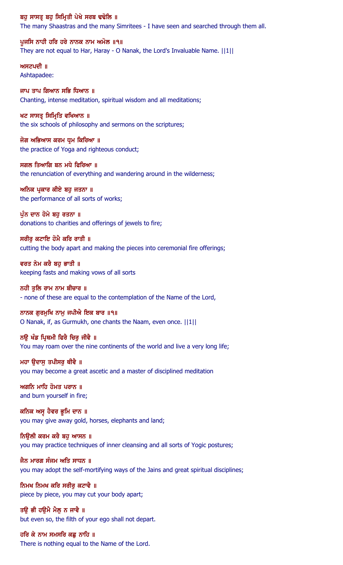ਬਹੁ ਸਾਸਤ੍ਰ ਬਹੁ ਸਿਮ੍ਰਿਤੀ ਪੇਖੇ ਸਰਬ ਢਢੋਲਿ ॥ The many Shaastras and the many Simritees - I have seen and searched through them all.

ਪੁਜਸਿ ਨਾਹੀ ਹਰਿ ਹਰੇ ਨਾਨਕ ਨਾਮ ਅਮੋਲ ॥੧॥ They are not equal to Har, Haray - O Nanak, the Lord's Invaluable Name. ||1||

ਅਸਟਪਦੀ ॥ Ashtapadee:

ਜਾਪ ਤਾਪ ਗਿਆਨ ਸਭਿ ਧਿਆਨ ॥ Chanting, intense meditation, spiritual wisdom and all meditations;

ਖਟ ਸਾਸਤ੍ਰ ਸਿਮ੍ਰਿਤਿ ਵਖਿਆਨ ॥ the six schools of philosophy and sermons on the scriptures;

ਜੋਗ ਅਭਿਆਸ ਕਰਮ ਧੁਮ ਕਿਰਿਆ ॥ the practice of Yoga and righteous conduct;

ਸਗਲ ਤਿਆਗਿ ਬਨ ਮਧੇ ਫਿਰਿਆ ॥ the renunciation of everything and wandering around in the wilderness;

ਅਨਿਕ ਪ੍ਰਕਾਰ ਕੀਏ ਬਹੁ ਜਤਨਾ ॥ the performance of all sorts of works;

ਪੁੰਨ ਦਾਨ ਹੋਮੇ ਬਹੁ ਰਤਨਾ ॥ donations to charities and offerings of jewels to fire;

ਸਰੀਰ ਕਟਾਇ ਹੋਮੈ ਕਰਿ ਰਾਤੀ ॥ cutting the body apart and making the pieces into ceremonial fire offerings;

ਵਰਤ ਨੇਮ ਕਰੈ ਬਹ ਭਾਤੀ ॥ keeping fasts and making vows of all sorts

ਨਹੀ ਤਲਿ ਰਾਮ ਨਾਮ ਬੀਚਾਰ ॥ - none of these are equal to the contemplation of the Name of the Lord,

ਨਾਨਕ ਗਰਮਖਿ ਨਾਮ ਜਪੀਐ ਇਕ ਬਾਰ ॥੧॥ O Nanak, if, as Gurmukh, one chants the Naam, even once. ||1||

ਨਉ ਖੰਡ ਪ੍ਰਿਥਮੀ ਫਿਰੈ ਚਿਰੁ ਜੀਵੈ ॥ You may roam over the nine continents of the world and live a very long life;

ਮਹਾ ਉਦਾਸੁ ਤਪੀਸਰੁ ਥੀਵੈ ॥ you may become a great ascetic and a master of disciplined meditation

ਅਗਨਿ ਮਾਹਿ ਹੋਮਤ ਪਰਾਨ ॥ and burn yourself in fire;

ਕਨਿਕ ਅਸੁ ਹੈਵਰ ਭੂਮਿ ਦਾਨ ॥ you may give away gold, horses, elephants and land;

ਨਿੳਲੀ ਕਰਮ ਕਰੈ ਬਹ ਆਸਨ ॥ you may practice techniques of inner cleansing and all sorts of Yogic postures;

ਜੈਨ ਮਾਰਗ ਸੰਜਮ ਅਤਿ ਸਾਧਨ ॥ you may adopt the self-mortifying ways of the Jains and great spiritual disciplines;

ਨਿਮਖ ਨਿਮਖ ਕਰਿ ਸਰੀਰ ਕਟਾਵੈ ॥ piece by piece, you may cut your body apart;

ਤੳ ਭੀ ਹੳਮੈ ਮੈਲ ਨ ਜਾਵੈ ॥ but even so, the filth of your ego shall not depart.

ਹਰਿ ਕੇ ਨਾਮ ਸਮਸਰਿ ਕਛੂ ਨਾਹਿ ॥ There is nothing equal to the Name of the Lord.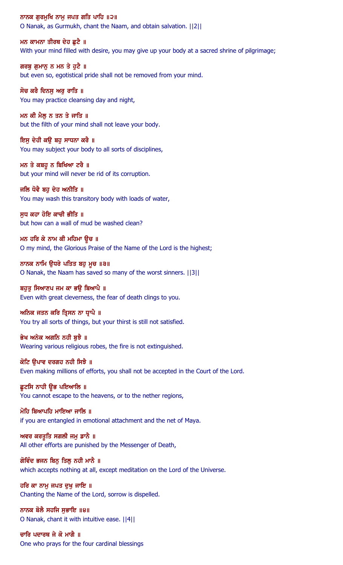ਨਾਨਕ ਗੁਰਮੁਖਿ ਨਾਮੂ ਜਪਤ ਗਤਿ ਪਾਹਿ ॥੨॥ O Nanak, as Gurmukh, chant the Naam, and obtain salvation. ||2||

ਮਨ ਕਾਮਨਾ ਤੀਰਥ ਦੇਹ ਛਟੈ ॥ With your mind filled with desire, you may give up your body at a sacred shrine of pilgrimage;

ਗਰਬੂ ਗੁਮਾਨੂ ਨ ਮਨ ਤੇ ਹੁਟੈ ॥ but even so, egotistical pride shall not be removed from your mind.

ਸੋਚ ਕਰੈ ਦਿਨਸੁ ਅਰੁ ਰਾਤਿ ॥ You may practice cleansing day and night,

ਮਨ ਕੀ ਮੈਲੂ ਨ ਤਨ ਤੇ ਜਾਤਿ ॥ but the filth of your mind shall not leave your body.

ਇਸੂ ਦੇਹੀ ਕਉ ਬਹੁ ਸਾਧਨਾ ਕਰੈ ॥ You may subject your body to all sorts of disciplines,

ਮਨ ਤੇ ਕਬਹੁ ਨ ਬਿਖਿਆ ਟਰੈ ॥ but your mind will never be rid of its corruption.

ਜਲਿ ਧੋਵੈ ਬਹੁ ਦੇਹ ਅਨੀਤਿ ॥ You may wash this transitory body with loads of water,

ਸੁਧ ਕਹਾ ਹੋਇ ਕਾਚੀ ਭੀਤਿ ॥ but how can a wall of mud be washed clean?

ਮਨ ਹਰਿ ਕੇ ਨਾਮ ਕੀ ਮਹਿਮਾ ਉਚ ॥ O my mind, the Glorious Praise of the Name of the Lord is the highest;

ਨਾਨਕ ਨਾਮਿ ਉਧਰੇ ਪਤਿਤ ਬਹੁ ਮੂਚ ॥੩॥ O Nanak, the Naam has saved so many of the worst sinners. ||3||

ਬਹਤ ਸਿਆਣਪ ਜਮ ਕਾ ਭੳ ਬਿਆਪੈ ॥ Even with great cleverness, the fear of death clings to you.

ਅਨਿਕ ਜਤਨ ਕਰਿ ਤ੍ਰਿਸਨ ਨਾ ਧ੍ਰਾਪੈ ॥ You try all sorts of things, but your thirst is still not satisfied.

ਭੇਖ ਅਨੇਕ ਅਗਨਿ ਨਹੀ ਬੁਝੈ ॥ Wearing various religious robes, the fire is not extinguished.

ਕੋਟਿ ਉਪਾਵ ਦਰਗਹ ਨਹੀ ਸਿਝੈ ॥ Even making millions of efforts, you shall not be accepted in the Court of the Lord.

ਛੁਟਸਿ ਨਾਹੀ ਉਭ ਪਇਆਲਿ ॥ You cannot escape to the heavens, or to the nether regions,

ਮੋਹਿ ਬਿਆਪਹਿ ਮਾਇਆ ਜਾਲਿ ॥ if you are entangled in emotional attachment and the net of Maya.

ਅਵਰ ਕਰਤੁਤਿ ਸਗਲੀ ਜਮ ਡਾਨੈ ॥ All other efforts are punished by the Messenger of Death,

ਗੋਵਿੰਦ ਭਜਨ ਬਿਨੂ ਤਿਲੂ ਨਹੀ ਮਾਨੈ ॥ which accepts nothing at all, except meditation on the Lord of the Universe.

ਹਰਿ ਕਾ ਨਾਮੂ ਜਪਤ ਦੁਖੂ ਜਾਇ ॥ Chanting the Name of the Lord, sorrow is dispelled.

ਨਾਨਕ ਬੋਲੈ ਸਹਜਿ ਸਭਾਇ ॥੪॥ O Nanak, chant it with intuitive ease. ||4||

ਚਾਰਿ ਪਦਾਰਥ ਜੇ ਕੋ ਮਾਗੈ ॥ One who prays for the four cardinal blessings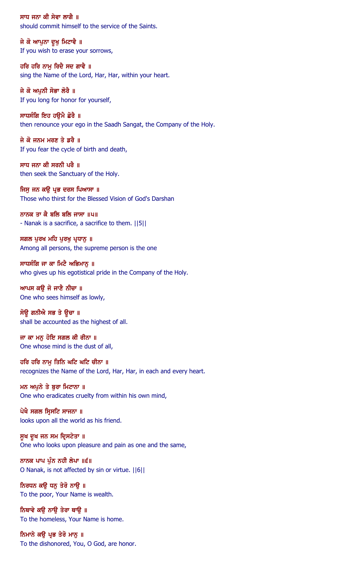ਸਾਧ ਜਨਾ ਕੀ ਸੇਵਾ ਲਾਗੈ ॥ should commit himself to the service of the Saints.

ਜੇ ਕੋ ਆਪੁਨਾ ਦੁਖੁ ਮਿਟਾਵੈ ॥ If you wish to erase your sorrows,

ਹਰਿ ਹਰਿ ਨਾਮੂ ਰਿਦੈ ਸਦ ਗਾਵੈ ॥ sing the Name of the Lord, Har, Har, within your heart.

ਜੇ ਕੋ ਅਪਨੀ ਸੋਭਾ ਲੋਰੈ ॥ If you long for honor for yourself,

ਸਾਧਸੰਗਿ ਇਹ ਹਉਮੈ ਛੋਰੈ ॥ then renounce your ego in the Saadh Sangat, the Company of the Holy.

ਜੇ ਕੋ ਜਨਮ ਮਰਣ ਤੇ ਡਰੈ ॥ If you fear the cycle of birth and death,

ਸਾਧ ਜਨਾ ਕੀ ਸਰਨੀ ਪਰੈ $\,$  ॥ then seek the Sanctuary of the Holy.

ਜਿਸੂ ਜਨ ਕਉ ਪ੍ਰਭ ਦਰਸ ਪਿਆਸਾ ॥ Those who thirst for the Blessed Vision of God's Darshan

ਨਾਨਕ ਤਾ ਕੈ ਬਲਿ ਬਲਿ ਜਾਸਾ ॥੫॥ - Nanak is a sacrifice, a sacrifice to them. ||5||

ਸਗਲ ਪਰਖ ਮਹਿ ਪਰਖ ਪ੍ਰਧਾਨ ॥ Among all persons, the supreme person is the one

ਸਾਧਸੰਗਿ ਜਾ ਕਾ ਮਿਟੈ ਅਭਿਮਾਨੂ ॥ who gives up his egotistical pride in the Company of the Holy.

ਆਪਸ ਕੳ ਜੋ ਜਾਣੈ ਨੀਚਾ ॥ One who sees himself as lowly,

ਸੋਉ ਗਨੀਐ ਸਭ ਤੇ ਉਚਾ ॥ shall be accounted as the highest of all.

ਜਾ ਕਾ ਮਨੁ ਹੋਇ ਸਗਲ ਕੀ ਰੀਨਾ ॥ One whose mind is the dust of all,

ਹਰਿ ਹਰਿ ਨਾਮੁ ਤਿਨਿ ਘਟਿ ਘਟਿ ਚੀਨਾ ॥ recognizes the Name of the Lord, Har, Har, in each and every heart.

ਮਨ ਅਪੁਨੇ ਤੇ ਬੁਰਾ ਮਿਟਾਨਾ ॥ One who eradicates cruelty from within his own mind,

ਪੇਖੈ ਸਗਲ ਸ੍ਰਿਸਟਿ ਸਾਜਨਾ ॥ looks upon all the world as his friend.

ਸੁਖ ਦੁਖ ਜਨ ਸਮ ਦ੍ਰਿਸਟੇਤਾ ॥ One who looks upon pleasure and pain as one and the same,

ਨਾਨਕ ਪਾਪ ਪੁੰਨ ਨਹੀ ਲੇਪਾ ॥੬॥ O Nanak, is not affected by sin or virtue. ||6||

ਨਿਰਧਨ ਕਉ ਧਨੂ ਤੇਰੋ ਨਾਉ ॥ To the poor, Your Name is wealth.

ਨਿਥਾਵੇ ਕੳ ਨਾੳ ਤੇਰਾ ਥਾੳ ॥ To the homeless, Your Name is home.

ਨਿਮਾਨੇ ਕਉ ਪ੍ਰਭ ਤੇਰੋ ਮਾਨੂ ॥ To the dishonored, You, O God, are honor.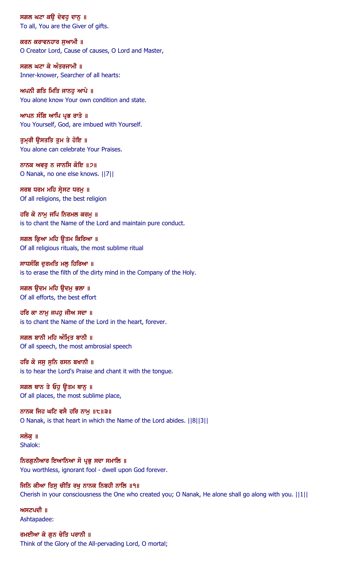ਸਗਲ ਘਟਾ ਕਉ ਦੇਵਹੁ ਦਾਨੂ ॥ To all, You are the Giver of gifts.

ਕਰਨ ਕਰਾਵਨਹਾਰ ਸਆਮੀ ॥ O Creator Lord, Cause of causes, O Lord and Master,

ਸਗਲ ਘਟਾ ਕੇ ਅੰਤਰਜਾਮੀ ॥ Inner-knower, Searcher of all hearts:

ਅਪਨੀ ਗਤਿ ਮਿਤਿ ਜਾਨਹੁ ਆਪੇ ॥ You alone know Your own condition and state.

ਆਪਨ ਸੰਗਿ ਆਪਿ ਪ੍ਰਭ ਰਾਤੇ ॥ You Yourself, God, are imbued with Yourself.

ਤੁਮਰੀ ਉਸਤਤਿ ਤੁਮ ਤੇ ਹੋਇ ॥ You alone can celebrate Your Praises.

ਨਾਨਕ ਅਵਰ ਨ ਜਾਨਸਿ ਕੋਇ ॥੭॥ O Nanak, no one else knows. ||7||

ਸਰਬ ਧਰਮ ਮਹਿ ਸ੍ਰੇਸਟ ਧਰਮੁ ॥ Of all religions, the best religion

ਹਰਿ ਕੋ ਨਾਮੂ ਜਪਿ ਨਿਰਮਲ ਕਰਮੂ ॥ is to chant the Name of the Lord and maintain pure conduct.

ਸਗਲ ਕਿਆ ਮਹਿ ਉਤਮ ਕਿਰਿਆ ॥ Of all religious rituals, the most sublime ritual

ਸਾਧਸੰਗਿ ਦੁਰਮਤਿ ਮਲੂ ਹਿਰਿਆ ॥ is to erase the filth of the dirty mind in the Company of the Holy.

ਸਗਲ ੳਦਮ ਮਹਿ ੳਦਮ ਭਲਾ ॥ Of all efforts, the best effort

ਹਰਿ ਕਾ ਨਾਮੁ ਜਪਹੁ ਜੀਅ ਸਦਾ ॥ is to chant the Name of the Lord in the heart, forever.

ਸਗਲ ਬਾਨੀ ਮਹਿ ਅੰਮ੍ਰਿਤ ਬਾਨੀ ॥ Of all speech, the most ambrosial speech

ਹਰਿ ਕੋ ਜਸੁ ਸੁਨਿ ਰਸਨ ਬਖਾਨੀ ॥ is to hear the Lord's Praise and chant it with the tongue.

ਸਗਲ ਥਾਨ ਤੇ ਓਹੁ ਊਤਮ ਥਾਨੁ ॥ Of all places, the most sublime place,

ਨਾਨਕ ਜਿਹ ਘਟਿ ਵਸੈ ਹਰਿ ਨਾਮੁ ॥੮॥੩॥ O Nanak, is that heart in which the Name of the Lord abides. ||8||3||

ਸਲੋਕ ॥ Shalok:

ਨਿਰਗੁਨੀਆਰ ਇਆਨਿਆ ਸੋ ਪ੍ਰਭੁ ਸਦਾ ਸਮਾਲਿ ॥ You worthless, ignorant fool - dwell upon God forever.

ਜਿਨਿ ਕੀਆ ਤਿਸੁ ਚੀਤਿ ਰਖੁ ਨਾਨਕ ਨਿਬਹੀ ਨਾਲਿ ॥੧॥ Cherish in your consciousness the One who created you; O Nanak, He alone shall go along with you. ||1||

ਅਸਟਪਦੀ $\parallel$   $\parallel$ Ashtapadee:

ਰਮਈਆ ਕੇ ਗੁਨ ਚੇਤਿ ਪਰਾਨੀ ॥ Think of the Glory of the All-pervading Lord, O mortal;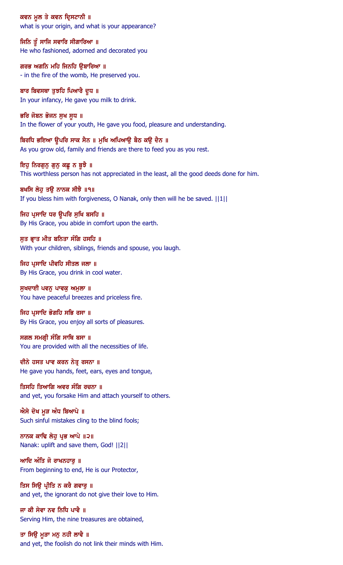ਕਵਨ ਮੁਲ ਤੇ ਕਵਨ ਦ੍ਰਿਸਟਾਨੀ ॥ what is your origin, and what is your appearance?

ਜਿਨਿ ਤੂੰ ਸਾਜਿ ਸਵਾਰਿ ਸੀਗਾਰਿਆ ॥ He who fashioned, adorned and decorated you

ਗਰਭ ਅਗਨਿ ਮਹਿ ਜਿਨਹਿ ਉਬਾਰਿਆ ॥ - in the fire of the womb, He preserved you.

ਬਾਰ ਬਿਵਸਥਾ ਤੁਝਹਿ ਪਿਆਰੈ ਦੁਧ ॥ In your infancy, He gave you milk to drink.

ਭਰਿ ਜੋਬਨ ਭੋਜਨ ਸੁਖ ਸੁਧ ॥ In the flower of your youth, He gave you food, pleasure and understanding.

ਬਿਰਧਿ ਭਇਆ ਉਪਰਿ ਸਾਕ ਸੈਨ ॥ ਮੁਖਿ ਅਪਿਆਉ ਬੈਠ ਕਉ ਦੈਨ ॥ As you grow old, family and friends are there to feed you as you rest.

ਇਹੂ ਨਿਰਗੁਨੂ ਗੁਨੂ ਕਛੂ ਨ ਬੂਝੈ ॥ This worthless person has not appreciated in the least, all the good deeds done for him.

ਬਖਸਿ ਲੇਹੂ ਤਉ ਨਾਨਕ ਸੀਝੈ ॥੧॥ If you bless him with forgiveness, O Nanak, only then will he be saved. ||1||

ਜਿਹ ਪ੍ਰਸਾਦਿ ਧਰ ਉਪਰਿ ਸੂਖਿ ਬਸਹਿ ॥ By His Grace, you abide in comfort upon the earth.

ਸਤ ਭਾਤ ਮੀਤ ਬਨਿਤਾ ਸੰਗਿ ਹਸਹਿ ॥ With your children, siblings, friends and spouse, you laugh.

ਜਿਹ ਪ੍ਰਸਾਦਿ ਪੀਵਹਿ ਸੀਤਲ ਜਲਾ ॥ By His Grace, you drink in cool water.

ਸੁਖਦਾਈ ਪਵਨੂ ਪਾਵਕੂ ਅਮੁਲਾ ॥ You have peaceful breezes and priceless fire.

ਜਿਹ ਪੁਸਾਦਿ ਭੋਗਹਿ ਸਭਿ ਰਸਾ ॥ By His Grace, you enjoy all sorts of pleasures.

ਸਗਲ ਸਮਗ੍ਰੀ ਸੰਗਿ ਸਾਥਿ ਬਸਾ ॥ You are provided with all the necessities of life.

ਦੀਨੇ ਹਸਤ ਪਾਵ ਕਰਨ ਨੇਤ੍ਰ ਰਸਨਾ ॥ He gave you hands, feet, ears, eyes and tongue,

ਤਿਸਹਿ ਤਿਆਗਿ ਅਵਰ ਸੰਗਿ ਰਚਨਾ ॥ and yet, you forsake Him and attach yourself to others.

ਐਸੇ ਦੋਖ ਮੁੜ ਅੰਧ ਬਿਆਪੇ ॥ Such sinful mistakes cling to the blind fools;

ਨਾਨਕ ਕਾਢਿ ਲੇਹ ਪ੍ਰਭ ਆਪੇ ॥੨॥ Nanak: uplift and save them, God! ||2||

ਆਦਿ ਅੰਤਿ ਜੋ ਰਾਖਨਹਾਰੁ ॥ From beginning to end, He is our Protector,

ਤਿਸ ਸਿਉ ਪ੍ਰੀਤਿ ਨ ਕਰੈ ਗਵਾਰੁ ॥ and yet, the ignorant do not give their love to Him.

ਜਾ ਕੀ ਸੇਵਾ ਨਵ ਨਿਧਿ ਪਾਵੈ ॥ Serving Him, the nine treasures are obtained,

ਤਾ ਸਿਉ ਮੁੜਾ ਮਨੁ ਨਹੀ ਲਾਵੈ ॥ and yet, the foolish do not link their minds with Him.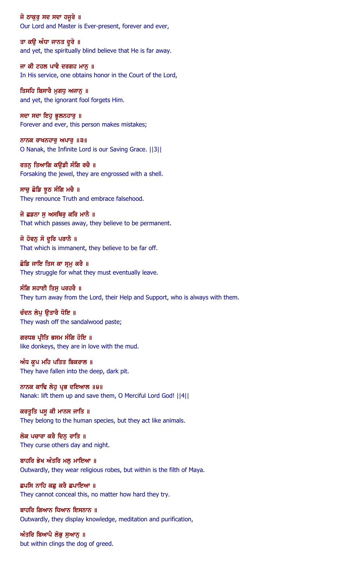ਜੋ ਠਾਕੁਰੂ ਸਦ ਸਦਾ ਹਜੁਰੇ ॥ Our Lord and Master is Ever-present, forever and ever,

ਤਾ ਕਉ ਅੰਧਾ ਜਾਨਤ ਦੁਰੇ ॥ and yet, the spiritually blind believe that He is far away.

ਜਾ ਕੀ ਟਹਲ ਪਾਵੈ ਦਰਗਹ ਮਾਨੂ ॥ In His service, one obtains honor in the Court of the Lord,

ਤਿਸਹਿ ਬਿਸਾਰੈ ਮੁਗਧੁ ਅਜਾਨੂ ॥ and yet, the ignorant fool forgets Him.

ਸਦਾ ਸਦਾ ਇਹੁ ਭੁਲਨਹਾਰੁ ॥ Forever and ever, this person makes mistakes;

ਨਾਨਕ ਰਾਖਨਹਾਰ ਅਪਾਰ  $\|$ ੩ $\|$ O Nanak, the Infinite Lord is our Saving Grace. ||3||

ਰਤਨ ਤਿਆਗਿ ਕੳਡੀ ਸੰਗਿ ਰਚੈ ॥ Forsaking the jewel, they are engrossed with a shell.

ਸਾਚੁ ਛੋਡਿ ਝੁਠ ਸੰਗਿ ਮਚੈ ॥ They renounce Truth and embrace falsehood.

ਜੋ ਛਡਨਾ ਸੁ ਅਸਥਿਰੁ ਕਰਿ ਮਾਨੈ ॥ That which passes away, they believe to be permanent.

ਜੋ ਹੋਵਨੂ ਸੋ ਦੂਰਿ ਪਰਾਨੈ ॥ That which is immanent, they believe to be far off.

ਛੋਡਿ ਜਾਇ ਤਿਸ ਕਾ ਸ੍ਰਮੂ ਕਰੈ ॥ They struggle for what they must eventually leave.

ਸੰਗਿ ਸਹਾਈ ਤਿਸ ਪਰਹਰੈ ॥ They turn away from the Lord, their Help and Support, who is always with them.

ਚੰਦਨ ਲੇਪ ੳਤਾਰੈ ਧੋਇ ॥ They wash off the sandalwood paste;

ਗਰਧਬ ਪ੍ਰੀਤਿ ਭਸਮ ਸੰਗਿ ਹੋਇ ॥ like donkeys, they are in love with the mud.

ਅੰਧ ਕੁਪ ਮਹਿ ਪਤਿਤ ਬਿਕਰਾਲ ॥ They have fallen into the deep, dark pit.

ਨਾਨਕ ਕਾਢਿ ਲੇਹੁ ਪ੍ਰਭ ਦਇਆਲ ॥੪॥ Nanak: lift them up and save them, O Merciful Lord God! ||4||

ਕਰਤੁਤਿ ਪਸੁ ਕੀ ਮਾਨਸ ਜਾਤਿ ॥ They belong to the human species, but they act like animals.

ਲੋਕ ਪਚਾਰਾ ਕਰੈ ਦਿਨ ਰਾਤਿ ॥ They curse others day and night.

ਬਾਹਰਿ ਭੇਖ ਅੰਤਰਿ ਮਲੂ ਮਾਇਆ ॥ Outwardly, they wear religious robes, but within is the filth of Maya.

ਛਪਸਿ ਨਾਹਿ ਕਛੁ ਕਰੈ ਛਪਾਇਆ ॥ They cannot conceal this, no matter how hard they try.

ਬਾਹਰਿ ਗਿਆਨ ਧਿਆਨ ਇਸਨਾਨ ॥ Outwardly, they display knowledge, meditation and purification,

ਅੰਤਰਿ ਬਿਆਪੈ ਲੋਭੂ ਸੁਆਨੂ ॥ but within clings the dog of greed.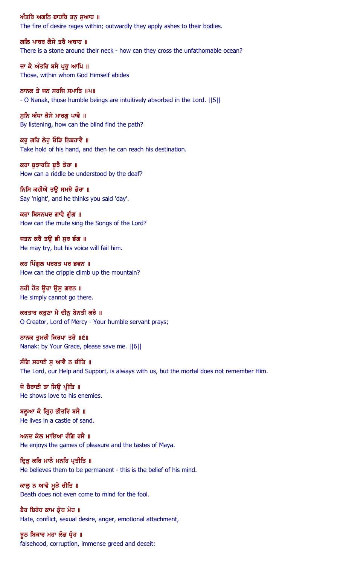ਅੰਤਰਿ ਅਗਨਿ ਬਾਹਰਿ ਤਨੁ ਸੁਆਹ ॥ The fire of desire rages within; outwardly they apply ashes to their bodies.

ਗਲਿ ਪਾਥਰ ਕੈਸੇ ਤਰੈ ਅਥਾਹ ॥ There is a stone around their neck - how can they cross the unfathomable ocean?

ਜਾ ਕੈ ਅੰਤਰਿ ਬਸੈ ਪ੍ਰਭੂ ਆਪਿ ॥ Those, within whom God Himself abides

ਨਾਨਕ ਤੇ ਜਨ ਸਹਜਿ ਸਮਾਤਿ ॥੫॥ - O Nanak, those humble beings are intuitively absorbed in the Lord. ||5||

ਸੁਨਿ ਅੰਧਾ ਕੈਸੇ ਮਾਰਗੁ ਪਾਵੈ ॥ By listening, how can the blind find the path?

ਕਰੂ ਗਹਿ ਲੇਹੂ ਓੜਿ ਨਿਬਹਾਵੈ ॥ Take hold of his hand, and then he can reach his destination.

ਕਹਾ ਬੁਝਾਰਤਿ ਬੁਝੈ ਡੋਰਾ ॥ How can a riddle be understood by the deaf?

ਨਿਸਿ ਕਹੀਐ ਤਉ ਸਮਝੈ ਭੋਰਾ ॥ Say 'night', and he thinks you said 'day'.

ਕਹਾ ਬਿਸਨਪਦ ਗਾਵੈ ਗੁੰਗ ॥ How can the mute sing the Songs of the Lord?

ਜਤਨ ਕਰੈ ਤੳ ਭੀ ਸਰ ਭੰਗ ॥ He may try, but his voice will fail him.

ਕਹ ਪਿੰਗੁਲ ਪਰਬਤ ਪਰ ਭਵਨ ॥ How can the cripple climb up the mountain?

ਨਹੀ ਹੋਤ ਉਹਾ ਉਸ ਗਵਨ ॥ He simply cannot go there.

ਕਰਤਾਰ ਕਰੁਣਾ ਮੈ ਦੀਨੂ ਬੇਨਤੀ ਕਰੈ ॥ O Creator, Lord of Mercy - Your humble servant prays;

ਨਾਨਕ ਤੁਮਰੀ ਕਿਰਪਾ ਤਰੈ ॥੬॥ Nanak: by Your Grace, please save me. ||6||

ਸੰਗਿ ਸਹਾਈ ਸੁ ਆਵੈ ਨ ਚੀਤਿ ॥ The Lord, our Help and Support, is always with us, but the mortal does not remember Him.

ਜੋ ਬੈਰਾਈ ਤਾ ਸਿਉ ਪ੍ਰੀਤਿ ॥ He shows love to his enemies.

ਬਲੂਆ ਕੇ ਗ੍ਰਿਹ ਭੀਤਰਿ ਬਸੈ ॥ He lives in a castle of sand.

ਅਨਦ ਕੇਲ ਮਾਇਆ ਰੰਗਿ ਰਸੈ $\,$  ॥ He enjoys the games of pleasure and the tastes of Maya.

ਦ੍ਰਿੜੂ ਕਰਿ ਮਾਨੈ ਮਨਹਿ ਪ੍ਰਤੀਤਿ ॥ He believes them to be permanent - this is the belief of his mind.

ਕਾਲੂ ਨ ਆਵੈ ਮੁੜੇ ਚੀਤਿ ॥ Death does not even come to mind for the fool.

ਬੈਰ ਬਿਰੋਧ ਕਾਮ ਕ੍ਰੋਧ ਮੋਹ ॥ Hate, conflict, sexual desire, anger, emotional attachment,

ਝੂਠ ਬਿਕਾਰ ਮਹਾ ਲੋਭ ਧ੍ਰੋਹ ॥ falsehood, corruption, immense greed and deceit: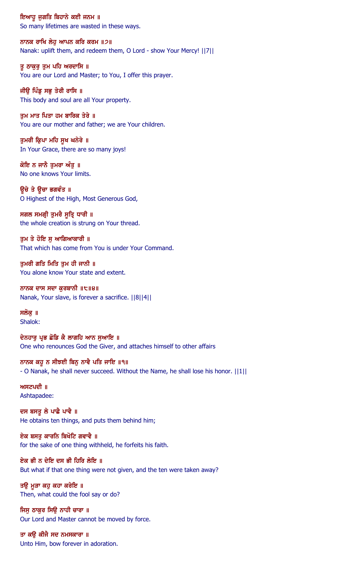ਇਆਹੂ ਜੁਗਤਿ ਬਿਹਾਨੇ ਕਈ ਜਨਮ ॥ So many lifetimes are wasted in these ways.

ਨਾਨਕ ਰਾਖਿ ਲੇਹ ਆਪਨ ਕਰਿ ਕਰਮ ॥੭॥ Nanak: uplift them, and redeem them, O Lord - show Your Mercy! ||7||

ਤੂ ਠਾਕੁਰੂ ਤੁਮ ਪਹਿ ਅਰਦਾਸਿ ॥ You are our Lord and Master; to You, I offer this prayer.

ਜੀਉ ਪਿੰਡੂ ਸਭੂ ਤੇਰੀ ਰਾਸਿ ॥ This body and soul are all Your property.

ਤੁਮ ਮਾਤ ਪਿਤਾ ਹਮ ਬਾਰਿਕ ਤੇਰੇ ॥ You are our mother and father; we are Your children.

ਤੁਮਰੀ ਕ੍ਰਿਪਾ ਮਹਿ ਸੁਖ ਘਨੇਰੇ ॥ In Your Grace, there are so many joys!

ਕੋਇ ਨ ਜਾਨੈ ਤਮਰਾ ਅੰਤ ॥ No one knows Your limits.

ਉਚੇ ਤੇ ਉਚਾ ਭਗਵੰਤ ॥ O Highest of the High, Most Generous God,

ਸਗਲ ਸਮਗ੍ਰੀ ਤੁਮਰੈ ਸੂਤ੍ਰਿ ਧਾਰੀ ॥ the whole creation is strung on Your thread.

ਤਮ ਤੇ ਹੋਇ ਸ ਆਗਿਆਕਾਰੀ ॥ That which has come from You is under Your Command.

ਤੁਮਰੀ ਗਤਿ ਮਿਤਿ ਤੁਮ ਹੀ ਜਾਨੀ ॥ You alone know Your state and extent.

ਨਾਨਕ ਦਾਸ ਸਦਾ ਕੁਰਬਾਨੀ ॥੮॥੪॥ Nanak, Your slave, is forever a sacrifice. ||8||4||

ਸਲੋਕ ॥ Shalok:

ਦੇਨਹਾਰੂ ਪ੍ਰਭ ਛੋਡਿ ਕੈ ਲਾਗਹਿ ਆਨ ਸੁਆਇ ॥ One who renounces God the Giver, and attaches himself to other affairs

ਨਾਨਕ ਕਹੁ ਨ ਸੀਝਈ ਬਿਨੁ ਨਾਵੈ ਪਤਿ ਜਾਇ ॥੧॥ - O Nanak, he shall never succeed. Without the Name, he shall lose his honor. ||1||

 $M$   $H$   $Z$  $U$   $U$   $I$ Ashtapadee:

ਦਸ ਬਸਤੂ ਲੇ ਪਾਛੈ ਪਾਵੈ ॥ He obtains ten things, and puts them behind him;

ਏਕ ਬਸਤ ਕਾਰਨਿ ਬਿਖੋਟਿ ਗਵਾਵੈ ॥ for the sake of one thing withheld, he forfeits his faith.

ਏਕ ਭੀ ਨ ਦੇਇ ਦਸ ਭੀ ਹਿਰਿ ਲੇਇ ॥ But what if that one thing were not given, and the ten were taken away?

ਤਉ ਮੁੜਾ ਕਹੁ ਕਹਾ ਕਰੇਇ ॥ Then, what could the fool say or do?

ਜਿਸ ਠਾਕਰ ਸਿੳ ਨਾਹੀ ਚਾਰਾ ॥ Our Lord and Master cannot be moved by force.

ਤਾ ਕਉ ਕੀਜੈ ਸਦ ਨਮਸਕਾਰਾ ॥ Unto Him, bow forever in adoration.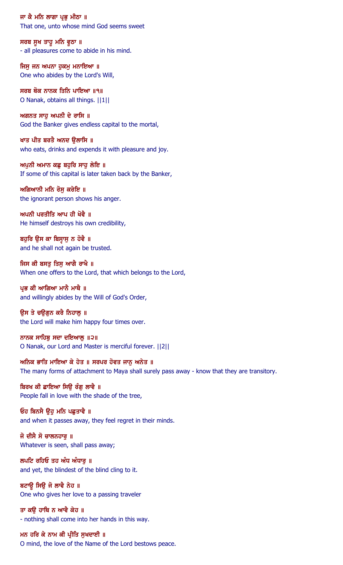ਜਾ ਕੈ ਮਨਿ ਲਾਗਾ ਪ੍ਰਭੂ ਮੀਠਾ ॥ That one, unto whose mind God seems sweet

ਸਰਬ ਸੁਖ ਤਾਹੁ ਮਨਿ ਵੁਠਾ ॥ - all pleasures come to abide in his mind.

ਜਿਸੂ ਜਨ ਅਪਨਾ ਹੁਕਮੂ ਮਨਾਇਆ ॥ One who abides by the Lord's Will,

ਸਰਬ ਥੋਕ ਨਾਨਕ ਤਿਨਿ ਪਾਇਆ ॥੧॥ O Nanak, obtains all things. ||1||

ਅਗਨਤ ਸਾਹੁ ਅਪਨੀ ਦੇ ਰਾਸਿ ॥ God the Banker gives endless capital to the mortal,

ਖਾਤ ਪੀਤ ਬਰਤੈ ਅਨਦ ਉਲਾਸਿ ॥ who eats, drinks and expends it with pleasure and joy.

ਅਪਨੀ ਅਮਾਨ ਕਛ ਬਹਰਿ ਸਾਹ ਲੇਇ ॥ If some of this capital is later taken back by the Banker,

ਅਗਿਆਨੀ ਮਨਿ ਰੋਸੁ ਕਰੇਇ ॥ the ignorant person shows his anger.

ਅਪਨੀ ਪਰਤੀਤਿ ਆਪ ਹੀ ਖੋਵੈ ॥ He himself destroys his own credibility,

ਬਹੁਰਿ ਉਸ ਕਾ ਬਿਸ੍ਰਾਸੁ ਨ ਹੋਵੈ ॥ and he shall not again be trusted.

ਜਿਸ ਕੀ ਬਸਤੂ ਤਿਸੂ ਆਗੈ ਰਾਖੈ ॥ When one offers to the Lord, that which belongs to the Lord,

ਪਭ ਕੀ ਆਗਿਆ ਮਾਨੈ ਮਾਥੈ ॥ and willingly abides by the Will of God's Order,

ਉਸ ਤੇ ਚਉਗੂਨ ਕਰੈ ਨਿਹਾਲੂ ॥ the Lord will make him happy four times over.

ਨਾਨਕ ਸਾਹਿਬੁ ਸਦਾ ਦਇਆਲੁ ॥੨॥ O Nanak, our Lord and Master is merciful forever. ||2||

ਅਨਿਕ ਭਾਤਿ ਮਾਇਆ ਕੇ ਹੇਤ ॥ ਸਰਪਰ ਹੋਵਤ ਜਾਨੂ ਅਨੇਤ ॥ The many forms of attachment to Maya shall surely pass away - know that they are transitory.

ਬਿਰਖ ਕੀ ਛਾਇਆ ਸਿਊ ਰੰਗੁ ਲਾਵੈ ॥ People fall in love with the shade of the tree,

ਓਹ ਬਿਨਸੈ ਉਹ ਮਨਿ ਪਛੁਤਾਵੈ ॥ and when it passes away, they feel regret in their minds.

ਜੋ ਦੀਸੈ ਸੋ ਚਾਲਨਹਾਰ ॥ Whatever is seen, shall pass away;

ਲਪਟਿ ਰਹਿਓ ਤਹ ਅੰਧ ਅੰਧਾਰੂ ॥ and yet, the blindest of the blind cling to it.

ਬਟਾਊ ਸਿਊ ਜੋ ਲਾਵੈ ਨੇਹ ॥ One who gives her love to a passing traveler

ਤਾ ਕੳ ਹਾਥਿ ਨ ਆਵੈ ਕੇਹ ॥ - nothing shall come into her hands in this way.

ਮਨ ਹਰਿ ਕੇ ਨਾਮ ਕੀ ਪ੍ਰੀਤਿ ਸੁਖਦਾਈ ॥ O mind, the love of the Name of the Lord bestows peace.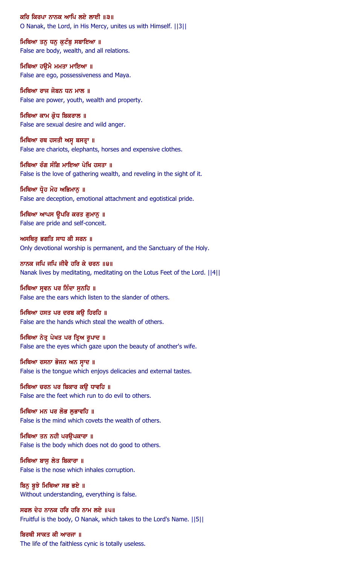ਕਰਿ ਕਿਰਪਾ ਨਾਨਕ ਆਪਿ ਲਏ ਲਾਈ ॥੩॥ O Nanak, the Lord, in His Mercy, unites us with Himself. ||3||

ਮਿਥਿਆ ਤਨੁ ਧਨੁ ਕੁਟੰਬੁ ਸਬਾਇਆ ॥ False are body, wealth, and all relations.

ਮਿਥਿਆ ਹਉਮੈ ਮਮਤਾ ਮਾਇਆ ॥ False are ego, possessiveness and Maya.

ਮਿਥਿਆ ਰਾਜ ਜੋਬਨ ਧਨ ਮਾਲ ॥ False are power, youth, wealth and property.

ਮਿਥਿਆ ਕਾਮ ਕ੍ਰੋਧ ਬਿਕਰਾਲ ॥ False are sexual desire and wild anger.

ਮਿਥਿਆ ਰਥ ਹਸਤੀ ਅਸੁ ਬਸਤ੍ਰਾ ॥ False are chariots, elephants, horses and expensive clothes.

ਮਿਥਿਆ ਰੰਗ ਸੰਗਿ ਮਾਇਆ ਪੇਖਿ ਹਸਤਾ ॥ False is the love of gathering wealth, and reveling in the sight of it.

ਮਿਥਿਆ ਧ੍ਰੋਹ ਮੋਹ ਅਭਿਮਾਨੂ ॥ False are deception, emotional attachment and egotistical pride.

ਮਿਥਿਆ ਆਪਸ ਉਪਰਿ ਕਰਤ ਗੁਮਾਨੂ ॥ False are pride and self-conceit.

ਅਸਥਿਰ ਭਗਤਿ ਸਾਧ ਕੀ ਸਰਨ ॥ Only devotional worship is permanent, and the Sanctuary of the Holy.

ਨਾਨਕ ਜਪਿ ਜਪਿ ਜੀਵੈ ਹਰਿ ਕੇ ਚਰਨ ॥੪॥ Nanak lives by meditating, meditating on the Lotus Feet of the Lord. ||4||

ਮਿਥਿਆ ਸਵਨ ਪਰ ਨਿੰਦਾ ਸਨਹਿ ॥ False are the ears which listen to the slander of others.

ਮਿਥਿਆ ਹਸਤ ਪਰ ਦਰਬ ਕੳ ਹਿਰਹਿ ॥ False are the hands which steal the wealth of others.

ਮਿਥਿਆ ਨੇਤ੍ਰ ਪੇਖਤ ਪਰ ਤ੍ਰਿਅ ਰੁਪਾਦ ॥ False are the eyes which gaze upon the beauty of another's wife.

ਮਿਥਿਆ ਰਸਨਾ ਭੋਜਨ ਅਨ ਸ੍ਰਾਦ ॥ False is the tongue which enjoys delicacies and external tastes.

ਮਿਥਿਆ ਚਰਨ ਪਰ ਬਿਕਾਰ ਕਉ ਧਾਵਹਿ ॥ False are the feet which run to do evil to others.

ਮਿਥਿਆ ਮਨ ਪਰ ਲੋਭ ਲਭਾਵਹਿ ॥ False is the mind which covets the wealth of others.

ਮਿਥਿਆ ਤਨ ਨਹੀ ਪਰੳਪਕਾਰਾ ॥ False is the body which does not do good to others.

ਮਿਥਿਆ ਬਾਸੁ ਲੇਤ ਬਿਕਾਰਾ ॥ False is the nose which inhales corruption.

ਬਿਨ ਬੁਝੇ ਮਿਥਿਆ ਸਭ ਭਏ ॥ Without understanding, everything is false.

ਸਫਲ ਦੇਹ ਨਾਨਕ ਹਰਿ ਹਰਿ ਨਾਮ ਲਏ ॥੫॥ Fruitful is the body, O Nanak, which takes to the Lord's Name. ||5||

ਬਿਰਥੀ ਸਾਕਤ ਕੀ ਆਰਜਾ ॥ The life of the faithless cynic is totally useless.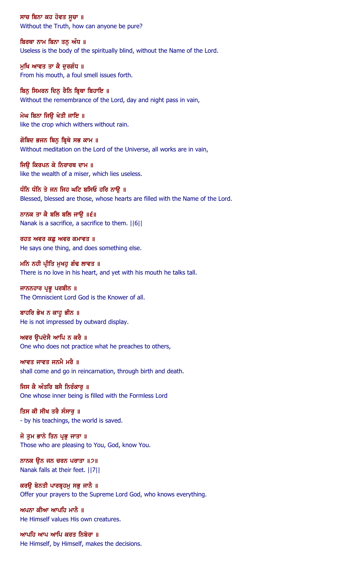ਸਾਚ ਬਿਨਾ ਕਹ ਹੋਵਤ ਸੂਚਾ ॥ Without the Truth, how can anyone be pure?

ਬਿਰਥਾ ਨਾਮ ਬਿਨਾ ਤਨ ਅੰਧ ॥ Useless is the body of the spiritually blind, without the Name of the Lord.

ਮੁਖਿ ਆਵਤ ਤਾ ਕੈ ਦੁਰਗੰਧ ॥ From his mouth, a foul smell issues forth.

ਬਿਨ ਸਿਮਰਨ ਦਿਨ ਰੈਨਿ ਬ੍ਰਿਥਾ ਬਿਹਾਇ ॥ Without the remembrance of the Lord, day and night pass in vain,

ਮੇਘ ਬਿਨਾ ਜਿਉ ਖੇਤੀ ਜਾਇ ॥ like the crop which withers without rain.

ਗੋਬਿਦ ਭਜਨ ਬਿਨੁ ਬ੍ਰਿਥੇ ਸਭ ਕਾਮ ॥ Without meditation on the Lord of the Universe, all works are in vain,

ਜਿੳ ਕਿਰਪਨ ਕੇ ਨਿਰਾਰਥ ਦਾਮ ॥ like the wealth of a miser, which lies useless.

ਧੰਨਿ ਧੰਨਿ ਤੇ ਜਨ ਜਿਹ ਘਟਿ ਬਸਿਓ ਹਰਿ ਨਾਉ ॥ Blessed, blessed are those, whose hearts are filled with the Name of the Lord.

ਨਾਨਕ ਤਾ ਕੈ ਬਲਿ ਬਲਿ ਜਾਉ ॥੬॥ Nanak is a sacrifice, a sacrifice to them. ||6||

ਰਹਤ ਅਵਰ ਕਛ ਅਵਰ ਕਮਾਵਤ ॥ He says one thing, and does something else.

ਮਨਿ ਨਹੀ ਪ੍ਰੀਤਿ ਮੁਖਹੁ ਗੰਢ ਲਾਵਤ ॥ There is no love in his heart, and yet with his mouth he talks tall.

ਜਾਨਨਹਾਰ ਪ੍ਰਭੂ ਪਰਬੀਨ ॥ The Omniscient Lord God is the Knower of all.

ਬਾਹਰਿ ਭੇਖ ਨ ਕਾਹੁ ਭੀਨ ॥ He is not impressed by outward display.

ਅਵਰ ਉਪਦੇਸੈ ਆਪਿ ਨ ਕਰੈ ॥ One who does not practice what he preaches to others,

ਆਵਤ ਜਾਵਤ ਜਨਮੈ ਮਰੈ ॥ shall come and go in reincarnation, through birth and death.

ਜਿਸ ਕੈ ਅੰਤਰਿ ਬਸੈ ਨਿਰੰਕਾਰੂ ॥ One whose inner being is filled with the Formless Lord

ਤਿਸ ਕੀ ਸੀਖ ਤਰੈ ਸੰਸਾਰੂ ॥ - by his teachings, the world is saved.

ਜੋ ਤਮ ਭਾਨੇ ਤਿਨ ਪ੍ਰਭ ਜਾਤਾ ॥ Those who are pleasing to You, God, know You.

ਨਾਨਕ ਉਨ ਜਨ ਚਰਨ ਪਰਾਤਾ ॥੭॥ Nanak falls at their feet. ||7||

ਕਰਉ ਬੇਨਤੀ ਪਾਰਬੁਹਮ ਸਭੁ ਜਾਨੈ ॥ Offer your prayers to the Supreme Lord God, who knows everything.

ਅਪਨਾ ਕੀਆ ਆਪਹਿ ਮਾਨੈ ॥ He Himself values His own creatures.

ਆਪਹਿ ਆਪ ਆਪਿ ਕਰਤ ਨਿਬੇਰਾ ॥ He Himself, by Himself, makes the decisions.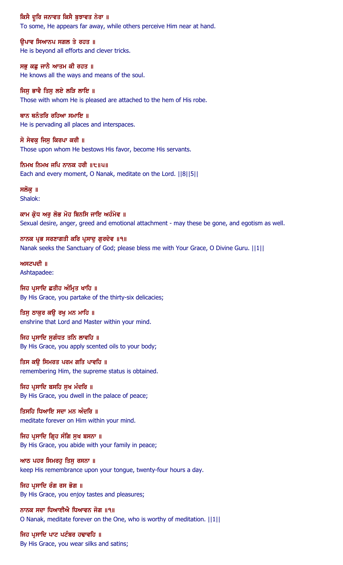ਕਿਸੈ ਦੁਰਿ ਜਨਾਵਤ ਕਿਸੈ ਬੁਝਾਵਤ ਨੇਰਾ ॥

To some, He appears far away, while others perceive Him near at hand.

ੳਪਾਵ ਸਿਆਨਪ ਸਗਲ ਤੇ ਰਹਤ ॥ He is beyond all efforts and clever tricks.

ਸਭੂ ਕਛੂ ਜਾਨੈ ਆਤਮ ਕੀ ਰਹਤ ॥ He knows all the ways and means of the soul.

ਜਿਸੂ ਭਾਵੈ ਤਿਸੂ ਲਏ ਲੜਿ ਲਾਇ ॥ Those with whom He is pleased are attached to the hem of His robe.

ਥਾਨ ਥਨੰਤਰਿ ਰਹਿਆ ਸਮਾ**ਇ** ॥ He is pervading all places and interspaces.

ਸੋ ਸੇਵਕ ਜਿਸ ਕਿਰਪਾ ਕਰੀ ॥ Those upon whom He bestows His favor, become His servants.

ਨਿਮਖ ਨਿਮਖ ਜਪਿ ਨਾਨਕ ਹਰੀ ॥੮॥੫॥ Each and every moment, O Nanak, meditate on the Lord. ||8||5||

ਸਲੋਕੁ ॥ Shalok:

ਕਾਮ ਕ੍ਰੋਧ ਅਰੁ ਲੋਭ ਮੋਹ ਬਿਨਸਿ ਜਾਇ ਅਹੰਮੇਵ ॥ Sexual desire, anger, greed and emotional attachment - may these be gone, and egotism as well.

ਨਾਨਕ ਪ੍ਰਭ ਸਰਣਾਗਤੀ ਕਰਿ ਪ੍ਰਸਾਦ ਗਰਦੇਵ ॥੧॥ Nanak seeks the Sanctuary of God; please bless me with Your Grace, O Divine Guru. ||1||

ਅਸਟਪਦੀ ॥ Ashtapadee:

ਜਿਹ ਪਸਾਦਿ ਛਤੀਹ ਅੰਮਿਤ ਖਾਹਿ ॥ By His Grace, you partake of the thirty-six delicacies;

ਤਿਸੁ ਠਾਕੁਰ ਕਉ ਰਖੁ ਮਨ ਮਾਹਿ ॥ enshrine that Lord and Master within your mind.

ਜਿਹ ਪ੍ਰਸਾਦਿ ਸੁਗੰਧਤ ਤਨਿ ਲਾਵਹਿ ॥ By His Grace, you apply scented oils to your body;

ਤਿਸ ਕਉ ਸਿਮਰਤ ਪਰਮ ਗਤਿ ਪਾਵਹਿ ॥ remembering Him, the supreme status is obtained.

ਜਿਹ ਪ੍ਰਸਾਦਿ ਬਸਹਿ ਸੁਖ ਮੰਦਰਿ ॥ By His Grace, you dwell in the palace of peace;

ਤਿਸਹਿ ਧਿਆਇ ਸਦਾ ਮਨ ਅੰਦਰਿ ॥ meditate forever on Him within your mind.

ਜਿਹ ਪੁਸਾਦਿ ਗ੍ਰਿਹ ਸੰਗਿ ਸਖ ਬਸਨਾ ॥ By His Grace, you abide with your family in peace;

ਆਠ ਪਹਰ ਸਿਮਰਹੂ ਤਿਸੁ ਰਸਨਾ ॥ keep His remembrance upon your tongue, twenty-four hours a day.

ਜਿਹ ਪ੍ਰਸਾਦਿ ਰੰਗ ਰਸ ਭੋਗ ॥ By His Grace, you enjoy tastes and pleasures;

ਨਾਨਕ ਸਦਾ ਧਿਆਈਐ ਧਿਆਵਨ ਜੋਗ ॥੧॥ O Nanak, meditate forever on the One, who is worthy of meditation. ||1||

ਜਿਹ ਪ੍ਰਸਾਦਿ ਪਾਟ ਪਟੰਬਰ ਹਢਾਵਹਿ ॥ By His Grace, you wear silks and satins;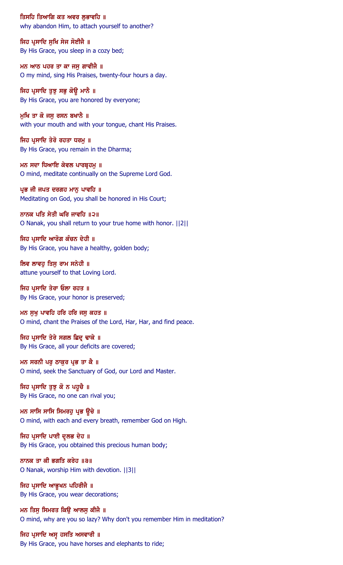ਤਿਸਹਿ ਤਿਆਗਿ ਕਤ ਅਵਰ ਲਭਾਵਹਿ ॥ why abandon Him, to attach yourself to another?

ਜਿਹ ਪ੍ਰਸਾਦਿ ਸੁਖਿ ਸੇਜ ਸੋਈਜੈ ॥ By His Grace, you sleep in a cozy bed;

ਮਨ ਆਠ ਪਹਰ ਤਾ ਕਾ ਜਸੁ ਗਾਵੀਜੈ ॥ O my mind, sing His Praises, twenty-four hours a day.

ਜਿਹ ਪ੍ਰਸਾਦਿ ਤੁਝੁ ਸਭੁ ਕੋਉ ਮਾਨੈ ॥ By His Grace, you are honored by everyone;

ਮੁਖਿ ਤਾ ਕੋ ਜਸੁ ਰਸਨ ਬਖਾਨੈ ॥ with your mouth and with your tongue, chant His Praises.

ਜਿਹ ਪੁਸਾਦਿ ਤੇਰੋ ਰਹਤਾ ਧਰਮੁ ॥ By His Grace, you remain in the Dharma;

ਮਨ ਸਦਾ ਧਿਆਇ ਕੇਵਲ ਪਾਰਬੁਹਮ ॥ O mind, meditate continually on the Supreme Lord God.

ਪ੍ਰਭ ਜੀ ਜਪਤ ਦਰਗਹ ਮਾਨੂ ਪਾਵਹਿ ॥ Meditating on God, you shall be honored in His Court;

ਨਾਨਕ ਪਤਿ ਸੇਤੀ ਘਰਿ ਜਾਵਹਿ ॥੨॥ O Nanak, you shall return to your true home with honor. ||2||

ਜਿਹ ਪੁਸਾਦਿ ਆਰੋਗ ਕੰਚਨ ਦੇਹੀ ॥ By His Grace, you have a healthy, golden body;

ਲਿਵ ਲਾਵਹੁ ਤਿਸੁ ਰਾਮ ਸਨੇਹੀ ॥ attune yourself to that Loving Lord.

ਜਿਹ ਪਸਾਦਿ ਤੇਰਾ ਓਲਾ ਰਹਤ ॥ By His Grace, your honor is preserved;

ਮਨ ਸੁਖੁ ਪਾਵਹਿ ਹਰਿ ਹਰਿ ਜਸੁ ਕਹਤ ॥ O mind, chant the Praises of the Lord, Har, Har, and find peace.

ਜਿਹ ਪ੍ਰਸਾਦਿ ਤੇਰੇ ਸਗਲ ਛਿਦ੍ਹ ਢਾਕੇ ॥ By His Grace, all your deficits are covered;

ਮਨ ਸਰਨੀ ਪਰੁ ਠਾਕੁਰ ਪ੍ਰਭ ਤਾ ਕੈ ॥ O mind, seek the Sanctuary of God, our Lord and Master.

ਜਿਹ ਪ੍ਰਸਾਦਿ ਤੁਝੁ ਕੋ ਨ ਪਹੁਚੈ ॥ By His Grace, no one can rival you;

ਮਨ ਸਾਸਿ ਸਾਸਿ ਸਿਮਰਹੁ ਪ੍ਰਭ ਉਚੇ ॥ O mind, with each and every breath, remember God on High.

ਜਿਹ ਪ੍ਰਸਾਦਿ ਪਾਈ ਦ੍ਰਲਭ ਦੇਹ ॥ By His Grace, you obtained this precious human body;

ਨਾਨਕ ਤਾ ਕੀ ਭਗਤਿ ਕਰੇਹ ॥੩॥ O Nanak, worship Him with devotion. ||3||

ਜਿਹ ਪ੍ਰਸਾਦਿ ਆਭੂਖਨ ਪਹਿਰੀਜੈ ॥ By His Grace, you wear decorations;

ਮਨ ਤਿਸ ਸਿਮਰਤ ਕਿੳ ਆਲਸ ਕੀਜੈ ॥ O mind, why are you so lazy? Why don't you remember Him in meditation?

ਜਿਹ ਪ੍ਰਸਾਦਿ ਅਸ੍ਵ ਹਸਤਿ ਅਸਵਾਰੀ ॥ By His Grace, you have horses and elephants to ride;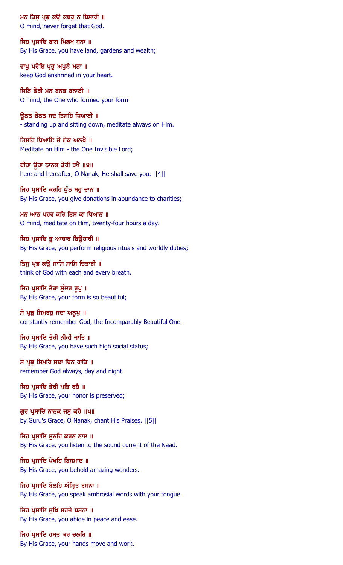ਮਨ ਤਿਸੁ ਪ੍ਰਭ ਕਉ ਕਬਹੁ ਨ ਬਿਸਾਰੀ ॥ O mind, never forget that God.

ਜਿਹ ਪੁਸਾਦਿ ਬਾਗ ਮਿਲਖ ਧਨਾ ॥ By His Grace, you have land, gardens and wealth;

ਰਾਖੂ ਪਰੋਇ ਪ੍ਰਭੂ ਅਪੁਨੇ ਮਨਾ ॥ keep God enshrined in your heart.

ਜਿਨਿ ਤੇਰੀ ਮਨ ਬਨਤ ਬਨਾਈ ॥ O mind, the One who formed your form

ਉਠਤ ਬੈਠਤ ਸਦ ਤਿਸਹਿ ਧਿਆਈ ॥ - standing up and sitting down, meditate always on Him.

ਤਿਸਹਿ ਧਿਆਇ ਜੋ ਏਕ ਅਲਖੈ ॥ Meditate on Him - the One Invisible Lord;

ਈਹਾ ਉਹਾ ਨਾਨਕ ਤੇਰੀ ਰਖੈ ॥੪॥ here and hereafter, O Nanak, He shall save you.  $||4||$ 

ਜਿਹ ਪ੍ਰਸਾਦਿ ਕਰਹਿ ਪੁੰਨ ਬਹੁ ਦਾਨ ॥ By His Grace, you give donations in abundance to charities;

ਮਨ ਆਠ ਪਹਰ ਕਰਿ ਤਿਸ ਕਾ ਧਿਆਨ ॥ O mind, meditate on Him, twenty-four hours a day.

ਜਿਹ ਪ੍ਰਸਾਦਿ ਤੁ ਆਚਾਰ ਬਿਊਹਾਰੀ ॥ By His Grace, you perform religious rituals and worldly duties;

ਤਿਸੁ ਪ੍ਰਭ ਕਉ ਸਾਸਿ ਸਾਸਿ ਚਿਤਾਰੀ ॥ think of God with each and every breath.

ਜਿਹ ਪ੍ਰਸਾਦਿ ਤੇਰਾ ਸੁੰਦਰ ਰੂਪੁ ॥ By His Grace, your form is so beautiful;

ਸੋ ਪ੍ਰਭੁ ਸਿਮਰਹੁ ਸਦਾ ਅਨੁਪੁ ॥ constantly remember God, the Incomparably Beautiful One.

ਜਿਹ ਪ੍ਰਸਾਦਿ ਤੇਰੀ ਨੀਕੀ ਜਾਤਿ ॥ By His Grace, you have such high social status;

ਸੋ ਪ੍ਰਭੂ ਸਿਮਰਿ ਸਦਾ ਦਿਨ ਰਾਤਿ ॥ remember God always, day and night.

ਜਿਹ ਪ੍ਰਸਾਦਿ ਤੇਰੀ ਪਤਿ ਰਹੈ ॥ By His Grace, your honor is preserved;

ਗੁਰ ਪ੍ਰਸਾਦਿ ਨਾਨਕ ਜਸੁ ਕਹੈ ॥੫॥ by Guru's Grace, O Nanak, chant His Praises. ||5||

ਜਿਹ ਪੁਸਾਦਿ ਸਨਹਿ ਕਰਨ ਨਾਦ ॥ By His Grace, you listen to the sound current of the Naad.

ਜਿਹ ਪ੍ਰਸਾਦਿ ਪੇਖਹਿ ਬਿਸਮਾਦ ॥ By His Grace, you behold amazing wonders.

ਜਿਹ ਪ੍ਰਸਾਦਿ ਬੋਲਹਿ ਅੰਮ੍ਰਿਤ ਰਸਨਾ ॥ By His Grace, you speak ambrosial words with your tongue.

ਜਿਹ ਪੁਸਾਦਿ ਸਖਿ ਸਹਜੇ ਬਸਨਾ ॥ By His Grace, you abide in peace and ease.

ਜਿਹ ਪ੍ਰਸਾਦਿ ਹਸਤ ਕਰ ਚਲਹਿ ॥ By His Grace, your hands move and work.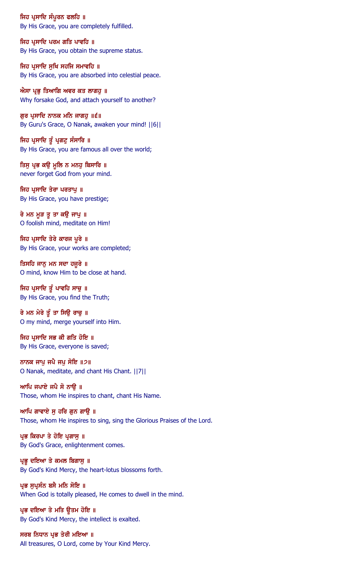ਜਿਹ ਪ੍ਰਸਾਦਿ ਸੰਪੂਰਨ ਫਲਹਿ ॥ By His Grace, you are completely fulfilled.

ਜਿਹ ਪ੍ਰਸਾਦਿ ਪਰਮ ਗਤਿ ਪਾਵਹਿ ॥ By His Grace, you obtain the supreme status.

ਜਿਹ ਪ੍ਰਸਾਦਿ ਸੁਖਿ ਸਹਜਿ ਸਮਾਵਹਿ ॥ By His Grace, you are absorbed into celestial peace.

ਐਸਾ ਪ੍ਰਭੁ ਤਿਆਗਿ ਅਵਰ ਕਤ ਲਾਗਹੁ ॥ Why forsake God, and attach yourself to another?

ਗੁਰ ਪ੍ਰਸਾਦਿ ਨਾਨਕ ਮਨਿ ਜਾਗਹੁ ॥੬॥ By Guru's Grace, O Nanak, awaken your mind! ||6||

ਜਿਹ ਪ੍ਰਸਾਦਿ ਤੂੰ ਪ੍ਰਗਟੂ ਸੰਸਾਰਿ ॥ By His Grace, you are famous all over the world;

ਤਿਸੁ ਪ੍ਰਭ ਕਉ ਮੁਲਿ ਨ ਮਨਹੁ ਬਿਸਾਰਿ ॥ never forget God from your mind.

ਜਿਹ ਪ੍ਰਸਾਦਿ ਤੇਰਾ ਪਰਤਾਪੁ ॥ By His Grace, you have prestige;

ਰੇ ਮਨ ਮੁੜ ਤੁ ਤਾ ਕਉ ਜਾਪੁ ॥ O foolish mind, meditate on Him!

ਜਿਹ ਪ੍ਰਸਾਦਿ ਤੇਰੇ ਕਾਰਜ ਪੂਰੇ ॥ By His Grace, your works are completed;

ਤਿਸਹਿ ਜਾਨੂ ਮਨ ਸਦਾ ਹਜੂਰੇ ॥ O mind, know Him to be close at hand.

ਜਿਹ ਪ੍ਰਸਾਦਿ ਤੂੰ ਪਾਵਹਿ ਸਾਚੁ ॥ By His Grace, you find the Truth;

ਰੇ ਮਨ ਮੇਰੇ ਤੂੰ ਤਾ ਸਿਉ ਰਾਚੁ ॥ O my mind, merge yourself into Him.

ਜਿਹ ਪੁਸਾਦਿ ਸਭ ਕੀ ਗਤਿ ਹੋਇ ॥ By His Grace, everyone is saved;

ਨਾਨਕ ਜਾਪੂ ਜਪੈ ਜਪੂ ਸੋਇ ॥੭॥ O Nanak, meditate, and chant His Chant. ||7||

ਆਪਿ ਜਪਾਏ ਜਪੈ ਸੋ ਨਾਉ ॥ Those, whom He inspires to chant, chant His Name.

ਆਪਿ ਗਾਵਾਏ ਸੁ ਹਰਿ ਗੁਨ ਗਾਉ ॥ Those, whom He inspires to sing, sing the Glorious Praises of the Lord.

ਪ੍ਰਭ ਕਿਰਪਾ ਤੇ ਹੋਇ ਪ੍ਰਗਾਸ ॥ By God's Grace, enlightenment comes.

ਪ੍ਰਭੂ ਦਇਆ ਤੇ ਕਮਲ ਬਿਗਾਸੁ ॥ By God's Kind Mercy, the heart-lotus blossoms forth.

ਪ੍ਰਭ ਸੁਪ੍ਰਸੰਨ ਬਸੈ ਮਨਿ ਸੋਇ ॥ When God is totally pleased, He comes to dwell in the mind.

ਪ੍ਰਭ ਦਇਆ ਤੇ ਮਤਿ ਉਤਮ ਹੋਇ ॥ By God's Kind Mercy, the intellect is exalted.

ਸਰਬ ਨਿਧਾਨ ਪ੍ਰਭ ਤੇਰੀ ਮਇਆ ॥ All treasures, O Lord, come by Your Kind Mercy.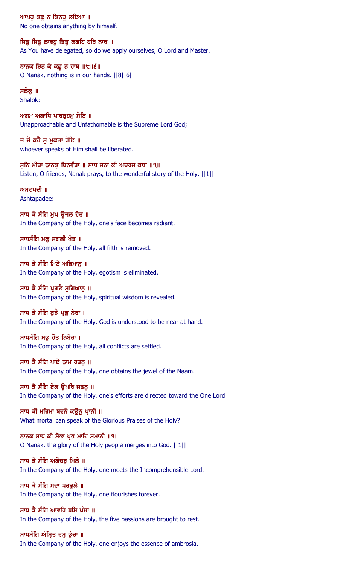ਆਪਹੁ ਕਛੁ ਨ ਕਿਨਹੁ ਲਇਆ ॥ No one obtains anything by himself.

ਜਿਤੂ ਜਿਤੂ ਲਾਵਹੂ ਤਿਤੂ ਲਗਹਿ ਹਰਿ ਨਾਥ ॥ As You have delegated, so do we apply ourselves, O Lord and Master.

ਨਾਨਕ ਇਨ ਕੈ ਕਛੁ ਨ ਹਾਥ ॥੮॥੬॥ O Nanak, nothing is in our hands. ||8||6||

ਸਲੋਕੁ ॥ Shalok:

ਅਗਮ ਅਗਾਧਿ ਪਾਰਬ੍ਰਹਮੁ ਸੋਇ ॥ Unapproachable and Unfathomable is the Supreme Lord God;

ਜੋ ਜੋ ਕਹੈ ਸੁ ਮੁਕਤਾ ਹੋਇ ॥ whoever speaks of Him shall be liberated.

ਸਨਿ ਮੀਤਾ ਨਾਨਕ ਬਿਨਵੰਤਾ ॥ ਸਾਧ ਜਨਾ ਕੀ ਅਚਰਜ ਕਥਾ ॥੧॥ Listen, O friends, Nanak prays, to the wonderful story of the Holy. ||1||

ਅਸਟਪਦੀ ॥ Ashtapadee:

ਸਾਧ ਕੈ ਸੰਗਿ ਮੁਖ ਉਜਲ ਹੋਤ ॥ In the Company of the Holy, one's face becomes radiant.

ਸਾਧਸੰਗਿ ਮਲ ਸਗਲੀ ਖੋਤ ॥ In the Company of the Holy, all filth is removed.

ਸਾਧ ਕੈ ਸੰਗਿ ਮਿਟੈ ਅਭਿਮਾਨੂ ॥ In the Company of the Holy, egotism is eliminated.

## ਸਾਧ ਕੈ ਸੰਗਿ ਪਗਟੈ ਸਗਿਆਨ ॥

In the Company of the Holy, spiritual wisdom is revealed.

## ਸਾਧ ਕੈ ਸੰਗਿ ਬਝੈ ਪੁਭ ਨੇਰਾ ॥

In the Company of the Holy, God is understood to be near at hand.

# ਸਾਧਸੰਗਿ ਸਭੁ ਹੋਤ ਨਿਬੇਰਾ ॥

In the Company of the Holy, all conflicts are settled.

ਸਾਧ ਕੈ ਸੰਗਿ ਪਾਏ ਨਾਮ ਰਤਨੂ ॥

In the Company of the Holy, one obtains the jewel of the Naam.

ਸਾਧ ਕੈ ਸੰਗਿ ਏਕ ਉਪਰਿ ਜਤਨੁ ॥

In the Company of the Holy, one's efforts are directed toward the One Lord.

ਸਾਧ ਕੀ ਮਹਿਮਾ ਬਰਨੈ ਕਉਨੂ ਪ੍ਰਾਨੀ ॥ What mortal can speak of the Glorious Praises of the Holy?

ਨਾਨਕ ਸਾਧ ਕੀ ਸੋਭਾ ਪੁਭ ਮਾਹਿ ਸਮਾਨੀ ॥੧॥ O Nanak, the glory of the Holy people merges into God. ||1||

ਸਾਧ ਕੈ ਸੰਗਿ ਅਗੋਚਰ ਮਿਲੈ ॥ In the Company of the Holy, one meets the Incomprehensible Lord.

ਸਾਧ ਕੈ ਸੰਗਿ ਸਦਾ ਪਰਫੁਲੈ ॥ In the Company of the Holy, one flourishes forever.

ਸਾਧ ਕੈ ਸੰਗਿ ਆਵਹਿ ਬਸਿ ਪੰਚਾ ॥ In the Company of the Holy, the five passions are brought to rest.

ਸਾਧਸੰਗਿ ਅੰਮ੍ਰਿਤ ਰਸੁ ਭੁੰਚਾ ॥ In the Company of the Holy, one enjoys the essence of ambrosia.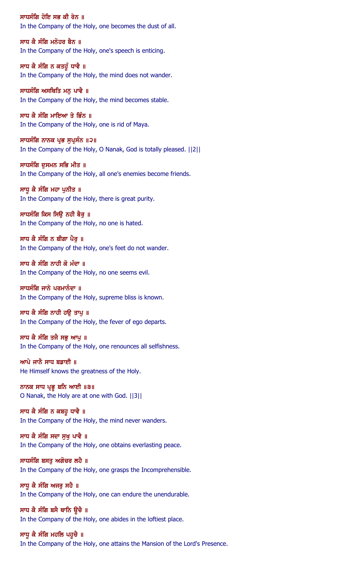ਸਾਧਸੰਗਿ ਹੋਇ ਸਭ ਕੀ ਰੇਨ ॥ In the Company of the Holy, one becomes the dust of all.

ਸਾਧ ਕੈ ਸੰਗਿ ਮਨੋਹਰ ਬੈਨ ॥ In the Company of the Holy, one's speech is enticing.

ਸਾਧ ਕੈ ਸੰਗਿ ਨ ਕਤਹੁੰ ਧਾਵੈ ॥ In the Company of the Holy, the mind does not wander.

ਸਾਧਸੰਗਿ ਅਸਥਿਤਿ ਮਨੁ ਪਾਵੈ ॥ In the Company of the Holy, the mind becomes stable.

ਸਾਧ ਕੈ ਸੰਗਿ ਮਾਇਆ ਤੇ ਭਿੰਨ ॥ In the Company of the Holy, one is rid of Maya.

ਸਾਧਸੰਗਿ ਨਾਨਕ ਪ੍ਰਭ ਸੁਪ੍ਰਸੰਨ ॥੨॥ In the Company of the Holy, O Nanak, God is totally pleased. ||2||

ਸਾਧਸੰਗਿ ਦਸਮਨ ਸਭਿ ਮੀਤ ॥ In the Company of the Holy, all one's enemies become friends.

ਸਾਧੂ ਕੈ ਸੰਗਿ ਮਹਾ ਪੂਨੀਤ ॥ In the Company of the Holy, there is great purity.

ਸਾਧਸੰਗਿ ਕਿਸ ਸਿਉ ਨਹੀ ਬੈਰੂ ॥ In the Company of the Holy, no one is hated.

ਸਾਧ ਕੈ ਸੰਗਿ ਨ ਬੀਗਾ ਪੈਰ ॥ In the Company of the Holy, one's feet do not wander.

ਸਾਧ ਕੈ ਸੰਗਿ ਨਾਹੀ ਕੋ ਮੰਦਾ ॥ In the Company of the Holy, no one seems evil.

ਸਾਧਸੰਗਿ ਜਾਨੇ ਪਰਮਾਨੰਦਾ ॥ In the Company of the Holy, supreme bliss is known.

ਸਾਧ ਕੈ ਸੰਗਿ ਨਾਹੀ ਹੳ ਤਾਪ ॥ In the Company of the Holy, the fever of ego departs.

ਸਾਧ ਕੈ ਸੰਗਿ ਤਜੈ ਸਭੁ ਆਪੁ ॥ In the Company of the Holy, one renounces all selfishness.

ਆਪੇ ਜਾਨੈ ਸਾਧ ਬਡਾਈ ॥ He Himself knows the greatness of the Holy.

ਨਾਨਕ ਸਾਧ ਪ੍ਰਭੂ ਬਨਿ ਆਈ ॥੩॥ O Nanak, the Holy are at one with God. ||3||

ਸਾਧ ਕੈ ਸੰਗਿ ਨ ਕਬਹੁ ਧਾਵੈ ॥ In the Company of the Holy, the mind never wanders.

ਸਾਧ ਕੈ ਸੰਗਿ ਸਦਾ ਸਖ ਪਾਵੈ ॥ In the Company of the Holy, one obtains everlasting peace.

ਸਾਧਸੰਗਿ ਬਸਤੂ ਅਗੋਚਰ ਲਹੈ ॥ In the Company of the Holy, one grasps the Incomprehensible.

ਸਾਧੂ ਕੈ ਸੰਗਿ ਅਜਰੂ ਸਹੈ ॥ In the Company of the Holy, one can endure the unendurable.

ਸਾਧ ਕੈ ਸੰਗਿ ਬਸੈ ਥਾਨਿ ਉਚੈ ॥ In the Company of the Holy, one abides in the loftiest place.

ਸਾਧੁ ਕੈ ਸੰਗਿ ਮਹਲਿ ਪਹੁਚੈ ॥ In the Company of the Holy, one attains the Mansion of the Lord's Presence.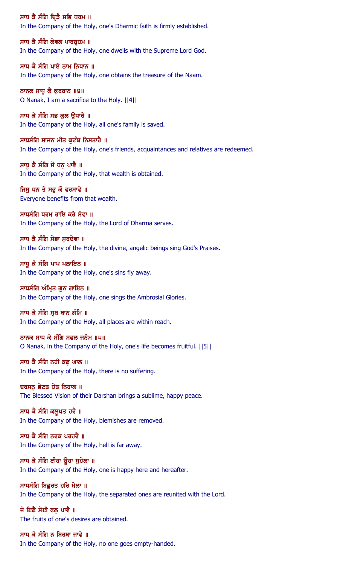ਸਾਧ ਕੈ ਸੰਗਿ ਦ੍ਰਿੜੈ ਸਭਿ ਧਰਮ ॥ In the Company of the Holy, one's Dharmic faith is firmly established.

ਸਾਧ ਕੈ ਸੰਗਿ ਕੇਵਲ ਪਾਰਬੁਹਮ ॥ In the Company of the Holy, one dwells with the Supreme Lord God.

ਸਾਧ ਕੈ ਸੰਗਿ ਪਾਏ ਨਾਮ ਨਿਧਾਨ ॥ In the Company of the Holy, one obtains the treasure of the Naam.

ਨਾਨਕ ਸਾਧੁ ਕੈ ਕੁਰਬਾਨ ॥੪॥ O Nanak, I am a sacrifice to the Holy. ||4||

ਸਾਧ ਕੈ ਸੰਗਿ ਸਭ ਕੁਲ ਉਧਾਰੈ ॥ In the Company of the Holy, all one's family is saved.

ਸਾਧਸੰਗਿ ਸਾਜਨ ਮੀਤ ਕੁਟੰਬ ਨਿਸਤਾਰੈ ॥ In the Company of the Holy, one's friends, acquaintances and relatives are redeemed.

ਸਾਧ ਕੈ ਸੰਗਿ ਸੋ ਧਨ ਪਾਵੈ ॥ In the Company of the Holy, that wealth is obtained.

ਜਿਸੂ ਧਨ ਤੇ ਸਭੂ ਕੋ ਵਰਸਾਵੈ ॥ Everyone benefits from that wealth.

ਸਾਧਸੰਗਿ ਧਰਮ ਰਾਇ ਕਰੇ ਸੇਵਾ ॥ In the Company of the Holy, the Lord of Dharma serves.

ਸਾਧ ਕੈ ਸੰਗਿ ਸੋਭਾ ਸਰਦੇਵਾ ॥ In the Company of the Holy, the divine, angelic beings sing God's Praises.

ਸਾਧੁ ਕੈ ਸੰਗਿ ਪਾਪ ਪਲਾਇਨ ॥ In the Company of the Holy, one's sins fly away.

ਸਾਧਸੰਗਿ ਅੰਮਿਤ ਗਨ ਗਾਇਨ ॥ In the Company of the Holy, one sings the Ambrosial Glories.

ਸਾਧ ਕੈ ਸੰਗਿ ਸੂਬ ਥਾਨ ਗੰਮਿ ॥ In the Company of the Holy, all places are within reach.

ਨਾਨਕ ਸਾਧ ਕੈ ਸੰਗਿ ਸਫਲ ਜਨੰਮ ॥੫॥ O Nanak, in the Company of the Holy, one's life becomes fruitful. ||5||

ਸਾਧ ਕੈ ਸੰਗਿ ਨਹੀ ਕਛੁ ਘਾਲ ॥ In the Company of the Holy, there is no suffering.

ਦਰਸਨੂ ਭੇਟਤ ਹੋਤ ਨਿਹਾਲ ॥ The Blessed Vision of their Darshan brings a sublime, happy peace.

ਸਾਧ ਕੈ ਸੰਗਿ ਕਲੂਖਤ ਹਰੈ ॥ In the Company of the Holy, blemishes are removed.

ਸਾਧ ਕੈ ਸੰਗਿ ਨਰਕ ਪਰਹਰੈ ॥ In the Company of the Holy, hell is far away.

ਸਾਧ ਕੈ ਸੰਗਿ ਈਹਾ ਉਹਾ ਸੁਹੇਲਾ ॥ In the Company of the Holy, one is happy here and hereafter.

ਸਾਧਸੰਗਿ ਬਿਛਰਤ ਹਰਿ ਮੇਲਾ ॥ In the Company of the Holy, the separated ones are reunited with the Lord.

ਜੋ ਇਛੈ ਸੋਈ ਫਲ ਪਾਵੈ ॥ The fruits of one's desires are obtained.

ਸਾਧ ਕੈ ਸੰਗਿ ਨ ਬਿਰਥਾ ਜਾਵੈ ॥ In the Company of the Holy, no one goes empty-handed.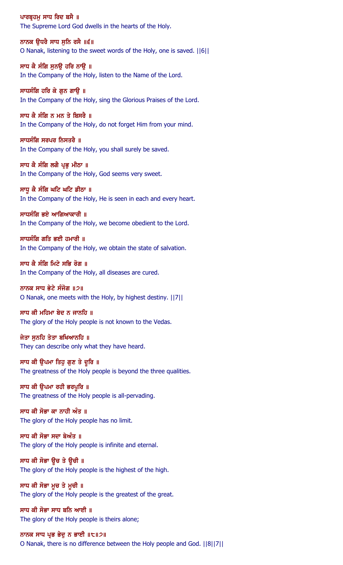ਪਾਰਬ੍ਰਹਮੁ ਸਾਧ ਰਿਦ ਬਸੈ ॥ The Supreme Lord God dwells in the hearts of the Holy.

ਨਾਨਕ ੳਧਰੈ ਸਾਧ ਸਨਿ ਰਸੈ ॥੬॥ O Nanak, listening to the sweet words of the Holy, one is saved. ||6||

ਸਾਧ ਕੈ ਸੰਗਿ ਸੁਨਉ ਹਰਿ ਨਾਉ ॥ In the Company of the Holy, listen to the Name of the Lord.

ਸਾਧਸੰਗਿ ਹਰਿ ਕੇ ਗੁਨ ਗਾਉ ॥ In the Company of the Holy, sing the Glorious Praises of the Lord.

ਸਾਧ ਕੈ ਸੰਗਿ ਨ ਮਨ ਤੇ ਬਿਸਰੈ ॥ In the Company of the Holy, do not forget Him from your mind.

ਸਾਧਸੰਗਿ ਸਰਪਰ ਨਿਸਤਰੈ $\parallel$  ॥ In the Company of the Holy, you shall surely be saved.

ਸਾਧ ਕੈ ਸੰਗਿ ਲਗੈ ਪੁਭ ਮੀਠਾ ॥ In the Company of the Holy, God seems very sweet.

ਸਾਧੂ ਕੈ ਸੰਗਿ ਘਟਿ ਘਟਿ ਡੀਠਾ ॥ In the Company of the Holy, He is seen in each and every heart.

ਸਾਧਸੰਗਿ ਭਏ ਆਗਿਆਕਾਰੀ ॥ In the Company of the Holy, we become obedient to the Lord.

ਸਾਧਸੰਗਿ ਗਤਿ ਭਈ ਹਮਾਰੀ ॥ In the Company of the Holy, we obtain the state of salvation.

ਸਾਧ ਕੈ ਸੰਗਿ ਮਿਟੇ ਸਭਿ ਰੋਗ ॥ In the Company of the Holy, all diseases are cured.

ਨਾਨਕ ਸਾਧ ਭੇਟੇ ਸੰਜੋਗ ॥੭॥ O Nanak, one meets with the Holy, by highest destiny. ||7||

# ਸਾਧ ਕੀ ਮਹਿਮਾ ਬੇਦ ਨ ਜਾਨਹਿ ॥

The glory of the Holy people is not known to the Vedas.

ਜੇਤਾ ਸੁਨਹਿ ਤੇਤਾ ਬਖਿਆਨਹਿ ॥ They can describe only what they have heard.

ਸਾਧ ਕੀ ਉਪਮਾ ਤਿਹੁ ਗੁਣ ਤੇ ਦੂਰਿ ॥ The greatness of the Holy people is beyond the three qualities.

ਸਾਧ ਕੀ ਉਪਮਾ ਰਹੀ ਭਰਪੁਰਿ ॥ The greatness of the Holy people is all-pervading.

ਸਾਧ ਕੀ ਸੋਭਾ ਕਾ ਨਾਹੀ ਅੰਤ ॥ The glory of the Holy people has no limit.

ਸਾਧ ਕੀ ਸੋਭਾ ਸਦਾ ਬੇਅੰਤ ॥ The glory of the Holy people is infinite and eternal.

ਸਾਧ ਕੀ ਸੋਭਾ ਉਚ ਤੇ ਉਚੀ ॥ The glory of the Holy people is the highest of the high.

ਸਾਧ ਕੀ ਸੋਭਾ ਮੁਚ ਤੇ ਮੁਚੀ ॥ The glory of the Holy people is the greatest of the great.

ਸਾਧ ਕੀ ਸੋਭਾ ਸਾਧ ਬਨਿ ਆਈ ॥ The glory of the Holy people is theirs alone;

### ਨਾਨਕ ਸਾਧ ਪ੍ਰਭ ਭੇਦੂ ਨ ਭਾਈ ॥੮॥੭॥

O Nanak, there is no difference between the Holy people and God. ||8||7||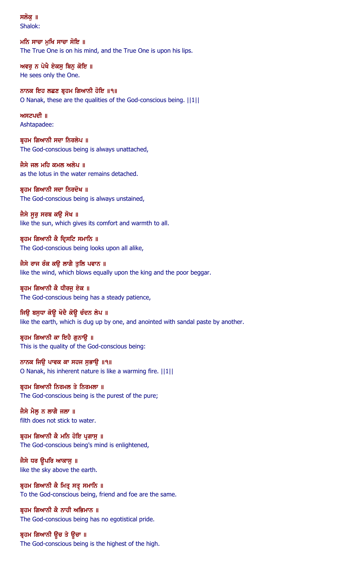ਸਲੋਕ ॥ Shalok:

ਮਨਿ ਸਾਚਾ ਮਖਿ ਸਾਚਾ ਸੋਇ ॥ The True One is on his mind, and the True One is upon his lips.

ਅਵਰੂ ਨ ਪੇਖੈ ਏਕਸੂ ਬਿਨੂ ਕੋਇ ॥ He sees only the One.

ਨਾਨਕ ਇਹ ਲਛਣ ਬ੍ਰਹਮ ਗਿਆਨੀ ਹੋਇ ॥੧॥ O Nanak, these are the qualities of the God-conscious being. ||1||

 $M$ ਸਟਪਦੀ  $\parallel$ Ashtapadee:

ਬ੍ਰਹਮ ਗਿਆਨੀ ਸਦਾ ਨਿਰਲੇਪ ॥ The God-conscious being is always unattached,

ਜੈਸੇ ਜਲ ਮਹਿ ਕਮਲ ਅਲੇਪ ॥ as the lotus in the water remains detached.

ਬ੍ਰਹਮ ਗਿਆਨੀ ਸਦਾ ਨਿਰਦੋਖ ॥ The God-conscious being is always unstained,

ਜੈਸੇ ਸੁਰੂ ਸਰਬ ਕਉ ਸੋਖ ॥ like the sun, which gives its comfort and warmth to all.

ਬੁਹਮ ਗਿਆਨੀ ਕੈ ਦ੍ਰਿਸਟਿ ਸਮਾਨਿ ॥ The God-conscious being looks upon all alike,

ਜੈਸੇ ਰਾਜ ਰੰਕ ਕਉ ਲਾਗੈ ਤੁਲਿ ਪਵਾਨ ॥ like the wind, which blows equally upon the king and the poor beggar.

ਬਹਮ ਗਿਆਨੀ ਕੈ ਧੀਰਜ ਏਕ ॥ The God-conscious being has a steady patience,

ਜਿਉ ਬਸੁਧਾ ਕੋਉ ਖੋਦੈ ਕੋਉ ਚੰਦਨ ਲੇਪ ॥ like the earth, which is dug up by one, and anointed with sandal paste by another.

ਬੁਹਮ ਗਿਆਨੀ ਕਾ ਇਹੈ ਗੁਨਾਉ ॥ This is the quality of the God-conscious being:

ਨਾਨਕ ਜਿਉ ਪਾਵਕ ਕਾ ਸਹਜ ਸੁਭਾਉ ॥੧॥ O Nanak, his inherent nature is like a warming fire. ||1||

ਬ੍ਰਹਮ ਗਿਆਨੀ ਨਿਰਮਲ ਤੇ ਨਿਰਮਲਾ ॥ The God-conscious being is the purest of the pure;

ਜੈਸੇ ਮੈਲ ਨ ਲਾਗੈ ਜਲਾ ॥ filth does not stick to water.

ਬੁਹਮ ਗਿਆਨੀ ਕੈ ਮਨਿ ਹੋਇ ਪੁਗਾਸ ॥ The God-conscious being's mind is enlightened,

ਜੈਸੇ ਧਰ ਉਪਰਿ ਆਕਾਸੁ ॥ like the sky above the earth.

ਬ੍ਰਹਮ ਗਿਆਨੀ ਕੈ ਮਿਤ੍ਰ ਸਤ੍ਰ ਸਮਾਨਿ ॥ To the God-conscious being, friend and foe are the same.

ਬੁਹਮ ਗਿਆਨੀ ਕੈ ਨਾਹੀ ਅਭਿਮਾਨ ॥ The God-conscious being has no egotistical pride.

ਬ੍ਰਹਮ ਗਿਆਨੀ ਉਚ ਤੇ ਉਚਾ ॥ The God-conscious being is the highest of the high.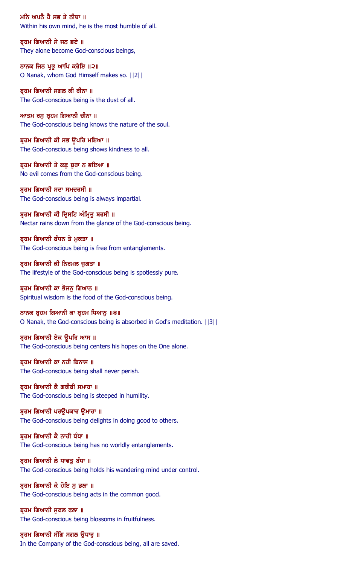ਮਨਿ ਅਪਨੈ ਹੈ ਸਭ ਤੇ ਨੀਚਾ ॥ Within his own mind, he is the most humble of all.

ਬ੍ਰਹਮ ਗਿਆਨੀ ਸੇ ਜਨ ਭਏ ॥ They alone become God-conscious beings,

ਨਾਨਕ ਜਿਨ ਪ੍ਰਭੂ ਆਪਿ ਕਰੇਇ ॥੨॥ O Nanak, whom God Himself makes so. ||2||

ਬ੍ਰਹਮ ਗਿਆਨੀ ਸਗਲ ਕੀ ਰੀਨਾ ॥ The God-conscious being is the dust of all.

ਆਤਮ ਰਸੁ ਬ੍ਰਹਮ ਗਿਆਨੀ ਚੀਨਾ ॥ The God-conscious being knows the nature of the soul.

ਬ੍ਰਹਮ ਗਿਆਨੀ ਕੀ ਸਭ ਉਪਰਿ ਮਇਆ ॥ The God-conscious being shows kindness to all.

ਬਹਮ ਗਿਆਨੀ ਤੇ ਕਛ ਬਰਾ ਨ ਭਇਆ ॥ No evil comes from the God-conscious being.

ਬ੍ਰਹਮ ਗਿਆਨੀ ਸਦਾ ਸਮਦਰਸੀ ॥ The God-conscious being is always impartial.

ਬ੍ਰਹਮ ਗਿਆਨੀ ਕੀ ਦ੍ਰਿਸਟਿ ਅੰਮ੍ਰਿਤੂ ਬਰਸੀ ॥ Nectar rains down from the glance of the God-conscious being.

ਬੁਹਮ ਗਿਆਨੀ ਬੰਧਨ ਤੇ ਮਕਤਾ ॥ The God-conscious being is free from entanglements.

ਬ੍ਰਹਮ ਗਿਆਨੀ ਕੀ ਨਿਰਮਲ ਜੁਗਤਾ ॥ The lifestyle of the God-conscious being is spotlessly pure.

ਬਹਮ ਗਿਆਨੀ ਕਾ ਭੋਜਨ ਗਿਆਨ ॥ Spiritual wisdom is the food of the God-conscious being.

ਨਾਨਕ ਬ੍ਰਹਮ ਗਿਆਨੀ ਕਾ ਬ੍ਰਹਮ ਧਿਆਨੁ ॥੩॥ O Nanak, the God-conscious being is absorbed in God's meditation. ||3||

ਬ੍ਰਹਮ ਗਿਆਨੀ ਏਕ ਉਪਰਿ ਆਸ ॥ The God-conscious being centers his hopes on the One alone.

ਬ੍ਰਹਮ ਗਿਆਨੀ ਕਾ ਨਹੀ ਬਿਨਾਸ ॥ The God-conscious being shall never perish.

ਬ੍ਰਹਮ ਗਿਆਨੀ ਕੈ ਗਰੀਬੀ ਸਮਾਹਾ ॥ The God-conscious being is steeped in humility.

ਬ੍ਰਹਮ ਗਿਆਨੀ ਪਰਉਪਕਾਰ ਉਮਾਹਾ ॥ The God-conscious being delights in doing good to others.

ਬੁਹਮ ਗਿਆਨੀ ਕੈ ਨਾਹੀ ਧੰਧਾ ॥ The God-conscious being has no worldly entanglements.

ਬ੍ਰਹਮ ਗਿਆਨੀ ਲੇ ਧਾਵਤੂ ਬੰਧਾ ॥ The God-conscious being holds his wandering mind under control.

ਬ੍ਰਹਮ ਗਿਆਨੀ ਕੈ ਹੋਇ ਸੁ ਭਲਾ ॥ The God-conscious being acts in the common good.

ਬੁਹਮ ਗਿਆਨੀ ਸਫਲ ਫਲਾ ॥ The God-conscious being blossoms in fruitfulness.

ਬ੍ਰਹਮ ਗਿਆਨੀ ਸੰਗਿ ਸਗਲ ਉਧਾਰੂ ॥ In the Company of the God-conscious being, all are saved.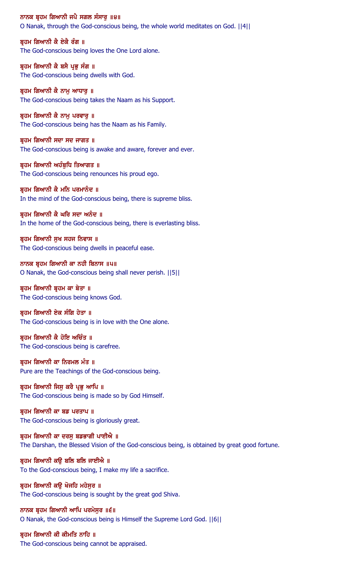ਨਾਨਕ ਬ੍ਰਹਮ ਗਿਆਨੀ ਜਪੈ ਸਗਲ ਸੰਸਾਰੂ ॥੪॥ O Nanak, through the God-conscious being, the whole world meditates on God. ||4||

ਬੁਹਮ ਗਿਆਨੀ ਕੈ ਏਕੈ ਰੰਗ ॥ The God-conscious being loves the One Lord alone.

ਬ੍ਰਹਮ ਗਿਆਨੀ ਕੈ ਬਸੈ ਪ੍ਰਭੂ ਸੰਗ ॥ The God-conscious being dwells with God.

ਬ੍ਰਹਮ ਗਿਆਨੀ ਕੈ ਨਾਮੂ ਆਧਾਰੂ ॥ The God-conscious being takes the Naam as his Support.

ਬ੍ਰਹਮ ਗਿਆਨੀ ਕੈ ਨਾਮੂ ਪਰਵਾਰੂ ॥ The God-conscious being has the Naam as his Family.

ਬ੍ਰਹਮ ਗਿਆਨੀ ਸਦਾ ਸਦ ਜਾਗਤ ॥ The God-conscious being is awake and aware, forever and ever.

ਬੁਹਮ ਗਿਆਨੀ ਅਹੰਬਧਿ ਤਿਆਗਤ ॥ The God-conscious being renounces his proud ego.

ਬ੍ਰਹਮ ਗਿਆਨੀ ਕੈ ਮਨਿ ਪਰਮਾਨੰਦ ॥ In the mind of the God-conscious being, there is supreme bliss.

ਬ੍ਰਹਮ ਗਿਆਨੀ ਕੈ ਘਰਿ ਸਦਾ ਅਨੰਦ ॥ In the home of the God-conscious being, there is everlasting bliss.

ਬੁਹਮ ਗਿਆਨੀ ਸਖ ਸਹਜ ਨਿਵਾਸ ॥ The God-conscious being dwells in peaceful ease.

ਨਾਨਕ ਬ੍ਰਹਮ ਗਿਆਨੀ ਕਾ ਨਹੀ ਬਿਨਾਸ ॥੫॥ O Nanak, the God-conscious being shall never perish. ||5||

ਬ੍ਰਹਮ ਗਿਆਨੀ ਬ੍ਰਹਮ ਕਾ ਬੇਤਾ ॥ The God-conscious being knows God.

ਬ੍ਰਹਮ ਗਿਆਨੀ ਏਕ ਸੰਗਿ ਹੇਤਾ ॥ The God-conscious being is in love with the One alone.

ਬੁਹਮ ਗਿਆਨੀ ਕੈ ਹੋਇ ਅਚਿੰਤ ॥ The God-conscious being is carefree.

ਬ੍ਰਹਮ ਗਿਆਨੀ ਕਾ ਨਿਰਮਲ ਮੰਤ ॥ Pure are the Teachings of the God-conscious being.

ਬ੍ਰਹਮ ਗਿਆਨੀ ਜਿਸੁ ਕਰੈ ਪ੍ਰਭੁ ਆਪਿ ॥ The God-conscious being is made so by God Himself.

ਬ੍ਰਹਮ ਗਿਆਨੀ ਕਾ ਬਡ ਪਰਤਾਪ ॥ The God-conscious being is gloriously great.

ਬੁਹਮ ਗਿਆਨੀ ਕਾ ਦਰਸ ਬਡਭਾਗੀ ਪਾਈਐ ॥ The Darshan, the Blessed Vision of the God-conscious being, is obtained by great good fortune.

ਬ੍ਰਹਮ ਗਿਆਨੀ ਕਉ ਬਲਿ ਬਲਿ ਜਾਈਐ ॥ To the God-conscious being, I make my life a sacrifice.

ਬ੍ਰਹਮ ਗਿਆਨੀ ਕਉ ਖੋਜਹਿ ਮਹੇਸੂਰ ॥ The God-conscious being is sought by the great god Shiva.

ਨਾਨਕ ਬੁਹਮ ਗਿਆਨੀ ਆਪਿ ਪਰਮੇਸਰ ॥੬॥ O Nanak, the God-conscious being is Himself the Supreme Lord God. ||6||

ਬ੍ਰਹਮ ਗਿਆਨੀ ਕੀ ਕੀਮਤਿ ਨਾਹਿ ॥ The God-conscious being cannot be appraised.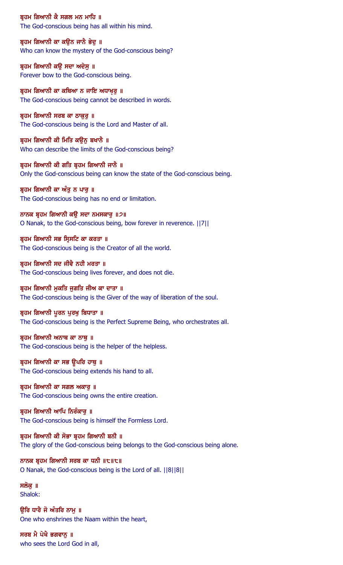ਬ੍ਰਹਮ ਗਿਆਨੀ ਕੈ ਸਗਲ ਮਨ ਮਾਹਿ ॥ The God-conscious being has all within his mind.

ਬ੍ਰਹਮ ਗਿਆਨੀ ਕਾ ਕਉਨ ਜਾਨੈ ਭੇਦੂ ॥ Who can know the mystery of the God-conscious being?

ਬ੍ਰਹਮ ਗਿਆਨੀ ਕਉ ਸਦਾ ਅਦੇਸੁ ॥ Forever bow to the God-conscious being.

ਬ੍ਰਹਮ ਗਿਆਨੀ ਕਾ ਕਥਿਆ ਨ ਜਾਇ ਅਧਾਖ਼ੁਰੂ ॥ The God-conscious being cannot be described in words.

ਬ੍ਰਹਮ ਗਿਆਨੀ ਸਰਬ ਕਾ ਠਾਕੁਰੂ ॥ The God-conscious being is the Lord and Master of all.

ਬ੍ਰਹਮ ਗਿਆਨੀ ਕੀ ਮਿਤਿ ਕਉਨੂ ਬਖਾਨੈ ॥ Who can describe the limits of the God-conscious being?

ਬ੍ਰਹਮ ਗਿਆਨੀ ਕੀ ਗਤਿ ਬ੍ਰਹਮ ਗਿਆਨੀ ਜਾਨੈ ॥ Only the God-conscious being can know the state of the God-conscious being.

ਬ੍ਰਹਮ ਗਿਆਨੀ ਕਾ ਅੰਤੂ ਨ ਪਾਰੂ ॥ The God-conscious being has no end or limitation.

ਨਾਨਕ ਬ੍ਰਹਮ ਗਿਆਨੀ ਕਉ ਸਦਾ ਨਮਸਕਾਰੁ ॥੭॥ O Nanak, to the God-conscious being, bow forever in reverence. ||7||

ਬਹਮ ਗਿਆਨੀ ਸਭ ਸਿਸਟਿ ਕਾ ਕਰਤਾ ॥ The God-conscious being is the Creator of all the world.

ਬ੍ਰਹਮ ਗਿਆਨੀ ਸਦ ਜੀਵੈ ਨਹੀ ਮਰਤਾ ॥ The God-conscious being lives forever, and does not die.

ਬੁਹਮ ਗਿਆਨੀ ਮੁਕਤਿ ਜੁਗਤਿ ਜੀਅ ਕਾ ਦਾਤਾ ॥ The God-conscious being is the Giver of the way of liberation of the soul.

ਬ੍ਰਹਮ ਗਿਆਨੀ ਪੂਰਨ ਪੂਰਖੂ ਬਿਧਾਤਾ ॥

The God-conscious being is the Perfect Supreme Being, who orchestrates all.

ਬ੍ਰਹਮ ਗਿਆਨੀ ਅਨਾਥ ਕਾ ਨਾਥੁ ॥ The God-conscious being is the helper of the helpless.

ਬ੍ਰਹਮ ਗਿਆਨੀ ਕਾ ਸਭ ਉਪਰਿ ਹਾਥੁ ॥ The God-conscious being extends his hand to all.

ਬ੍ਰਹਮ ਗਿਆਨੀ ਕਾ ਸਗਲ ਅਕਾਰੂ ॥ The God-conscious being owns the entire creation.

ਬੁਹਮ ਗਿਆਨੀ ਆਪਿ ਨਿਰੰਕਾਰੂ ॥ The God-conscious being is himself the Formless Lord.

ਬੁਹਮ ਗਿਆਨੀ ਕੀ ਸੋਭਾ ਬੁਹਮ ਗਿਆਨੀ ਬਨੀ ॥ The glory of the God-conscious being belongs to the God-conscious being alone.

ਨਾਨਕ ਬ੍ਰਹਮ ਗਿਆਨੀ ਸਰਬ ਕਾ ਧਨੀ ॥੮॥੮॥ O Nanak, the God-conscious being is the Lord of all. ||8||8||

ਸਲੋਕ ॥ Shalok:

ੳਰਿ ਧਾਰੈ ਜੋ ਅੰਤਰਿ ਨਾਮ ॥ One who enshrines the Naam within the heart,

ਸਰਬ ਮੈ ਪੇਖੈ ਭਗਵਾਨੂ ॥ who sees the Lord God in all,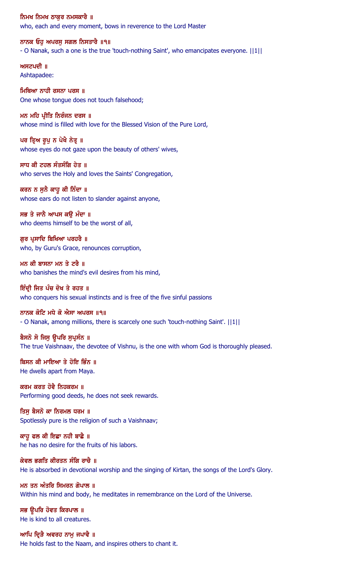ਨਿਮਖ ਨਿਮਖ ਠਾਕਰ ਨਮਸਕਾਰੈ ॥ who, each and every moment, bows in reverence to the Lord Master

ਨਾਨਕ ਓਹ ਅਪਰਸ ਸਗਲ ਨਿਸਤਾਰੈ ॥੧॥ - O Nanak, such a one is the true 'touch-nothing Saint', who emancipates everyone. ||1||

ਅਸਟਪਦੀ ॥ Ashtapadee:

ਮਿਥਿਆ ਨਾਹੀ ਰਸਨਾ ਪਰਸ ॥ One whose tongue does not touch falsehood;

ਮਨ ਮਹਿ ਪ੍ਰੀਤਿ ਨਿਰੰਜਨ ਦਰਸ ॥ whose mind is filled with love for the Blessed Vision of the Pure Lord,

ਪਰ ਤਿਅ ਰੂਪੂ ਨ ਪੇਖੈ ਨੇਤੂ ॥ whose eyes do not gaze upon the beauty of others' wives,

ਸਾਧ ਕੀ ਟਹਲ ਸੰਤਸੰਗਿ ਹੇਤ ॥ who serves the Holy and loves the Saints' Congregation,

ਕਰਨ ਨ ਸੁਨੈ ਕਾਹੁ ਕੀ ਨਿੰਦਾ ॥ whose ears do not listen to slander against anyone,

ਸਭ ਤੇ ਜਾਨੈ ਆਪਸ ਕਉ ਮੰਦਾ ॥ who deems himself to be the worst of all,

ਗਰ ਪੁਸਾਦਿ ਬਿਖਿਆ ਪਰਹਰੈ ॥ who, by Guru's Grace, renounces corruption,

ਮਨ ਕੀ ਬਾਸਨਾ ਮਨ ਤੇ ਟਰੈ ॥ who banishes the mind's evil desires from his mind,

ਇੰਦੀ ਜਿਤ ਪੰਚ ਦੋਖ ਤੇ ਰਹਤ ॥ who conquers his sexual instincts and is free of the five sinful passions

ਨਾਨਕ ਕੋਟਿ ਮਧੇ ਕੋ ਐਸਾ ਅਪਰਸ ॥੧॥ - O Nanak, among millions, there is scarcely one such 'touch-nothing Saint'. ||1||

ਬੈਸਨੋ ਸੋ ਜਿਸੁ ਊਪਰਿ ਸੁਪ੍ਰਸੰਨ ॥ The true Vaishnaav, the devotee of Vishnu, is the one with whom God is thoroughly pleased.

ਬਿਸਨ ਕੀ ਮਾਇਆ ਤੇ ਹੋਇ ਭਿੰਨ ॥ He dwells apart from Maya.

ਕਰਮ ਕਰਤ ਹੋਵੈ ਨਿਹਕਰਮ ॥ Performing good deeds, he does not seek rewards.

ਤਿਸੁ ਬੈਸਨੋ ਕਾ ਨਿਰਮਲ ਧਰਮ ॥ Spotlessly pure is the religion of such a Vaishnaav;

ਕਾਹੁ ਫਲ ਕੀ ਇਛਾ ਨਹੀ ਬਾਛੈ ॥ he has no desire for the fruits of his labors.

ਕੇਵਲ ਭਗਤਿ ਕੀਰਤਨ ਸੰਗਿ ਰਾਚੈ ॥ He is absorbed in devotional worship and the singing of Kirtan, the songs of the Lord's Glory.

ਮਨ ਤਨ ਅੰਤਰਿ ਸਿਮਰਨ ਗੋਪਾਲ ॥ Within his mind and body, he meditates in remembrance on the Lord of the Universe.

ਸਭ ਉਪਰਿ ਹੋਵਤ ਕਿਰਪਾਲ ॥ He is kind to all creatures.

ਆਪਿ ਦ੍ਰਿੜੈ ਅਵਰਹ ਨਾਮੁ ਜਪਾਵੈ ॥ He holds fast to the Naam, and inspires others to chant it.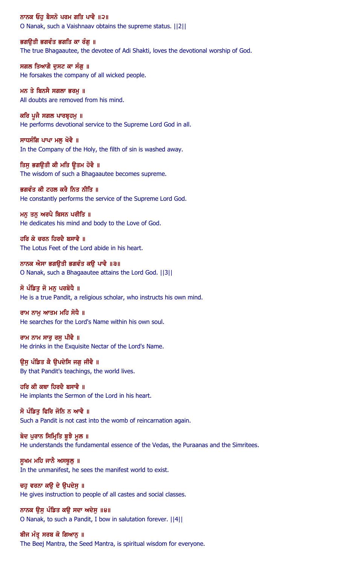ਨਾਨਕ ਓਹੁ ਬੈਸਨੋ ਪਰਮ ਗਤਿ ਪਾਵੈ ॥੨॥ O Nanak, such a Vaishnaav obtains the supreme status. ||2||

ਭਗੳਤੀ ਭਗਵੰਤ ਭਗਤਿ ਕਾ ਰੰਗ ॥ The true Bhagaautee, the devotee of Adi Shakti, loves the devotional worship of God.

ਸਗਲ ਤਿਆਗੈ ਦੁਸਟ ਕਾ ਸੰਗੂ ॥ He forsakes the company of all wicked people.

ਮਨ ਤੇ ਬਿਨਸੈ ਸਗਲਾ ਭਰਮੁ ॥ All doubts are removed from his mind.

ਕਰਿ ਪੂਜੈ ਸਗਲ ਪਾਰਬ੍ਰਹਮੁ ॥ He performs devotional service to the Supreme Lord God in all.

ਸਾਧਸੰਗਿ ਪਾਪਾ ਮਲੂ ਖੋਵੈ ॥ In the Company of the Holy, the filth of sin is washed away.

ਤਿਸੁ ਭਗਉਤੀ ਕੀ ਮਤਿ ਉਤਮ ਹੋਵੈ ॥ The wisdom of such a Bhagaautee becomes supreme.

ਭਗਵੰਤ ਕੀ ਟਹਲ ਕਰੈ ਨਿਤ ਨੀਤਿ ॥ He constantly performs the service of the Supreme Lord God.

ਮਨੁ ਤਨੁ ਅਰਪੈ ਬਿਸਨ ਪਰੀਤਿ ॥ He dedicates his mind and body to the Love of God.

ਹਰਿ ਕੇ ਚਰਨ ਹਿਰਦੈ ਬਸਾਵੈ ॥ The Lotus Feet of the Lord abide in his heart.

ਨਾਨਕ ਐਸਾ ਭਗਉਤੀ ਭਗਵੰਤ ਕਉ ਪਾਵੈ ॥੩॥ O Nanak, such a Bhagaautee attains the Lord God. ||3||

ਸੋ ਪੰਡਿਤ ਜੋ ਮਨ ਪਰਬੋਧੈ ॥

He is a true Pandit, a religious scholar, who instructs his own mind.

ਰਾਮ ਨਾਮ ਆਤਮ ਮਹਿ ਸੋਧੈ ॥

He searches for the Lord's Name within his own soul.

ਰਾਮ ਨਾਮ ਸਾਰੂ ਰਸੂ ਪੀਵੈ ॥ He drinks in the Exquisite Nectar of the Lord's Name.

ਉਸੁ ਪੰਡਿਤ ਕੈ ਉਪਦੇਸਿ ਜਗੁ ਜੀਵੈ ॥ By that Pandit's teachings, the world lives.

ਹਰਿ ਕੀ ਕਥਾ ਹਿਰਦੈ ਬਸਾਵੈ ॥ He implants the Sermon of the Lord in his heart.

ਸੋ ਪੰਡਿਤੂ ਫਿਰਿ ਜੋਨਿ ਨ ਆਵੈ ॥ Such a Pandit is not cast into the womb of reincarnation again.

ਬੇਦ ਪੁਰਾਨ ਸਿਮ੍ਰਿਤਿ ਬੁਝੈ ਮੁਲ ॥ He understands the fundamental essence of the Vedas, the Puraanas and the Simritees.

ਸੁਖਮ ਮਹਿ ਜਾਨੈ ਅਸਥੁਲੂ ॥ In the unmanifest, he sees the manifest world to exist.

ਚਹੁ ਵਰਨਾ ਕਉ ਦੇ ਉਪਦੇਸ਼ ॥ He gives instruction to people of all castes and social classes.

ਨਾਨਕ ੳਸ ਪੰਡਿਤ ਕੳ ਸਦਾ ਅਦੇਸ ॥੪॥ O Nanak, to such a Pandit, I bow in salutation forever. ||4||

ਬੀਜ ਮੰਤ੍ਰ ਸਰਬ ਕੋ ਗਿਆਨੂ ॥ The Beej Mantra, the Seed Mantra, is spiritual wisdom for everyone.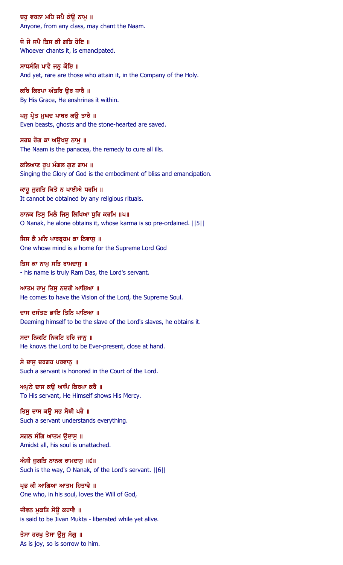ਚਹੁ ਵਰਨਾ ਮਹਿ ਜਪੈ ਕੋਉ ਨਾਮੁ ॥ Anyone, from any class, may chant the Naam.

ਜੋ ਜੋ ਜਪੈ ਤਿਸ ਕੀ ਗਤਿ ਹੋਇ ॥ Whoever chants it, is emancipated.

ਸਾਧਸੰਗਿ ਪਾਵੈ ਜਨੁ ਕੋਇ ॥ And yet, rare are those who attain it, in the Company of the Holy.

ਕਰਿ ਕਿਰਪਾ ਅੰਤਰਿ ਉਰ ਧਾਰੈ ॥ By His Grace, He enshrines it within.

ਪਸੁ ਪ੍ਰੇਤ ਮੁਘਦ ਪਾਥਰ ਕਉ ਤਾਰੈ ॥ Even beasts, ghosts and the stone-hearted are saved.

ਸਰਬ ਰੋਗ ਕਾ ਅਉਖਦੂ ਨਾਮੂ ॥ The Naam is the panacea, the remedy to cure all ills.

ਕਲਿਆਣ ਰੂਪ ਮੰਗਲ ਗੁਣ ਗਾਮ ॥ Singing the Glory of God is the embodiment of bliss and emancipation.

ਕਾਹੁ ਜੁਗਤਿ ਕਿਤੈ ਨ ਪਾਈਐ ਧਰਮਿ ॥ It cannot be obtained by any religious rituals.

ਨਾਨਕ ਤਿਸੁ ਮਿਲੈ ਜਿਸੁ ਲਿਖਿਆ ਧੁਰਿ ਕਰਮਿ ॥੫॥ O Nanak, he alone obtains it, whose karma is so pre-ordained. ||5||

ਜਿਸ ਕੈ ਮਨਿ ਪਾਰਬੁਹਮ ਕਾ ਨਿਵਾਸ ॥ One whose mind is a home for the Supreme Lord God

ਤਿਸ ਕਾ ਨਾਮੂ ਸਤਿ ਰਾਮਦਾਸੂ ॥ - his name is truly Ram Das, the Lord's servant.

ਆਤਮ ਰਾਮੂ ਤਿਸੂ ਨਦਰੀ ਆਇਆ ॥ He comes to have the Vision of the Lord, the Supreme Soul.

ਦਾਸ ਦਸੰਤਣ ਭਾਇ ਤਿਨਿ ਪਾਇਆ ॥

Deeming himself to be the slave of the Lord's slaves, he obtains it.

ਸਦਾ ਨਿਕਟਿ ਨਿਕਟਿ ਹਰਿ ਜਾਨੂ ॥ He knows the Lord to be Ever-present, close at hand.

ਸੋ ਦਾਸੁ ਦਰਗਹ ਪਰਵਾਨੂ ॥ Such a servant is honored in the Court of the Lord.

ਅਪਨੇ ਦਾਸ ਕੳ ਆਪਿ ਕਿਰਪਾ ਕਰੈ ॥ To His servant, He Himself shows His Mercy.

ਤਿਸੁ ਦਾਸ ਕਉ ਸਭ ਸੋਝੀ ਪਰੈ ॥ Such a servant understands everything.

ਸਗਲ ਸੰਗਿ ਆਤਮ ੳਦਾਸ ॥ Amidst all, his soul is unattached.

ਐਸੀ ਜੁਗਤਿ ਨਾਨਕ ਰਾਮਦਾਸੁ ॥੬॥ Such is the way, O Nanak, of the Lord's servant. ||6||

ਪਭ ਕੀ ਆਗਿਆ ਆਤਮ ਹਿਤਾਵੈ ॥ One who, in his soul, loves the Will of God,

ਜੀਵਨ ਮਕਤਿ ਸੋਉ ਕਹਾਵੈ ॥ is said to be Jivan Mukta - liberated while yet alive.

ਤੈਸਾ ਹਰਖੂ ਤੈਸਾ ਉਸੂ ਸੋਗੂ ॥ As is joy, so is sorrow to him.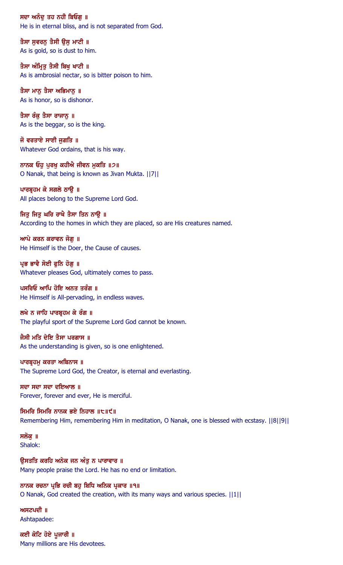ਸਦਾ ਅਨੰਦ ਤਹ ਨਹੀ ਬਿਓਗ **॥** He is in eternal bliss, and is not separated from God.

ਤੈਸਾ ਸੁਵਰਨੂ ਤੈਸੀ ਉਸੂ ਮਾਟੀ ॥ As is gold, so is dust to him.

ਤੈਸਾ ਅੰਮ੍ਰਿਤੁ ਤੈਸੀ ਬਿਖੁ ਖਾਟੀ ॥ As is ambrosial nectar, so is bitter poison to him.

ਤੈਸਾ ਮਾਨ ਤੈਸਾ ਅਭਿਮਾਨ ॥ As is honor, so is dishonor.

ਤੈਸਾ ਰੰਕੂ ਤੈਸਾ ਰਾਜਾਨੂ ॥ As is the beggar, so is the king.

ਜੋ ਵਰਤਾਏ ਸਾਈ ਜੁਗਤਿ  $\parallel$ Whatever God ordains, that is his way.

ਨਾਨਕ ਓਹ ਪਰਖ ਕਹੀਐ ਜੀਵਨ ਮਕਤਿ ॥੭॥ O Nanak, that being is known as Jivan Mukta. ||7||

ਪਾਰਬ੍ਰਹਮ ਕੇ ਸਗਲੇ ਠਾਉ ॥ All places belong to the Supreme Lord God.

ਜਿਤੂ ਜਿਤੂ ਘਰਿ ਰਾਖੈ ਤੈਸਾ ਤਿਨ ਨਾਉ ॥ According to the homes in which they are placed, so are His creatures named.

ਆਪੇ ਕਰਨ ਕਰਾਵਨ ਜੋਗ ॥ He Himself is the Doer, the Cause of causes.

ਪ੍ਰਭ ਭਾਵੈ ਸੋਈ ਫੁਨਿ ਹੋਗੁ ॥ Whatever pleases God, ultimately comes to pass.

ਪਸਰਿਓ ਆਪਿ ਹੋਇ ਅਨਤ ਤਰੰਗ ॥ He Himself is All-pervading, in endless waves.

ਲਖੇ ਨ ਜਾਹਿ ਪਾਰਬੁਹਮ ਕੇ ਰੰਗ ॥ The playful sport of the Supreme Lord God cannot be known.

ਜੈਸੀ ਮਤਿ ਦੇਇ ਤੈਸਾ ਪਰਗਾਸ ॥ As the understanding is given, so is one enlightened.

ਪਾਰਬ੍ਰਹਮੁ ਕਰਤਾ ਅਬਿਨਾਸ ॥ The Supreme Lord God, the Creator, is eternal and everlasting.

ਸਦਾ ਸਦਾ ਸਦਾ ਦਇਆਲ ॥ Forever, forever and ever, He is merciful.

ਸਿਮਰਿ ਸਿਮਰਿ ਨਾਨਕ ਭਏ ਨਿਹਾਲ ॥੮॥੯॥ Remembering Him, remembering Him in meditation, O Nanak, one is blessed with ecstasy. ||8||9||

ਸਲੋਕ ॥ Shalok:

ਉਸਤਤਿ ਕਰਹਿ ਅਨੇਕ ਜਨ ਅੰਤੁ ਨ ਪਾਰਾਵਾਰ ॥ Many people praise the Lord. He has no end or limitation.

ਨਾਨਕ ਰਚਨਾ ਪ੍ਰਭਿ ਰਚੀ ਬਹੁ ਬਿਧਿ ਅਨਿਕ ਪ੍ਰਕਾਰ ॥੧॥ O Nanak, God created the creation, with its many ways and various species. ||1||

ਅਸਟਪਦੀ $\parallel$   $\parallel$ Ashtapadee:

ਕਈ ਕੋਟਿ ਹੋਏ ਪੂਜਾਰੀ ॥ Many millions are His devotees.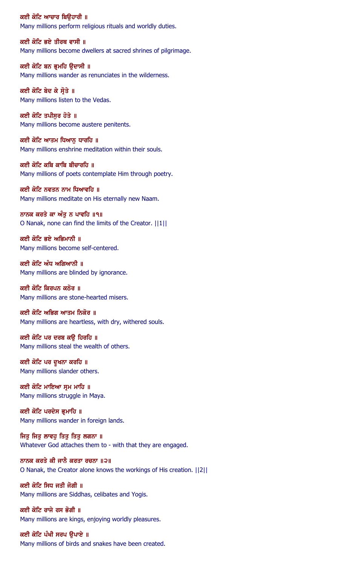ਕਈ ਕੋਟਿ ਆਚਾਰ ਬਿੳਹਾਰੀ ॥ Many millions perform religious rituals and worldly duties.

ਕਈ ਕੋਟਿ ਭਏ ਤੀਰਥ ਵਾਸੀ ॥ Many millions become dwellers at sacred shrines of pilgrimage.

ਕਈ ਕੋਟਿ ਬਨ ਭ੍ਰਮਹਿ ਉਦਾਸੀ ॥ Many millions wander as renunciates in the wilderness.

ਕਈ ਕੋਟਿ ਬੇਦ ਕੇ ਸ੍ਰੋਤੇ ॥ Many millions listen to the Vedas.

ਕਈ ਕੋਟਿ ਤਪੀਸੁਰ ਹੋਤੇ ॥ Many millions become austere penitents.

ਕਈ ਕੋਟਿ ਆਤਮ ਧਿਆਨ ਧਾਰਹਿ ॥ Many millions enshrine meditation within their souls.

ਕਈ ਕੋਟਿ ਕਬਿ ਕਾਬਿ ਬੀਚਾਰਹਿ ॥ Many millions of poets contemplate Him through poetry.

ਕਈ ਕੋਟਿ ਨਵਤਨ ਨਾਮ ਧਿਆਵਹਿ ॥ Many millions meditate on His eternally new Naam.

ਨਾਨਕ ਕਰਤੇ ਕਾ ਅੰਤੁ ਨ ਪਾਵਹਿ ॥੧॥ O Nanak, none can find the limits of the Creator. ||1||

ਕਈ ਕੋਟਿ ਭਏ ਅਭਿਮਾਨੀ ॥ Many millions become self-centered.

ਕਈ ਕੋਟਿ ਅੰਧ ਅਗਿਆਨੀ ॥ Many millions are blinded by ignorance.

ਕਈ ਕੋਟਿ ਕਿਰਪਨ ਕਠੋਰ ॥ Many millions are stone-hearted misers.

ਕਈ ਕੋਟਿ ਅਭਿਗ ਆਤਮ ਨਿਕੋਰ ॥ Many millions are heartless, with dry, withered souls.

ਕਈ ਕੋਟਿ ਪਰ ਦਰਬ ਕਉ ਹਿਰਹਿ ॥ Many millions steal the wealth of others.

ਕਈ ਕੋਟਿ ਪਰ ਦੁਖਨਾ ਕਰਹਿ ॥ Many millions slander others.

ਕਈ ਕੋਟਿ ਮਾਇਆ ਸ੍ਰਮ ਮਾਹਿ ॥ Many millions struggle in Maya.

ਕਈ ਕੋਟਿ ਪਰਦੇਸ ਭ੍ਰਮਾਹਿ ॥ Many millions wander in foreign lands.

ਜਿਤ ਜਿਤ ਲਾਵਹ ਤਿਤ ਤਿਤ ਲਗਨਾ ॥ Whatever God attaches them to - with that they are engaged.

ਨਾਨਕ ਕਰਤੇ ਕੀ ਜਾਨੈ ਕਰਤਾ ਰਚਨਾ ॥੨॥ O Nanak, the Creator alone knows the workings of His creation. ||2||

ਕਈ ਕੋਟਿ ਸਿਧ ਜਤੀ ਜੋਗੀ ॥ Many millions are Siddhas, celibates and Yogis.

ਕਈ ਕੋਟਿ ਰਾਜੇ ਰਸ ਭੋਗੀ ॥ Many millions are kings, enjoying worldly pleasures.

ਕਈ ਕੋਟਿ ਪੰਖੀ ਸਰਪ ਉਪਾਏ ॥ Many millions of birds and snakes have been created.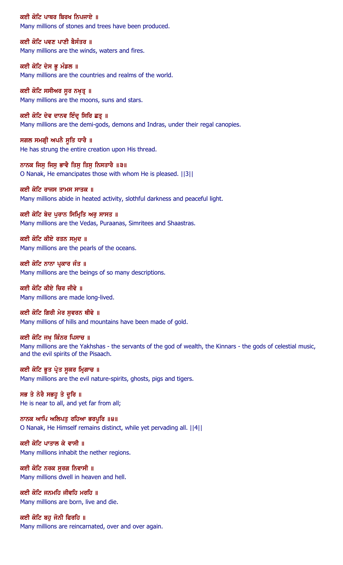ਕਈ ਕੋਟਿ ਪਾਥਰ ਬਿਰਖ ਨਿਪਜਾਏ ॥ Many millions of stones and trees have been produced.

ਕਈ ਕੋਟਿ ਪਵਣ ਪਾਣੀ ਬੈਸੰਤਰ ॥ Many millions are the winds, waters and fires.

ਕਈ ਕੋਟਿ ਦੇਸ ਭੂ ਮੰਡਲ ॥ Many millions are the countries and realms of the world.

ਕਈ ਕੋਟਿ ਸਸੀਅਰ ਸੁਰ ਨਖ਼ਤ੍ਰ ॥ Many millions are the moons, suns and stars.

ਕਈ ਕੋਟਿ ਦੇਵ ਦਾਨਵ ਇੰਦ੍ਰ ਸਿਰਿ ਛਤ੍ਰ ॥ Many millions are the demi-gods, demons and Indras, under their regal canopies.

ਸਗਲ ਸਮਗ੍ਰੀ ਅਪਨੈ ਸੂਤਿ ਧਾਰੈ ॥ He has strung the entire creation upon His thread.

ਨਾਨਕ ਜਿਸ ਜਿਸ ਭਾਵੈ ਤਿਸ ਤਿਸ ਨਿਸਤਾਰੈ ॥੩॥ O Nanak, He emancipates those with whom He is pleased. ||3||

ਕਈ ਕੋਟਿ ਰਾਜਸ ਤਾਮਸ ਸਾਤਕ ॥ Many millions abide in heated activity, slothful darkness and peaceful light.

ਕਈ ਕੋਟਿ ਬੇਦ ਪੁਰਾਨ ਸਿਮ੍ਰਿਤਿ ਅਰੁ ਸਾਸਤ ॥ Many millions are the Vedas, Puraanas, Simritees and Shaastras.

ਕਈ ਕੋਟਿ ਕੀਏ ਰਤਨ ਸਮਦ ॥ Many millions are the pearls of the oceans.

ਕਈ ਕੋਟਿ ਨਾਨਾ ਪ੍ਰਕਾਰ ਜੰਤ ॥ Many millions are the beings of so many descriptions.

ਕਈ ਕੋਟਿ ਕੀਏ ਚਿਰ ਜੀਵੇ ॥ Many millions are made long-lived.

ਕਈ ਕੋਟਿ ਗਿਰੀ ਮੇਰ ਸਵਰਨ ਥੀਵੇ ॥ Many millions of hills and mountains have been made of gold.

ਕਈ ਕੋਟਿ ਜਖ੍ਹ ਕਿੰਨਰ ਪਿਸਾਚ ॥ Many millions are the Yakhshas - the servants of the god of wealth, the Kinnars - the gods of celestial music, and the evil spirits of the Pisaach.

ਕਈ ਕੋਟਿ ਭੁਤ ਪ੍ਰੇਤ ਸੁਕਰ ਮ੍ਰਿਗਾਚ ॥ Many millions are the evil nature-spirits, ghosts, pigs and tigers.

ਸਭ ਤੇ ਨੇਰੈ ਸਭਹੁ ਤੇ ਦੁਰਿ ॥ He is near to all, and yet far from all;

ਨਾਨਕ ਆਪਿ ਅਲਿਪਤੁ ਰਹਿਆ ਭਰਪੁਰਿ ॥੪॥ O Nanak, He Himself remains distinct, while yet pervading all. ||4||

ਕਈ ਕੋਟਿ ਪਾਤਾਲ ਕੇ ਵਾਸੀ ॥ Many millions inhabit the nether regions.

ਕਈ ਕੋਟਿ ਨਰਕ ਸੂਰਗ ਨਿਵਾਸੀ ॥ Many millions dwell in heaven and hell.

ਕਈ ਕੋਟਿ ਜਨਮਹਿ ਜੀਵਹਿ ਮਰਹਿ ॥ Many millions are born, live and die.

ਕਈ ਕੋਟਿ ਬਹੁ ਜੋਨੀ ਫਿਰਹਿ ॥ Many millions are reincarnated, over and over again.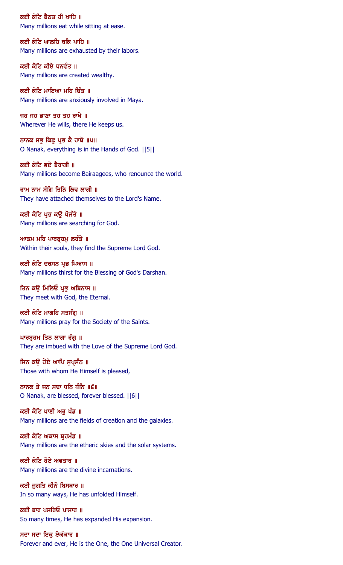ਕਈ ਕੋਟਿ ਬੈਠਤ ਹੀ ਖਾਹਿ ॥ Many millions eat while sitting at ease.

ਕਈ ਕੋਟਿ ਘਾਲਹਿ ਥਕਿ ਪਾਹਿ ॥ Many millions are exhausted by their labors.

ਕਈ ਕੋਟਿ ਕੀਏ ਧਨਵੰਤ ॥ Many millions are created wealthy.

ਕਈ ਕੋਟਿ ਮਾਇਆ ਮਹਿ ਚਿੰਤ ॥ Many millions are anxiously involved in Maya.

ਜਹ ਜਹ ਭਾਣਾ ਤਹ ਤਹ ਰਾਖੇ ॥ Wherever He wills, there He keeps us.

ਨਾਨਕ ਸਭੁ ਕਿਛੁ ਪ੍ਰਭ ਕੈ ਹਾਥੇ ॥ਪ॥ O Nanak, everything is in the Hands of God. ||5||

ਕਈ ਕੋਟਿ ਭਏ ਬੈਰਾਗੀ ॥ Many millions become Bairaagees, who renounce the world.

ਰਾਮ ਨਾਮ ਸੰਗਿ ਤਿਨਿ ਲਿਵ ਲਾਗੀ ॥ They have attached themselves to the Lord's Name.

ਕਈ ਕੋਟਿ ਪ੍ਰਭ ਕਉ ਖੋਜੰਤੇ ॥ Many millions are searching for God.

ਆਤਮ ਮਹਿ ਪਾਰਬੁਹਮ ਲਹੰਤੇ ॥ Within their souls, they find the Supreme Lord God.

ਕਈ ਕੋਟਿ ਦਰਸਨ ਪ੍ਰਭ ਪਿਆਸ ॥ Many millions thirst for the Blessing of God's Darshan.

# ਤਿਨ ਕੳ ਮਿਲਿਓ ਪਭ ਅਬਿਨਾਸ ॥

They meet with God, the Eternal.

ਕਈ ਕੋਟਿ ਮਾਗਹਿ ਸਤਸੰਗ ॥ Many millions pray for the Society of the Saints.

ਪਾਰਬੁਹਮ ਤਿਨ ਲਾਗਾ ਰੰਗੂ ॥ They are imbued with the Love of the Supreme Lord God.

ਜਿਨ ਕਉ ਹੋਏ ਆਪਿ ਸੁਪ੍ਰਸੰਨ ॥ Those with whom He Himself is pleased,

ਨਾਨਕ ਤੇ ਜਨ ਸਦਾ ਧਨਿ ਧੰਨਿ ॥੬॥ O Nanak, are blessed, forever blessed. ||6||

ਕਈ ਕੋਟਿ ਖਾਣੀ ਅਰ ਖੰਡ ॥ Many millions are the fields of creation and the galaxies.

ਕਈ ਕੋਟਿ ਅਕਾਸ ਬੁਹਮੰਡ ॥ Many millions are the etheric skies and the solar systems.

ਕਈ ਕੋਟਿ ਹੋਏ ਅਵਤਾਰ ॥ Many millions are the divine incarnations.

ਕਈ ਜਗਤਿ ਕੀਨੋ ਬਿਸਥਾਰ ॥ In so many ways, He has unfolded Himself.

ਕਈ ਬਾਰ ਪਸਰਿਓ ਪਾਸਾਰ ॥ So many times, He has expanded His expansion.

ਸਦਾ ਸਦਾ ਇਕ ਏਕੰਕਾਰ ॥ Forever and ever, He is the One, the One Universal Creator.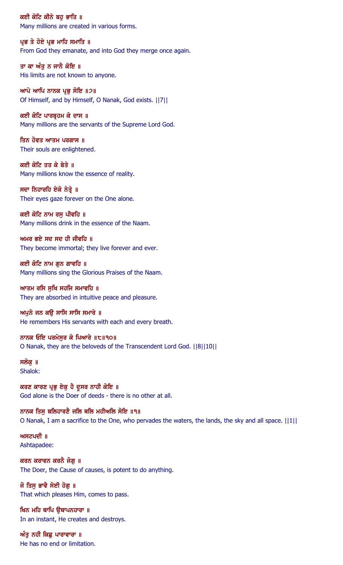ਕਈ ਕੋਟਿ ਕੀਨੇ ਬਹ ਭਾਤਿ ॥ Many millions are created in various forms.

ਪ੍ਰਭ ਤੇ ਹੋਏ ਪ੍ਰਭ ਮਾਹਿ ਸਮਾਤਿ ॥ From God they emanate, and into God they merge once again.

ਤਾ ਕਾ ਅੰਤੁ ਨ ਜਾਨੈ ਕੋਇ ॥ His limits are not known to anyone.

ਆਪੇ ਆਪਿ ਨਾਨਕ ਪ੍ਰਭੁ ਸੋਇ ॥੭॥ Of Himself, and by Himself, O Nanak, God exists. ||7||

ਕਈ ਕੋਟਿ ਪਾਰਬ੍ਰਹਮ ਕੇ ਦਾਸ ॥ Many millions are the servants of the Supreme Lord God.

ਤਿਨ ਹੋਵਤ ਆਤਮ ਪਰਗਾਸ ॥ Their souls are enlightened.

ਕਈ ਕੋਟਿ ਤਤ ਕੇ ਬੇਤੇ ॥ Many millions know the essence of reality.

ਸਦਾ ਨਿਹਾਰਹਿ ਏਕੋ ਨੇਤ੍ਰੇ ॥ Their eyes gaze forever on the One alone.

ਕਈ ਕੋਟਿ ਨਾਮ ਰਸੁ ਪੀਵਹਿ ॥ Many millions drink in the essence of the Naam.

ਅਮਰ ਭਏ ਸਦ ਸਦ ਹੀ ਜੀਵਹਿ ॥ They become immortal; they live forever and ever.

ਕਈ ਕੋਟਿ ਨਾਮ ਗੁਨ ਗਾਵਹਿ ॥ Many millions sing the Glorious Praises of the Naam.

ਆਤਮ ਰਸਿ ਸਖਿ ਸਹਜਿ ਸਮਾਵਹਿ ॥ They are absorbed in intuitive peace and pleasure.

ਅਪਨੇ ਜਨ ਕੳ ਸਾਸਿ ਸਾਸਿ ਸਮਾਰੇ ॥ He remembers His servants with each and every breath.

ਨਾਨਕ ਓਇ ਪਰਮੇਸੁਰ ਕੇ ਪਿਆਰੇ ॥੮॥੧੦॥ O Nanak, they are the beloveds of the Transcendent Lord God. ||8||10||

ਸਲੋਕੁ ॥ Shalok:

ਕਰਣ ਕਾਰਣ ਪ੍ਰਭੁ ਏਕੁ ਹੈ ਦੂਸਰ ਨਾਹੀ ਕੋਇ ॥ God alone is the Doer of deeds - there is no other at all.

ਨਾਨਕ ਤਿਸੁ ਬਲਿਹਾਰਣੈ ਜਲਿ ਥਲਿ ਮਹੀਅਲਿ ਸੋਇ ॥੧॥ O Nanak, I am a sacrifice to the One, who pervades the waters, the lands, the sky and all space. ||1||

ਅਸਟਪਦੀ $\parallel$   $\parallel$ Ashtapadee:

ਕਰਨ ਕਰਾਵਨ ਕਰਨੈ ਜੋਗੂ ॥ The Doer, the Cause of causes, is potent to do anything.

ਜੋ ਤਿਸੁ ਭਾਵੈ ਸੋਈ ਹੋਗੂ ॥ That which pleases Him, comes to pass.

ਖਿਨ ਮਹਿ ਥਾਪਿ ੳਥਾਪਨਹਾਰਾ ॥ In an instant, He creates and destroys.

ਅੰਤੂ ਨਹੀ ਕਿਛੂ ਪਾਰਾਵਾਰਾ ॥ He has no end or limitation.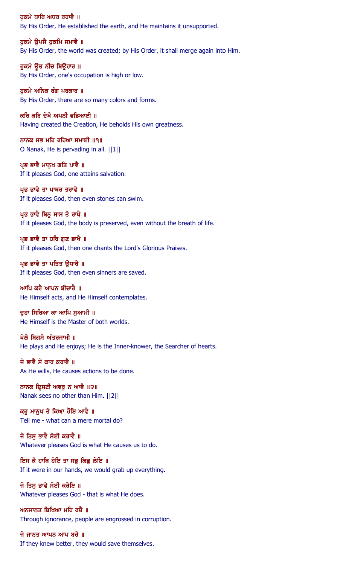ਹਕਮੇ ਧਾਰਿ ਅਧਰ ਰਹਾਵੈ ॥ By His Order, He established the earth, and He maintains it unsupported.

ਹਕਮੇ ੳਪਜੈ ਹਕਮਿ ਸਮਾਵੈ ॥ By His Order, the world was created; by His Order, it shall merge again into Him.

ਹੁਕਮੇ ਉਚ ਨੀਚ ਬਿਉਹਾਰ ॥ By His Order, one's occupation is high or low.

ਹੁਕਮੇ ਅਨਿਕ ਰੰਗ ਪਰਕਾਰ ॥ By His Order, there are so many colors and forms.

ਕਰਿ ਕਰਿ ਦੇਖੈ ਅਪਨੀ ਵਡਿਆਈ ॥ Having created the Creation, He beholds His own greatness.

ਨਾਨਕ ਸਭ ਮਹਿ ਰਹਿਆ ਸਮਾਈ ॥੧॥ O Nanak, He is pervading in all. ||1||

ਪ੍ਰਭ ਭਾਵੈ ਮਾਨਖ ਗਤਿ ਪਾਵੈ ॥ If it pleases God, one attains salvation.

ਪ੍ਰਭ ਭਾਵੈ ਤਾ ਪਾਥਰ ਤਰਾਵੈ ॥ If it pleases God, then even stones can swim.

ਪ੍ਰਭ ਭਾਵੈ ਬਿਨ੍ਹ ਸਾਸ ਤੇ ਰਾਖੈ ॥ If it pleases God, the body is preserved, even without the breath of life.

ਪ੍ਰਭ ਭਾਵੈ ਤਾ ਹਰਿ ਗਣ ਭਾਖੈ ॥ If it pleases God, then one chants the Lord's Glorious Praises.

ਪ੍ਰਭ ਭਾਵੈ ਤਾ ਪਤਿਤ ਉਧਾਰੈ ॥ If it pleases God, then even sinners are saved.

ਆਪਿ ਕਰੈ ਆਪਨ ਬੀਚਾਰੈ ॥ He Himself acts, and He Himself contemplates.

ਦਹਾ ਸਿਰਿਆ ਕਾ ਆਪਿ ਸਆਮੀ ॥ He Himself is the Master of both worlds.

ਖੇਲੈ ਬਿਗਸੈ ਅੰਤਰਜਾਮੀ ॥ He plays and He enjoys; He is the Inner-knower, the Searcher of hearts.

ਜੋ ਭਾਵੈ ਸੋ ਕਾਰ ਕਰਾਵੈ ॥ As He wills, He causes actions to be done.

ਨਾਨਕ ਦ੍ਰਿਸਟੀ ਅਵਰੂ ਨ ਆਵੈ ॥੨॥ Nanak sees no other than Him. ||2||

ਕਹ ਮਾਨਖ ਤੇ ਕਿਆ ਹੋਇ ਆਵੈ ॥ Tell me - what can a mere mortal do?

ਜੋ ਤਿਸ ਭਾਵੈ ਸੋਈ ਕਰਾਵੈ ॥ Whatever pleases God is what He causes us to do.

ਇਸ ਕੈ ਹਾਥਿ ਹੋਇ ਤਾ ਸਭੂ ਕਿਛੂ ਲੇਇ ॥ If it were in our hands, we would grab up everything.

ਜੋ ਤਿਸੁ ਭਾਵੈ ਸੋਈ ਕਰੇਇ ॥ Whatever pleases God - that is what He does.

ਅਨਜਾਨਤ ਬਿਖਿਆ ਮਹਿ ਰਚੈ ॥ Through ignorance, people are engrossed in corruption.

ਜੇ ਜਾਨਤ ਆਪਨ ਆਪ ਬਚੈ ॥ If they knew better, they would save themselves.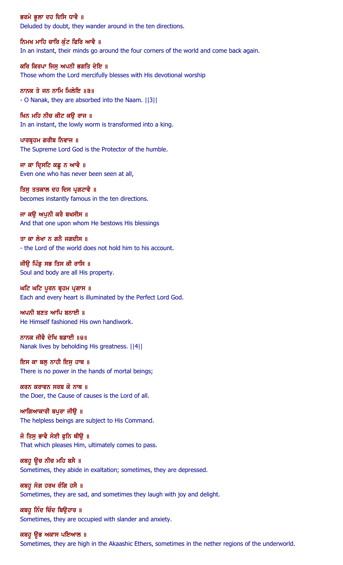ਭਰਮੇ ਭੁਲਾ ਦਹ ਦਿਸਿ ਧਾਵੈ ॥ Deluded by doubt, they wander around in the ten directions.

ਨਿਮਖ ਮਾਹਿ ਚਾਰਿ ਕੰਟ ਫਿਰਿ ਆਵੈ ॥ In an instant, their minds go around the four corners of the world and come back again.

ਕਰਿ ਕਿਰਪਾ ਜਿਸੂ ਅਪਨੀ ਭਗਤਿ ਦੇਇ ॥ Those whom the Lord mercifully blesses with His devotional worship

ਨਾਨਕ ਤੇ ਜਨ ਨਾਮਿ ਮਿਲੇਇ ॥੩॥ - O Nanak, they are absorbed into the Naam. ||3||

ਖਿਨ ਮਹਿ ਨੀਚ ਕੀਟ ਕਉ ਰਾਜ ॥ In an instant, the lowly worm is transformed into a king.

ਪਾਰਬ੍ਰਹਮ ਗਰੀਬ ਨਿਵਾਜ ॥ The Supreme Lord God is the Protector of the humble.

ਜਾ ਕਾ ਦ੍ਰਿਸਟਿ ਕਛੂ ਨ ਆਵੈ ॥ Even one who has never been seen at all,

ਤਿਸੁ ਤਤਕਾਲ ਦਹ ਦਿਸ ਪ੍ਰਗਟਾਵੈ ॥ becomes instantly famous in the ten directions.

ਜਾ ਕਉ ਅਪੁਨੀ ਕਰੈ ਬਖਸੀਸ ॥ And that one upon whom He bestows His blessings

ਤਾ ਕਾ ਲੇਖਾ ਨ ਗਨੈ ਜਗਦੀਸ ॥ - the Lord of the world does not hold him to his account.

ਜੀਉ ਪਿੰਡੂ ਸਭ ਤਿਸ ਕੀ ਰਾਸਿ ॥ Soul and body are all His property.

ਘਟਿ ਘਟਿ ਪੂਰਨ ਬ੍ਰਹਮ ਪ੍ਰਗਾਸ ॥ Each and every heart is illuminated by the Perfect Lord God.

ਅਪਨੀ ਬਣਤ ਆਪਿ ਬਨਾਈ $\,$  ॥ He Himself fashioned His own handiwork.

ਨਾਨਕ ਜੀਵੈ ਦੇਖਿ ਬਡਾਈ ॥੪॥ Nanak lives by beholding His greatness. ||4||

ਇਸ ਕਾ ਬਲੂ ਨਾਹੀ ਇਸੁ ਹਾਥ ॥ There is no power in the hands of mortal beings;

ਕਰਨ ਕਰਾਵਨ ਸਰਬ ਕੋ ਨਾਥ ॥ the Doer, the Cause of causes is the Lord of all.

ਆਗਿਆਕਾਰੀ ਬਪੁਰਾ ਜੀਉ ॥ The helpless beings are subject to His Command.

ਜੋ ਤਿਸ ਭਾਵੈ ਸੋਈ ਫਨਿ ਥੀੳ ॥ That which pleases Him, ultimately comes to pass.

ਕਬਹੁ ਉਚ ਨੀਚ ਮਹਿ ਬਸੈ ॥ Sometimes, they abide in exaltation; sometimes, they are depressed.

ਕਬਹੁ ਸੋਗ ਹਰਖ ਰੰਗਿ ਹਸੈ ॥ Sometimes, they are sad, and sometimes they laugh with joy and delight.

ਕਬਹੁ ਨਿੰਦ ਚਿੰਦ ਬਿੳਹਾਰ ॥ Sometimes, they are occupied with slander and anxiety.

ਕਬਹੁ ਉਭ ਅਕਾਸ ਪਇਆਲ ॥ Sometimes, they are high in the Akaashic Ethers, sometimes in the nether regions of the underworld.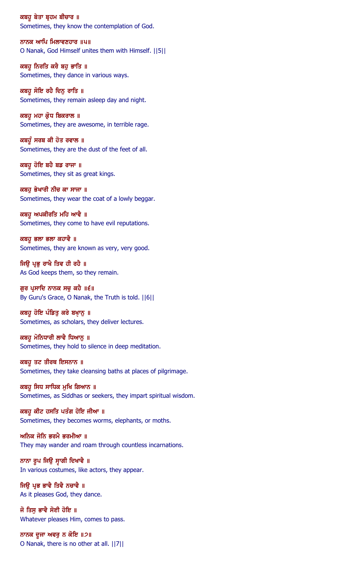ਕਬਹੁ ਬੇਤਾ ਬ੍ਰਹਮ ਬੀਚਾਰ ॥ Sometimes, they know the contemplation of God.

ਨਾਨਕ ਆਪਿ ਮਿਲਾਵਣਹਾਰ ॥੫॥ O Nanak, God Himself unites them with Himself. ||5||

ਕਬਹੁ ਨਿਰਤਿ ਕਰੈ ਬਹੁ ਭਾਤਿ ॥ Sometimes, they dance in various ways.

ਕਬਹੁ ਸੋਇ ਰਹੈ ਦਿਨੁ ਰਾਤਿ ॥ Sometimes, they remain asleep day and night.

ਕਬਹੁ ਮਹਾ ਕ੍ਰੋਧ ਬਿਕਰਾਲ ॥ Sometimes, they are awesome, in terrible rage.

ਕਬਹੁੰ ਸਰਬ ਕੀ ਹੋਤ ਰਵਾਲ ॥ Sometimes, they are the dust of the feet of all.

ਕਬਹੁ ਹੋਇ ਬਹੈ ਬਡ ਰਾਜਾ ॥ Sometimes, they sit as great kings.

ਕਬਹੁ ਭੇਖਾਰੀ ਨੀਚ ਕਾ ਸਾਜਾ ॥ Sometimes, they wear the coat of a lowly beggar.

ਕਬਹੁ ਅਪਕੀਰਤਿ ਮਹਿ ਆਵੈ ॥ Sometimes, they come to have evil reputations.

ਕਬਹੁ ਭਲਾ ਭਲਾ ਕਹਾਵੈ ॥ Sometimes, they are known as very, very good.

ਜਿਉ ਪ੍ਰਭੂ ਰਾਖੈ ਤਿਵ ਹੀ ਰਹੈ ॥ As God keeps them, so they remain.

ਗੁਰ ਪ੍ਰਸਾਦਿ ਨਾਨਕ ਸਚੁ ਕਹੈ ॥੬॥ By Guru's Grace, O Nanak, the Truth is told. ||6||

ਕਬਹੁ ਹੋਇ ਪੰਡਿਤੂ ਕਰੇ ਬਖ਼ਾਨੂ ॥ Sometimes, as scholars, they deliver lectures.

ਕਬਹੂ ਮੋਨਿਧਾਰੀ ਲਾਵੈ ਧਿਆਨੁ ॥ Sometimes, they hold to silence in deep meditation.

ਕਬਹੁ ਤਟ ਤੀਰਥ ਇਸਨਾਨ ॥ Sometimes, they take cleansing baths at places of pilgrimage.

ਕਬਹੁ ਸਿਧ ਸਾਧਿਕ ਮੁਖਿ ਗਿਆਨ ॥ Sometimes, as Siddhas or seekers, they impart spiritual wisdom.

ਕਬਹੁ ਕੀਟ ਹਸਤਿ ਪਤੰਗ ਹੋਇ ਜੀਆ ॥ Sometimes, they becomes worms, elephants, or moths.

ਅਨਿਕ ਜੋਨਿ ਭਰਮੈ ਭਰਮੀਆ ॥ They may wander and roam through countless incarnations.

ਨਾਨਾ ਰੁਪ ਜਿਉ ਸੁਾਗੀ ਦਿਖਾਵੈ ॥ In various costumes, like actors, they appear.

ਜਿਉ ਪ੍ਰਭ ਭਾਵੈ ਤਿਵੈ ਨਚਾਵੈ ॥ As it pleases God, they dance.

ਜੋ ਤਿਸ ਭਾਵੈ ਸੋਈ ਹੋਇ ॥ Whatever pleases Him, comes to pass.

ਨਾਨਕ ਦੂਜਾ ਅਵਰੁ ਨ ਕੋਇ ॥੭॥ O Nanak, there is no other at all. ||7||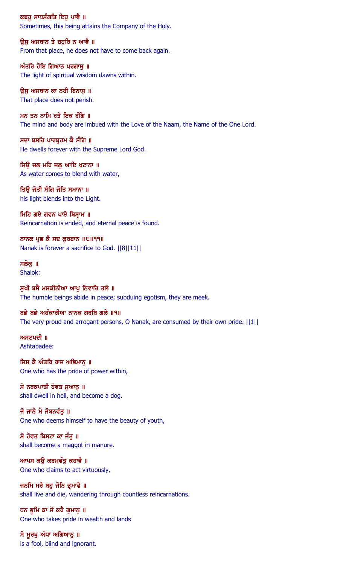ਕਬਹੁ ਸਾਧਸੰਗਤਿ ਇਹੁ ਪਾਵੈ ॥ Sometimes, this being attains the Company of the Holy.

ਉਸੁ ਅਸਥਾਨ ਤੇ ਬਹੁਰਿ ਨ ਆਵੈ ॥ From that place, he does not have to come back again.

ਅੰਤਰਿ ਹੋਇ ਗਿਆਨ ਪਰਗਾਸੁ ॥ The light of spiritual wisdom dawns within.

ਉਸੁ ਅਸਥਾਨ ਕਾ ਨਹੀ ਬਿਨਾਸੁ ॥ That place does not perish.

ਮਨ ਤਨ ਨਾਮਿ ਰਤੇ ਇਕ ਰੰਗਿ ॥ The mind and body are imbued with the Love of the Naam, the Name of the One Lord.

ਸਦਾ ਬਸਹਿ ਪਾਰਬੁਹਮ ਕੈ ਸੰਗਿ ॥ He dwells forever with the Supreme Lord God.

ਜਿੳ ਜਲ ਮਹਿ ਜਲ ਆਇ ਖਟਾਨਾ ॥ As water comes to blend with water,

ਤਿਉ ਜੋਤੀ ਸੰਗਿ ਜੋਤਿ ਸਮਾਨਾ ॥ his light blends into the Light.

ਮਿਟਿ ਗਏ ਗਵਨ ਪਾਏ ਬਿਸ਼ਾਮ ॥ Reincarnation is ended, and eternal peace is found.

ਨਾਨਕ ਪ੍ਰਭ ਕੈ ਸਦ ਕੁਰਬਾਨ ॥੮॥੧੧॥ Nanak is forever a sacrifice to God. ||8||11||

ਸਲੋਕ ॥ Shalok:

ਸੁਖੀ ਬਸੈ ਮਸਕੀਨੀਆ ਆਪੂ ਨਿਵਾਰਿ ਤਲੇ ॥ The humble beings abide in peace; subduing egotism, they are meek.

ਬਡੇ ਬਡੇ ਅਹੰਕਾਰੀਆ ਨਾਨਕ ਗਰਬਿ ਗਲੇ ॥੧॥ The very proud and arrogant persons, O Nanak, are consumed by their own pride. ||1||

ਅਸਟਪਦੀ ॥ Ashtapadee:

ਜਿਸ ਕੈ ਅੰਤਰਿ ਰਾਜ ਅਭਿਮਾਨੂ ॥ One who has the pride of power within,

ਸੋ ਨਰਕਪਾਤੀ ਹੋਵਤ ਸੁਆਨੂ ॥ shall dwell in hell, and become a dog.

ਜੋ ਜਾਨੈ ਮੈ ਜੋਬਨਵੰਤੂ ॥ One who deems himself to have the beauty of youth,

ਸੋ ਹੋਵਤ ਬਿਸਟਾ ਕਾ ਜੰਤ ॥ shall become a maggot in manure.

ਆਪਸ ਕਉ ਕਰਮਵੰਤੂ ਕਹਾਵੈ ॥ One who claims to act virtuously,

ਜਨਮਿ ਮਰੈ ਬਹੁ ਜੋਨਿ ਭੁਮਾਵੈ ॥ shall live and die, wandering through countless reincarnations.

ਧਨ ਭੂਮਿ ਕਾ ਜੋ ਕਰੈ ਗੁਮਾਨੂ ॥ One who takes pride in wealth and lands

ਸੋ ਮੁਰਖੁ ਅੰਧਾ ਅਗਿਆਨੁ ॥ is a fool, blind and ignorant.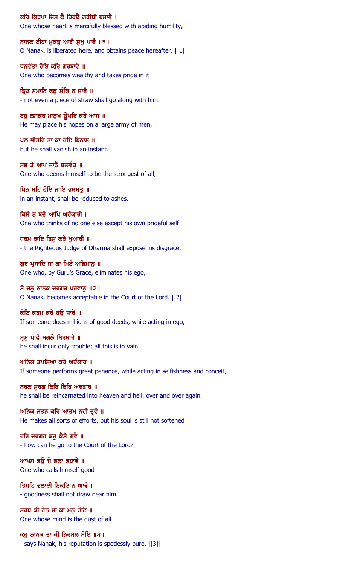ਕਰਿ ਕਿਰਪਾ ਜਿਸ ਕੈ ਹਿਰਦੈ ਗਰੀਬੀ ਬਸਾਵੈ ॥

One whose heart is mercifully blessed with abiding humility,

ਨਾਨਕ ਈਹਾ ਮੁਕਤੂ ਆਗੈ ਸੁਖੂ ਪਾਵੈ ॥੧॥ O Nanak, is liberated here, and obtains peace hereafter. ||1||

ਧਨਵੰਤਾ ਹੋਇ ਕਰਿ ਗਰਬਾਵੈ ॥ One who becomes wealthy and takes pride in it

ਤਿਣ ਸਮਾਨਿ ਕਛ ਸੰਗਿ ਨ ਜਾਵੈ ॥ - not even a piece of straw shall go along with him.

ਬਹੁ ਲਸਕਰ ਮਾਨੁਖ ਉਪਰਿ ਕਰੇ ਆਸ ॥ He may place his hopes on a large army of men,

ਪਲ ਭੀਤਰਿ ਤਾ ਕਾ ਹੋਇ ਬਿਨਾਸ ॥ but he shall vanish in an instant.

ਸਭ ਤੇ ਆਪ ਜਾਨੈ ਬਲਵੰਤ ॥ One who deems himself to be the strongest of all,

ਖਿਨ ਮਹਿ ਹੋਇ ਜਾਇ ਭਸਮੰਤੂ ॥ in an instant, shall be reduced to ashes.

ਕਿਸੈ ਨ ਬਦੈ ਆਪਿ ਅਹੰਕਾਰੀ ॥ One who thinks of no one else except his own prideful self

ਧਰਮ ਰਾਇ ਤਿਸ ਕਰੇ ਖਆਰੀ ॥ - the Righteous Judge of Dharma shall expose his disgrace.

ਗੁਰ ਪ੍ਰਸਾਦਿ ਜਾ ਕਾ ਮਿਟੈ ਅਭਿਮਾਨੂ ॥ One who, by Guru's Grace, eliminates his ego,

ਸੋ ਜਨੂ ਨਾਨਕ ਦਰਗਹ ਪਰਵਾਨੂ ॥੨॥ O Nanak, becomes acceptable in the Court of the Lord. ||2||

ਕੋਟਿ ਕਰਮ ਕਰੈ ਹੳ ਧਾਰੇ ॥ If someone does millions of good deeds, while acting in ego,

ਸ੍ਰਮੁ ਪਾਵੈ ਸਗਲੇ ਬਿਰਥਾਰੇ ॥ he shall incur only trouble; all this is in vain.

ਅਨਿਕ ਤਪਸਿਆ ਕਰੇ ਅਹੰਕਾਰ ॥ If someone performs great penance, while acting in selfishness and conceit,

ਨਰਕ ਸਰਗ ਫਿਰਿ ਫਿਰਿ ਅਵਤਾਰ ॥ he shall be reincarnated into heaven and hell, over and over again.

ਅਨਿਕ ਜਤਨ ਕਰਿ ਆਤਮ ਨਹੀ ਦੁਵੈ ॥ He makes all sorts of efforts, but his soul is still not softened

ਹਰਿ ਦਰਗਹ ਕਹ ਕੈਸੇ ਗਵੈ ॥ - how can he go to the Court of the Lord?

ਆਪਸ ਕਉ ਜੋ ਭਲਾ ਕਹਾਵੈ ॥ One who calls himself good

ਤਿਸਹਿ ਭਲਾਈ ਨਿਕਟਿ ਨ ਆਵੈ ॥ - goodness shall not draw near him.

ਸਰਬ ਕੀ ਰੇਨ ਜਾ ਕਾ ਮਨ ਹੋਇ ॥ One whose mind is the dust of all

ਕਹੁ ਨਾਨਕ ਤਾ ਕੀ ਨਿਰਮਲ ਸੋਇ ॥੩॥ - says Nanak, his reputation is spotlessly pure. ||3||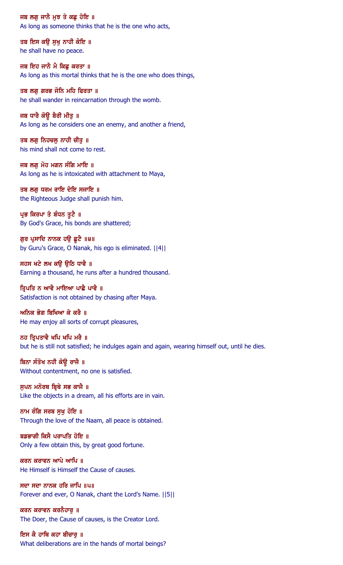ਜਬ ਲਗੂ ਜਾਨੈ ਮੁਝ ਤੇ ਕਛੂ ਹੋਇ ॥ As long as someone thinks that he is the one who acts,

ਤਬ ਇਸ ਕਉ ਸੁਖੁ ਨਾਹੀ ਕੋਇ ॥ he shall have no peace.

ਜਬ ਇਹ ਜਾਨੈ ਮੈ ਕਿਛੂ ਕਰਤਾ ॥ As long as this mortal thinks that he is the one who does things,

ਤਬ ਲਗ ਗਰਭ ਜੋਨਿ ਮਹਿ ਫਿਰਤਾ ॥ he shall wander in reincarnation through the womb.

ਜਬ ਧਾਰੈ ਕੋਉ ਬੈਰੀ ਮੀਤੁ ॥ As long as he considers one an enemy, and another a friend,

ਤਬ ਲਗੂ ਨਿਹਚਲੂ ਨਾਹੀ ਚੀਤੂ ॥ his mind shall not come to rest.

ਜਬ ਲਗ ਮੋਹ ਮਗਨ ਸੰਗਿ ਮਾਇ ॥ As long as he is intoxicated with attachment to Maya,

ਤਬ ਲਗੂ ਧਰਮ ਰਾਇ ਦੇਇ ਸਜਾਇ ॥ the Righteous Judge shall punish him.

ਪ੍ਰਭ ਕਿਰਪਾ ਤੇ ਬੰਧਨ ਤੁਟੈ ॥ By God's Grace, his bonds are shattered;

ਗੁਰ ਪ੍ਰਸਾਦਿ ਨਾਨਕ ਹਉ ਛੁਟੈ ॥੪॥ by Guru's Grace, O Nanak, his ego is eliminated. ||4||

ਸਹਸ ਖਟੇ ਲਖ ਕਉ ਉਠਿ ਧਾਵੈ ॥ Earning a thousand, he runs after a hundred thousand.

ਤ੍ਰਿਪਤਿ ਨ ਆਵੈ ਮਾਇਆ ਪਾਛੈ ਪਾਵੈ ॥ Satisfaction is not obtained by chasing after Maya.

ਅਨਿਕ ਭੋਗ ਬਿਖਿਆ ਕੇ ਕਰੈ ॥ He may enjoy all sorts of corrupt pleasures,

ਨਹ ਤਿ੍ਪਤਾਵੈ ਖਪਿ ਖਪਿ ਮਰੈ ॥ but he is still not satisfied; he indulges again and again, wearing himself out, until he dies.

ਬਿਨਾ ਸੰਤੋਖ ਨਹੀ ਕੋਉ ਰਾਜੈ ॥ Without contentment, no one is satisfied.

ਸੁਪਨ ਮਨੋਰਥ ਬ੍ਰਿਥੇ ਸਭ ਕਾਜੈ ॥ Like the objects in a dream, all his efforts are in vain.

ਨਾਮ ਰੰਗਿ ਸਰਬ ਸੁਖ ਹੋਇ ॥ Through the love of the Naam, all peace is obtained.

ਬਡਭਾਗੀ ਕਿਸੈ ਪਰਾਪਤਿ ਹੋਇ ॥ Only a few obtain this, by great good fortune.

ਕਰਨ ਕਰਾਵਨ ਆਪੇ ਆਪਿ ॥ He Himself is Himself the Cause of causes.

ਸਦਾ ਸਦਾ ਨਾਨਕ ਹਰਿ ਜਾਪਿ ॥ਪ॥ Forever and ever, O Nanak, chant the Lord's Name. ||5||

ਕਰਨ ਕਰਾਵਨ ਕਰਨੈਹਾਰ ॥ The Doer, the Cause of causes, is the Creator Lord.

ਇਸ ਕੈ ਹਾਥਿ ਕਹਾ ਬੀਚਾਰੂ ॥ What deliberations are in the hands of mortal beings?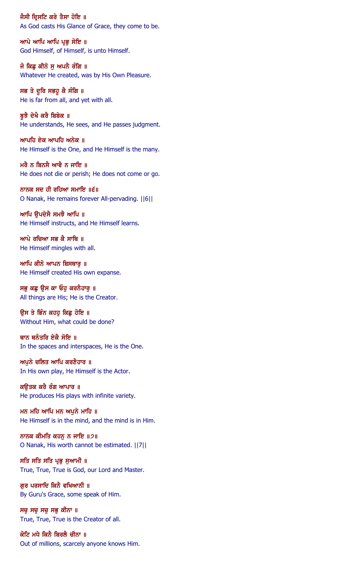ਜੈਸੀ ਦ੍ਰਿਸਟਿ ਕਰੇ ਤੈਸਾ ਹੋਇ ॥ As God casts His Glance of Grace, they come to be.

ਆਪੇ ਆਪਿ ਆਪਿ ਪ੍ਰਭੁ ਸੋਇ ॥ God Himself, of Himself, is unto Himself.

ਜੋ ਕਿਛੂ ਕੀਨੋ ਸੁ ਅਪਨੈ ਰੰਗਿ ॥ Whatever He created, was by His Own Pleasure.

ਸਭ ਤੇ ਦੁਰਿ ਸਭਹੁ ਕੈ ਸੰਗਿ ॥ He is far from all, and yet with all.

ਸੂਝੈ ਦੇਖੈ ਕਰੈ ਬਿਬੇਕ ॥ He understands, He sees, and He passes judgment.

ਆਪਹਿ ਏਕ ਆਪਹਿ ਅਨੇਕ ॥ He Himself is the One, and He Himself is the many.

ਮਰੈ ਨ ਬਿਨਸੈ ਆਵੈ ਨ ਜਾਇ ॥ He does not die or perish; He does not come or go.

ਨਾਨਕ ਸਦ ਹੀ ਰਹਿਆ ਸਮਾਇ ॥੬॥ O Nanak, He remains forever All-pervading. ||6||

ਆਪਿ ਉਪਦੇਸੈ ਸਮਝੈ ਆਪਿ ॥ He Himself instructs, and He Himself learns.

ਆਪੇ ਰਚਿਆ ਸਭ ਕੈ ਸਾਥਿ ॥ He Himself mingles with all.

ਆਪਿ ਕੀਨੋ ਆਪਨ ਬਿਸਥਾਰੂ ॥ He Himself created His own expanse.

ਸਭੁ ਕਛੁ ਉਸ ਕਾ ਓਹੁ ਕਰਨੈਹਾਰੂ ॥ All things are His; He is the Creator.

ਉਸ ਤੇ ਭਿੰਨ ਕਹਹੁ ਕਿਛੁ ਹੋਇ ॥ Without Him, what could be done?

ਥਾਨ ਥਨੰਤਰਿ ਏਕੈ ਸੋਇ ॥ In the spaces and interspaces, He is the One.

ਅਪੁਨੇ ਚਲਿਤ ਆਪਿ ਕਰਣੈਹਾਰ ॥ In His own play, He Himself is the Actor.

ਕਉਤਕ ਕਰੈ ਰੰਗ ਆਪਾਰ ॥ He produces His plays with infinite variety.

ਮਨ ਮਹਿ ਆਪਿ ਮਨ ਅਪੁਨੇ ਮਾਹਿ ॥ He Himself is in the mind, and the mind is in Him.

ਨਾਨਕ ਕੀਮਤਿ ਕਹਨ ਨ ਜਾਇ ॥੭॥ O Nanak, His worth cannot be estimated. ||7||

ਸਤਿ ਸਤਿ ਸਤਿ ਪ੍ਰਭੁ ਸੁਆਮੀ ॥ True, True, True is God, our Lord and Master.

ਗੁਰ ਪਰਸਾਦਿ ਕਿਨੈ ਵਖਿਆਨੀ ॥ By Guru's Grace, some speak of Him.

ਸਚ ਸਚ ਸਭ ਕੀਨਾ ॥ True, True, True is the Creator of all.

ਕੋਟਿ ਮਧੇ ਕਿਨੈ ਬਿਰਲੈ ਚੀਨਾ ॥ Out of millions, scarcely anyone knows Him.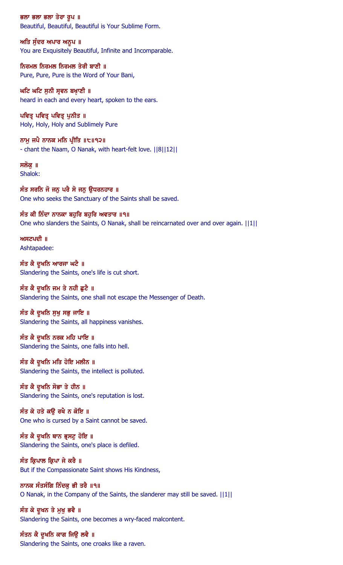ਭਲਾ ਭਲਾ ਭਲਾ ਤੇਰਾ ਰੂਪ ॥ Beautiful, Beautiful, Beautiful is Your Sublime Form.

ਅਤਿ ਸੁੰਦਰ ਅਪਾਰ ਅਨੁਪ ॥ You are Exquisitely Beautiful, Infinite and Incomparable.

ਨਿਰਮਲ ਨਿਰਮਲ ਨਿਰਮਲ ਤੇਰੀ ਬਾਣੀ ॥ Pure, Pure, Pure is the Word of Your Bani,

ਘਟਿ ਘਟਿ ਸੁਨੀ ਸ੍ਰਵਨ ਬਖਾਣੀ ॥ heard in each and every heart, spoken to the ears.

ਪਵਿਤ੍ਰ ਪਵਿਤ੍ਰ ਪੁਨੀਤ ॥ Holy, Holy, Holy and Sublimely Pure

ਨਾਮੂ ਜਪੈ ਨਾਨਕ ਮਨਿ ਪ੍ਰੀਤਿ ॥੮॥੧੨॥ - chant the Naam, O Nanak, with heart-felt love. ||8||12||

ਸਲੋਕ ॥ Shalok:

ਸੰਤ ਸਰਨਿ ਜੋ ਜਨੁ ਪਰੈ ਸੋ ਜਨੁ ਉਧਰਨਹਾਰ ॥ One who seeks the Sanctuary of the Saints shall be saved.

ਸੰਤ ਕੀ ਨਿੰਦਾ ਨਾਨਕਾ ਬਹੁਰਿ ਬਹੁਰਿ ਅਵਤਾਰ ॥੧॥ One who slanders the Saints, O Nanak, shall be reincarnated over and over again. ||1||

ਅਸਟਪਦੀ ॥ Ashtapadee:

ਸੰਤ ਕੈ ਦੁਖਨਿ ਆਰਜਾ ਘਟੈ ॥ Slandering the Saints, one's life is cut short.

ਸੰਤ ਕੈ ਦੁਖਨਿ ਜਮ ਤੇ ਨਹੀ ਛੁਟੈ ॥ Slandering the Saints, one shall not escape the Messenger of Death.

ਸੰਤ ਕੈ ਦੂਖਨਿ ਸੁਖੁ ਸਭੁ ਜਾਇ ॥ Slandering the Saints, all happiness vanishes.

ਸੰਤ ਕੈ ਦੁਖਨਿ ਨਰਕ ਮਹਿ ਪਾਇ ॥ Slandering the Saints, one falls into hell.

ਸੰਤ ਕੈ ਦੁਖਨਿ ਮਤਿ ਹੋਇ ਮਲੀਨ ॥ Slandering the Saints, the intellect is polluted.

ਸੰਤ ਕੈ ਦੁਖਨਿ ਸੋਭਾ ਤੇ ਹੀਨ ॥ Slandering the Saints, one's reputation is lost.

ਸੰਤ ਕੇ ਹਤੇ ਕਉ ਰਖੈ ਨ ਕੋਇ ॥ One who is cursed by a Saint cannot be saved.

ਸੰਤ ਕੈ ਦੁਖਨਿ ਥਾਨ ਭ੍ਰਸਟੁ ਹੋਇ ॥ Slandering the Saints, one's place is defiled.

ਸੰਤ ਕ੍ਰਿਪਾਲ ਕ੍ਰਿਪਾ ਜੇ ਕਰੈ ॥ But if the Compassionate Saint shows His Kindness,

ਨਾਨਕ ਸੰਤਸੰਗਿ ਨਿੰਦਕੂ ਭੀ ਤਰੈ ॥੧॥ O Nanak, in the Company of the Saints, the slanderer may still be saved. ||1||

ਸੰਤ ਕੇ ਦੁਖਨ ਤੇ ਮੁਖੁ ਭਵੈ ॥ Slandering the Saints, one becomes a wry-faced malcontent.

ਸੰਤਨ ਕੈ ਦੁਖਨਿ ਕਾਗ ਜਿਉ ਲਵੈ ॥ Slandering the Saints, one croaks like a raven.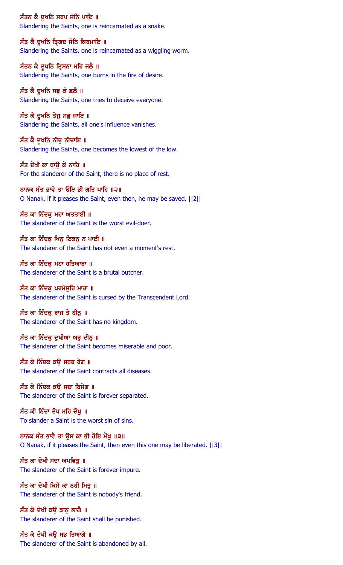ਸੰਤਨ ਕੈ ਦੁਖਨਿ ਸਰਪ ਜੋਨਿ ਪਾਇ ॥ Slandering the Saints, one is reincarnated as a snake.

ਸੰਤ ਕੈ ਦੁਖਨਿ ਤ੍ਰਿਗਦ ਜੋਨਿ ਕਿਰਮਾਇ ॥ Slandering the Saints, one is reincarnated as a wiggling worm.

ਸੰਤਨ ਕੈ ਦੁਖਨਿ ਤ੍ਰਿਸਨਾ ਮਹਿ ਜਲੈ ॥ Slandering the Saints, one burns in the fire of desire.

ਸੰਤ ਕੈ ਦੁਖਨਿ ਸਭੁ ਕੋ ਛਲੈ ॥ Slandering the Saints, one tries to deceive everyone.

ਸੰਤ ਕੈ ਦੁਖਨਿ ਤੇਜੁ ਸਭੁ ਜਾਇ ॥ Slandering the Saints, all one's influence vanishes.

ਸੰਤ ਕੈ ਦੁਖਨਿ ਨੀਚੁ ਨੀਚਾਇ ॥ Slandering the Saints, one becomes the lowest of the low.

ਸੰਤ ਦੋਖੀ ਕਾ ਥਾੳ ਕੋ ਨਾਹਿ ॥ For the slanderer of the Saint, there is no place of rest.

ਨਾਨਕ ਸੰਤ ਭਾਵੈ ਤਾ ਓਇ ਭੀ ਗਤਿ ਪਾਹਿ ॥੨॥ O Nanak, if it pleases the Saint, even then, he may be saved. ||2||

ਸੰਤ ਕਾ ਨਿੰਦਕੁ ਮਹਾ ਅਤਤਾਈ ॥ The slanderer of the Saint is the worst evil-doer.

ਸੰਤ ਕਾ ਨਿੰਦਕ ਖਿਨ ਟਿਕਨ ਨ ਪਾਈ ॥ The slanderer of the Saint has not even a moment's rest.

ਸੰਤ ਕਾ ਨਿੰਦਕ ਮਹਾ ਹਤਿਆਰਾ ॥ The slanderer of the Saint is a brutal butcher.

ਸੰਤ ਕਾ ਨਿੰਦਕ ਪਰਮੇਸਰਿ ਮਾਰਾ ॥ The slanderer of the Saint is cursed by the Transcendent Lord.

ਸੰਤ ਕਾ ਨਿੰਦਕੁ ਰਾਜ ਤੇ ਹੀਨੂ ॥ The slanderer of the Saint has no kingdom.

ਸੰਤ ਕਾ ਨਿੰਦਕੁ ਦੁਖੀਆ ਅਰੁ ਦੀਨੁ ॥ The slanderer of the Saint becomes miserable and poor.

ਸੰਤ ਕੇ ਨਿੰਦਕ ਕਉ ਸਰਬ ਰੋਗ ॥ The slanderer of the Saint contracts all diseases.

ਸੰਤ ਕੇ ਨਿੰਦਕ ਕੳ ਸਦਾ ਬਿਜੋਗ ॥ The slanderer of the Saint is forever separated.

ਸੰਤ ਕੀ ਨਿੰਦਾ ਦੋਖ ਮਹਿ ਦੋਖ ॥ To slander a Saint is the worst sin of sins.

ਨਾਨਕ ਸੰਤ ਭਾਵੈ ਤਾ ੳਸ ਕਾ ਭੀ ਹੋਇ ਮੋਖ ॥੩॥ O Nanak, if it pleases the Saint, then even this one may be liberated. ||3||

ਸੰਤ ਕਾ ਦੋਖੀ ਸਦਾ ਅਪਵਿਤੁ ॥ The slanderer of the Saint is forever impure.

ਸੰਤ ਕਾ ਦੋਖੀ ਕਿਸੈ ਕਾ ਨਹੀ ਮਿਤੁ ॥ The slanderer of the Saint is nobody's friend.

ਸੰਤ ਕੇ ਦੋਖੀ ਕੳ ਡਾਨ ਲਾਗੈ ॥ The slanderer of the Saint shall be punished.

ਸੰਤ ਕੇ ਦੋਖੀ ਕਉ ਸਭ ਤਿਆਗੈ ॥ The slanderer of the Saint is abandoned by all.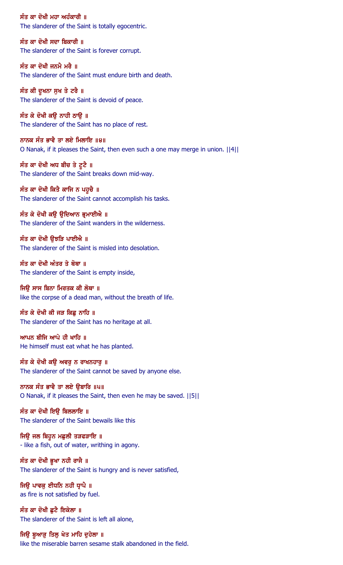ਸੰਤ ਕਾ ਦੋਖੀ ਮਹਾ ਅਹੰਕਾਰੀ ॥ The slanderer of the Saint is totally egocentric.

ਸੰਤ ਕਾ ਦੋਖੀ ਸਦਾ ਬਿਕਾਰੀ ॥ The slanderer of the Saint is forever corrupt.

ਸੰਤ ਕਾ ਦੋਖੀ ਜਨਮੈ ਮਰੈ ॥ The slanderer of the Saint must endure birth and death.

ਸੰਤ ਕੀ ਦੁਖਨਾ ਸੁਖ ਤੇ ਟਰੈ ॥ The slanderer of the Saint is devoid of peace.

ਸੰਤ ਕੇ ਦੋਖੀ ਕਉ ਨਾਹੀ ਠਾਉ ॥ The slanderer of the Saint has no place of rest.

ਨਾਨਕ ਸੰਤ ਭਾਵੈ ਤਾ ਲਏ ਮਿਲਾਇ ॥੪॥ O Nanak, if it pleases the Saint, then even such a one may merge in union. ||4||

ਸੰਤ ਕਾ ਦੋਖੀ ਅਧ ਬੀਚ ਤੇ ਟੁਟੈ ॥ The slanderer of the Saint breaks down mid-way.

ਸੰਤ ਕਾ ਦੋਖੀ ਕਿਤੈ ਕਾਜਿ ਨ ਪਹੁਚੈ ॥ The slanderer of the Saint cannot accomplish his tasks.

ਸੰਤ ਕੇ ਦੋਖੀ ਕਉ ਉਦਿਆਨ ਭੁਮਾਈਐ ॥ The slanderer of the Saint wanders in the wilderness.

ਸੰਤ ਕਾ ਦੋਖੀ ੳਝੜਿ ਪਾਈਐ ॥ The slanderer of the Saint is misled into desolation.

ਸੰਤ ਕਾ ਦੋਖੀ ਅੰਤਰ ਤੇ ਥੋਥਾ ॥ The slanderer of the Saint is empty inside,

ਜਿੳ ਸਾਸ ਬਿਨਾ ਮਿਰਤਕ ਕੀ ਲੋਥਾ ॥ like the corpse of a dead man, without the breath of life.

ਸੰਤ ਕੇ ਦੋਖੀ ਕੀ ਜੜ ਕਿਛ ਨਾਹਿ ॥ The slanderer of the Saint has no heritage at all.

ਆਪਨ ਬੀਜਿ ਆਪੇ ਹੀ ਖਾਹਿ ॥ He himself must eat what he has planted.

ਸੰਤ ਕੇ ਦੋਖੀ ਕਉ ਅਵਰੁ ਨ ਰਾਖਨਹਾਰੁ ॥ The slanderer of the Saint cannot be saved by anyone else.

ਨਾਨਕ ਸੰਤ ਭਾਵੈ ਤਾ ਲਏ ਉਬਾਰਿ ॥੫॥ O Nanak, if it pleases the Saint, then even he may be saved. ||5||

ਸੰਤ ਕਾ ਦੋਖੀ ਇੳ ਬਿਲਲਾਇ ॥ The slanderer of the Saint bewails like this

ਜਿਉ ਜਲ ਬਿਹੁਨ ਮਛੁਲੀ ਤੜਫੜਾਇ ॥ - like a fish, out of water, writhing in agony.

ਸੰਤ ਕਾ ਦੋਖੀ ਭੂਖਾ ਨਹੀ ਰਾਜੈ ॥ The slanderer of the Saint is hungry and is never satisfied,

ਜਿਉ ਪਾਵਕੂ ਈਧਨਿ ਨਹੀ ਧ੍ਰਾਪੈ ॥ as fire is not satisfied by fuel.

ਸੰਤ ਕਾ ਦੋਖੀ ਛਟੈ ਇਕੇਲਾ ॥ The slanderer of the Saint is left all alone,

ਜਿਉ ਬੁਆੜੂ ਤਿਲੂ ਖੇਤ ਮਾਹਿ ਦੁਹੇਲਾ ॥ like the miserable barren sesame stalk abandoned in the field.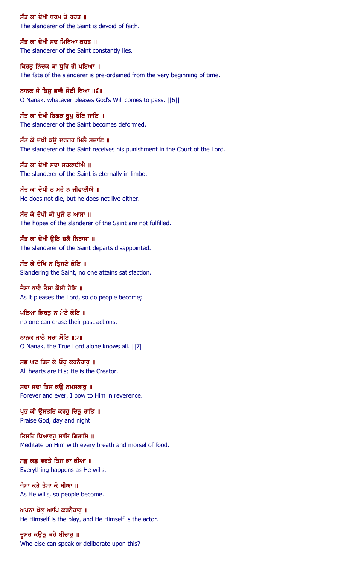ਸੰਤ ਕਾ ਦੋਖੀ ਧਰਮ ਤੇ ਰਹਤ ॥ The slanderer of the Saint is devoid of faith.

ਸੰਤ ਕਾ ਦੋਖੀ ਸਦ ਮਿਥਿਆ ਕਹਤ ॥ The slanderer of the Saint constantly lies.

ਕਿਰਤੂ ਨਿੰਦਕ ਕਾ ਧੁਰਿ ਹੀ ਪਇਆ ॥ The fate of the slanderer is pre-ordained from the very beginning of time.

ਨਾਨਕ ਜੋ ਤਿਸੁ ਭਾਵੈ ਸੋਈ ਥਿਆ ॥੬॥ O Nanak, whatever pleases God's Will comes to pass. ||6||

ਸੰਤ ਕਾ ਦੋਖੀ ਬਿਗੜ ਰੁਪੁ ਹੋਇ ਜਾਇ ॥ The slanderer of the Saint becomes deformed.

ਸੰਤ ਕੇ ਦੋਖੀ ਕਉ ਦਰਗਹ ਮਿਲੈ ਸਜਾਇ ॥ The slanderer of the Saint receives his punishment in the Court of the Lord.

ਸੰਤ ਕਾ ਦੋਖੀ ਸਦਾ ਸਹਕਾਈਐ ॥ The slanderer of the Saint is eternally in limbo.

ਸੰਤ ਕਾ ਦੋਖੀ ਨ ਮਰੈ ਨ ਜੀਵਾਈਐ ॥ He does not die, but he does not live either.

ਸੰਤ ਕੇ ਦੋਖੀ ਕੀ ਪੂਜੈ ਨ ਆਸਾ ॥ The hopes of the slanderer of the Saint are not fulfilled.

ਸੰਤ ਕਾ ਦੋਖੀ ੳਠਿ ਚਲੈ ਨਿਰਾਸਾ ॥ The slanderer of the Saint departs disappointed.

ਸੰਤ ਕੈ ਦੋਖਿ ਨ ਤ੍ਰਿਸਟੈ ਕੋਇ ॥ Slandering the Saint, no one attains satisfaction.

ਜੈਸਾ ਭਾਵੈ ਤੈਸਾ ਕੋਈ ਹੋਇ ॥ As it pleases the Lord, so do people become;

ਪਇਆ ਕਿਰਤ ਨ ਮੇਟੈ ਕੋਇ ॥ no one can erase their past actions.

ਨਾਨਕ ਜਾਨੈ ਸਚਾ ਸੋਇ ॥੭॥ O Nanak, the True Lord alone knows all. ||7||

ਸਭ ਘਟ ਤਿਸ ਕੇ ਓਹੁ ਕਰਨੈਹਾਰੁ ॥ All hearts are His; He is the Creator.

ਸਦਾ ਸਦਾ ਤਿਸ ਕਉ ਨਮਸਕਾਰੁ ॥ Forever and ever, I bow to Him in reverence.

ਪ੍ਰਭ ਕੀ ਉਸਤਤਿ ਕਰਹੁ ਦਿਨ੍ਹ ਰਾਤਿ ॥ Praise God, day and night.

ਤਿਸਹਿ ਧਿਆਵਹ ਸਾਸਿ ਗਿਰਾਸਿ ॥ Meditate on Him with every breath and morsel of food.

ਸਭੁ ਕਛੁ ਵਰਤੈ ਤਿਸ ਕਾ ਕੀਆ ॥ Everything happens as He wills.

ਜੈਸਾ ਕਰੇ ਤੈਸਾ ਕੋ ਥੀਆ ॥ As He wills, so people become.

ਅਪਨਾ ਖੇਲ ਆਪਿ ਕਰਨੈਹਾਰ ॥ He Himself is the play, and He Himself is the actor.

ਦੁਸਰ ਕਉਨੂ ਕਹੈ ਬੀਚਾਰੂ ॥ Who else can speak or deliberate upon this?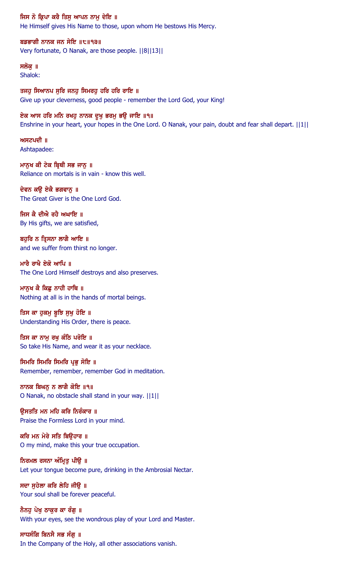#### ਜਿਸ ਨੋ ਕ੍ਰਿਪਾ ਕਰੈ ਤਿਸੁ ਆਪਨ ਨਾਮੁ ਦੇਇ ॥

He Himself gives His Name to those, upon whom He bestows His Mercy.

### ਬਡਭਾਗੀ ਨਾਨਕ ਜਨ ਸੇਇ ॥੮॥੧੩॥

Very fortunate, O Nanak, are those people. ||8||13||

## ਸਲੋਕ ॥

Shalok:

ਤਜਹੁ ਸਿਆਨਪ ਸੁਰਿ ਜਨਹੁ ਸਿਮਰਹੁ ਹਰਿ ਹਰਿ ਰਾਇ ॥ Give up your cleverness, good people - remember the Lord God, your King!

#### ਏਕ ਆਸ ਹਰਿ ਮਨਿ ਰਖਹੁ ਨਾਨਕ ਦੁਖੁ ਭਰਮੁ ਭਉ ਜਾਇ ॥੧॥

Enshrine in your heart, your hopes in the One Lord. O Nanak, your pain, doubt and fear shall depart. ||1||

 $m$ ਸਟਪਦੀ ॥ Ashtapadee:

ਮਾਨਖ ਕੀ ਟੇਕ ਬਿਥੀ ਸਭ ਜਾਨ ॥ Reliance on mortals is in vain - know this well.

ਦੇਵਨ ਕਉ ਏਕੈ ਭਗਵਾਨੂ ॥ The Great Giver is the One Lord God.

ਜਿਸ ਕੈ ਦੀਐ ਰਹੈ ਅਘਾਇ ॥ By His gifts, we are satisfied,

ਬਹਰਿ ਨ ਤਿਸਨਾ ਲਾਗੈ ਆਇ ॥ and we suffer from thirst no longer.

ਮਾਰੈ ਰਾਖੈ ਏਕੋ ਆਪਿ ॥ The One Lord Himself destroys and also preserves.

### ਮਾਨਖ ਕੈ ਕਿਛ ਨਾਹੀ ਹਾਥਿ ॥

Nothing at all is in the hands of mortal beings.

ਤਿਸ ਕਾ ਹੁਕਮੁ ਬੁਝਿ ਸੁਖੁ ਹੋਇ ॥ Understanding His Order, there is peace.

ਤਿਸ ਕਾ ਨਾਮੁ ਰਖੁ ਕੰਠਿ ਪਰੋਇ ॥ So take His Name, and wear it as your necklace.

ਸਿਮਰਿ ਸਿਮਰਿ ਸਿਮਰਿ ਪ੍ਰਭੂ ਸੋਇ ॥ Remember, remember, remember God in meditation.

ਨਾਨਕ ਬਿਘਨੂ ਨ ਲਾਗੈ ਕੋਇ ॥੧॥ O Nanak, no obstacle shall stand in your way. ||1||

ੳਸਤਤਿ ਮਨ ਮਹਿ ਕਰਿ ਨਿਰੰਕਾਰ ॥ Praise the Formless Lord in your mind.

ਕਰਿ ਮਨ ਮੇਰੇ ਸਤਿ ਬਿੳਹਾਰ ॥ O my mind, make this your true occupation.

ਨਿਰਮਲ ਰਸਨਾ ਅੰਮ੍ਰਿਤੂ ਪੀਉੇ ॥ Let your tongue become pure, drinking in the Ambrosial Nectar.

ਸਦਾ ਸੁਹੇਲਾ ਕਰਿ ਲੇਹਿ ਜੀਉ ॥ Your soul shall be forever peaceful.

ਨੈਨਹ ਪੇਖ ਠਾਕਰ ਕਾ ਰੰਗ ॥ With your eyes, see the wondrous play of your Lord and Master.

ਸਾਧਸੰਗਿ ਬਿਨਸੈ ਸਭ ਸੰਗੁ ॥ In the Company of the Holy, all other associations vanish.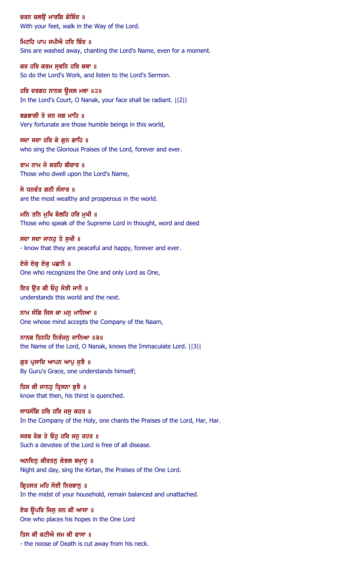ਚਰਨ ਚਲੳ ਮਾਰਗਿ ਗੋਬਿੰਦ ॥ With your feet, walk in the Way of the Lord.

ਮਿਟਹਿ ਪਾਪ ਜਪੀਐ ਹਰਿ ਬਿੰਦ ॥ Sins are washed away, chanting the Lord's Name, even for a moment.

ਕਰ ਹਰਿ ਕਰਮ ਸ੍ਰਵਨਿ ਹਰਿ ਕਥਾ ॥ So do the Lord's Work, and listen to the Lord's Sermon.

ਹਰਿ ਦਰਗਹ ਨਾਨਕ ਉਜਲ ਮਥਾ ॥੨॥ In the Lord's Court, O Nanak, your face shall be radiant. ||2||

ਬਡਭਾਗੀ ਤੇ ਜਨ ਜਗ ਮਾਹਿ ॥ Very fortunate are those humble beings in this world,

ਸਦਾ ਸਦਾ ਹਰਿ ਕੇ ਗੁਨ ਗਾਹਿ ॥ who sing the Glorious Praises of the Lord, forever and ever.

ਰਾਮ ਨਾਮ ਜੋ ਕਰਹਿ ਬੀਚਾਰ ॥ Those who dwell upon the Lord's Name,

ਸੇ ਧਨਵੰਤ ਗਨੀ ਸੰਸਾਰ ॥ are the most wealthy and prosperous in the world.

ਮਨਿ ਤਨਿ ਮੁਖਿ ਬੋਲਹਿ ਹਰਿ ਮੁਖੀ ॥ Those who speak of the Supreme Lord in thought, word and deed

ਸਦਾ ਸਦਾ ਜਾਨਹ ਤੇ ਸਖੀ ॥ - know that they are peaceful and happy, forever and ever.

ਏਕੋ ਏਕ ਏਕ ਪਛਾਨੈ ।। One who recognizes the One and only Lord as One,

ਇਤ ੳਤ ਕੀ ਓਹ ਸੋਝੀ ਜਾਨੈ ॥ understands this world and the next.

ਨਾਮ ਸੰਗਿ ਜਿਸ ਕਾ ਮਨ ਮਾਨਿਆ ॥ One whose mind accepts the Company of the Naam,

ਨਾਨਕ ਤਿਨਹਿ ਨਿਰੰਜਨੁ ਜਾਨਿਆ ॥੩॥ the Name of the Lord, O Nanak, knows the Immaculate Lord. ||3||

ਗੁਰ ਪ੍ਰਸਾਦਿ ਆਪਨ ਆਪੁ ਸੁਝੈ ॥ By Guru's Grace, one understands himself;

ਤਿਸ ਕੀ ਜਾਨਹੂ ਤ੍ਰਿਸਨਾ ਬੁਝੈ ॥ know that then, his thirst is quenched.

ਸਾਧਸੰਗਿ ਹਰਿ ਹਰਿ ਜਸੁ ਕਹਤ ॥ In the Company of the Holy, one chants the Praises of the Lord, Har, Har.

ਸਰਬ ਰੋਗ ਤੇ ਓਹ ਹਰਿ ਜਨ ਰਹਤ ॥ Such a devotee of the Lord is free of all disease.

ਅਨਦਿਨੂ ਕੀਰਤਨੂ ਕੇਵਲ ਬਖ਼ਾਨੂ ॥ Night and day, sing the Kirtan, the Praises of the One Lord.

ਗ੍ਰਿਹਸਤ ਮਹਿ ਸੋਈ ਨਿਰਬਾਨੂ ॥ In the midst of your household, remain balanced and unattached.

ਏਕ ਉਪਰਿ ਜਿਸ ਜਨ ਕੀ ਆਸਾ ॥ One who places his hopes in the One Lord

ਤਿਸ ਕੀ ਕਟੀਐ ਜਮ ਕੀ ਫਾਸਾ ॥ - the noose of Death is cut away from his neck.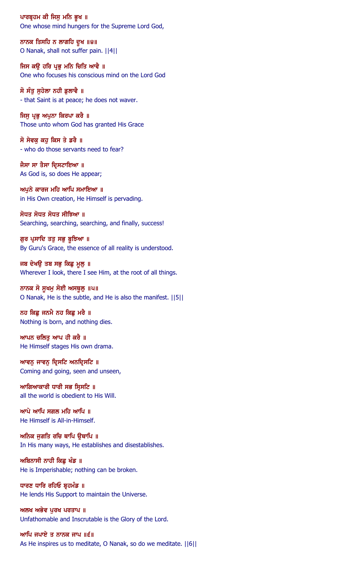ਪਾਰਬ੍ਰਹਮ ਕੀ ਜਿਸੂ ਮਨਿ ਭੁਖ ॥ One whose mind hungers for the Supreme Lord God,

ਨਾਨਕ ਤਿਸਹਿ ਨ ਲਾਗਹਿ ਦੁਖ ॥੪॥ O Nanak, shall not suffer pain. ||4||

ਜਿਸ ਕਉ ਹਰਿ ਪ੍ਰਭੂ ਮਨਿ ਚਿਤਿ ਆਵੈ ॥ One who focuses his conscious mind on the Lord God

ਸੋ ਸੰਤੂ ਸੁਹੇਲਾ ਨਹੀ ਡੁਲਾਵੈ ॥ - that Saint is at peace; he does not waver.

ਜਿਸੂ ਪ੍ਰਭੂ ਅਪੁਨਾ ਕਿਰਪਾ ਕਰੈ ॥ Those unto whom God has granted His Grace

ਸੋ ਸੇਵਕ ਕਹੁ ਕਿਸ ਤੇ ਡਰੈ ॥ - who do those servants need to fear?

ਜੈਸਾ ਸਾ ਤੈਸਾ ਦ੍ਰਿਸਟਾਇਆ ॥ As God is, so does He appear;

ਅਪੁਨੇ ਕਾਰਜ ਮਹਿ ਆਪਿ ਸਮਾਇਆ ॥ in His Own creation, He Himself is pervading.

ਸੋਧਤ ਸੋਧਤ ਸੋਧਤ ਸੀਝਿਆ ॥ Searching, searching, searching, and finally, success!

ਗੁਰ ਪ੍ਰਸਾਦਿ ਤਤੁ ਸਭੁ ਬੁਝਿਆ ॥ By Guru's Grace, the essence of all reality is understood.

ਜਬ ਦੇਖਉ ਤਬ ਸਭੁ ਕਿਛੁ ਮੂਲੁ ॥ Wherever I look, there I see Him, at the root of all things.

ਨਾਨਕ ਸੋ ਸੁਖਮੁ ਸੋਈ ਅਸਥੁਲੂ ॥੫॥ O Nanak, He is the subtle, and He is also the manifest. ||5||

ਨਹ ਕਿਛੂ ਜਨਮੈ ਨਹ ਕਿਛੂ ਮਰੈ ॥ Nothing is born, and nothing dies.

ਆਪਨ ਚਲਿਤੂ ਆਪ ਹੀ ਕਰੈ ॥ He Himself stages His own drama.

ਆਵਨੂ ਜਾਵਨੂ ਦ੍ਰਿਸਟਿ ਅਨਦ੍ਰਿਸਟਿ ॥ Coming and going, seen and unseen,

ਆਗਿਆਕਾਰੀ ਧਾਰੀ ਸਭ ਸ੍ਰਿਸਟਿ ॥ all the world is obedient to His Will.

ਆਪੇ ਆਪਿ ਸਗਲ ਮਹਿ ਆਪਿ ॥ He Himself is All-in-Himself.

ਅਨਿਕ ਜਗਤਿ ਰਚਿ ਥਾਪਿ ੳਥਾਪਿ ॥ In His many ways, He establishes and disestablishes.

ਅਬਿਨਾਸੀ ਨਾਹੀ ਕਿਛੂ ਖੰਡ ॥ He is Imperishable; nothing can be broken.

ਧਾਰਣ ਧਾਰਿ ਰਹਿਓ ਬੁਹਮੰਡ ॥ He lends His Support to maintain the Universe.

ਅਲਖ ਅਭੇਵ ਪਰਖ ਪਰਤਾਪ ॥ Unfathomable and Inscrutable is the Glory of the Lord.

ਆਪਿ ਜਪਾਏ ਤ ਨਾਨਕ ਜਾਪ ॥੬॥ As He inspires us to meditate, O Nanak, so do we meditate. ||6||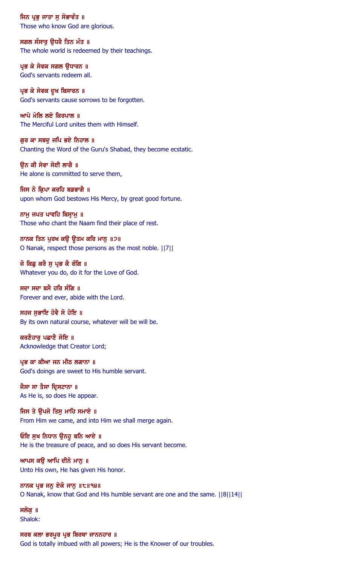ਜਿਨ ਪ੍ਰਭੂ ਜਾਤਾ ਸੁ ਸੋਭਾਵੰਤ ॥ Those who know God are glorious.

ਸਗਲ ਸੰਸਾਰੂ ਉਧਰੈ ਤਿਨ ਮੰਤ ॥ The whole world is redeemed by their teachings.

ਪ੍ਰਭ ਕੇ ਸੇਵਕ ਸਗਲ ਉਧਾਰਨ ॥ God's servants redeem all.

ਪ੍ਰਭ ਕੇ ਸੇਵਕ ਦੁਖ ਬਿਸਾਰਨ ॥ God's servants cause sorrows to be forgotten.

ਆਪੇ ਮੇਲਿ ਲਏ ਕਿਰਪਾਲ ॥ The Merciful Lord unites them with Himself.

ਗੁਰ ਕਾ ਸਬਦੁ ਜਪਿ ਭਏ ਨਿਹਾਲ ॥ Chanting the Word of the Guru's Shabad, they become ecstatic.

ੳਨ ਕੀ ਸੇਵਾ ਸੋਈ ਲਾਗੈ ॥ He alone is committed to serve them,

ਜਿਸ ਨੋ ਕ੍ਰਿਪਾ ਕਰਹਿ ਬਡਭਾਗੈ ॥ upon whom God bestows His Mercy, by great good fortune.

ਨਾਮ ਜਪਤ ਪਾਵਹਿ ਬਿਸ਼ਾਮ ॥ Those who chant the Naam find their place of rest.

ਨਾਨਕ ਤਿਨ ਪੂਰਖ ਕਉ ਉਤਮ ਕਰਿ ਮਾਨੂ ॥੭॥ O Nanak, respect those persons as the most noble. ||7||

ਜੋ ਕਿਛੂ ਕਰੈ ਸੁ ਪ੍ਰਭ ਕੈ ਰੰਗਿ ॥ Whatever you do, do it for the Love of God.

ਸਦਾ ਸਦਾ ਬਸੈ ਹਰਿ ਸੰਗਿ ॥ Forever and ever, abide with the Lord.

ਸਹਜ ਸਭਾਇ ਹੋਵੈ ਸੋ ਹੋਇ ॥ By its own natural course, whatever will be will be.

ਕਰਣੈਹਾਰੂ ਪਛਾਣੈ ਸੋਇ ॥ Acknowledge that Creator Lord;

ਪ੍ਰਭ ਕਾ ਕੀਆ ਜਨ ਮੀਠ ਲਗਾਨਾ ॥ God's doings are sweet to His humble servant.

ਜੈਸਾ ਸਾ ਤੈਸਾ ਦ੍ਰਿਸਟਾਨਾ ॥ As He is, so does He appear.

ਜਿਸ ਤੇ ਉਪਜੇ ਤਿਸੁ ਮਾਹਿ ਸਮਾਏ ॥ From Him we came, and into Him we shall merge again.

ਓਇ ਸੁਖ ਨਿਧਾਨ ਉਨਹੁ ਬਨਿ ਆਏ ॥ He is the treasure of peace, and so does His servant become.

ਆਪਸ ਕਉ ਆਪਿ ਦੀਨੋ ਮਾਨੂ ॥ Unto His own, He has given His honor.

ਨਾਨਕ ਪ੍ਰਭ ਜਨੂ ਏਕੋ ਜਾਨੂ ॥੮॥੧੪॥ O Nanak, know that God and His humble servant are one and the same. ||8||14||

ਸਲੋਕ ॥ Shalok:

ਸਰਬ ਕਲਾ ਭਰਪੂਰ ਪ੍ਰਭ ਬਿਰਥਾ ਜਾਨਨਹਾਰ ॥ God is totally imbued with all powers; He is the Knower of our troubles.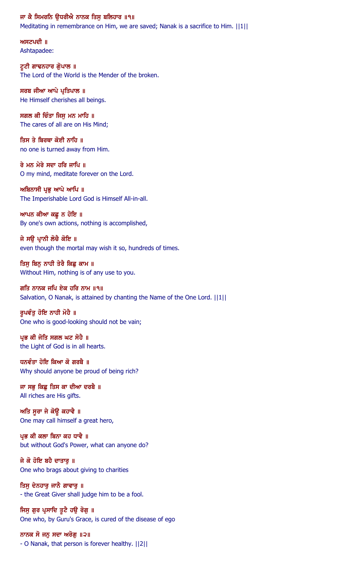#### ਜਾ ਕੈ ਸਿਮਰਨਿ ਉਧਰੀਐ ਨਾਨਕ ਤਿਸੁ ਬਲਿਹਾਰ ॥੧॥

Meditating in remembrance on Him, we are saved; Nanak is a sacrifice to Him.  $||1||$ 

ਅਸਟਪਦੀ $\parallel$ Ashtapadee:

ਟੁਟੀ ਗਾਢਨਹਾਰ ਗੁੋਪਾਲ ॥ The Lord of the World is the Mender of the broken.

ਸਰਬ ਜੀਆ ਆਪੇ ਪ੍ਰਤਿਪਾਲ ॥ He Himself cherishes all beings.

ਸਗਲ ਕੀ ਚਿੰਤਾ ਜਿਸੂ ਮਨ ਮਾਹਿ ॥ The cares of all are on His Mind;

ਤਿਸ ਤੇ ਬਿਰਥਾ ਕੋਈ ਨਾਹਿ ॥ no one is turned away from Him.

ਰੇ ਮਨ ਮੇਰੇ ਸਦਾ ਹਰਿ ਜਾਪਿ ॥ O my mind, meditate forever on the Lord.

ਅਬਿਨਾਸੀ ਪ੍ਰਭੂ ਆਪੇ ਆਪਿ ॥ The Imperishable Lord God is Himself All-in-all.

ਆਪਨ ਕੀਆ ਕਛੂ ਨ ਹੋਇ ॥ By one's own actions, nothing is accomplished,

ਜੇ ਸੳ ਪਾਨੀ ਲੋਚੈ ਕੋਇ ॥ even though the mortal may wish it so, hundreds of times.

ਤਿਸੁ ਬਿਨੁ ਨਾਹੀ ਤੇਰੈ ਕਿਛੁ ਕਾਮ ॥ Without Him, nothing is of any use to you.

ਗਤਿ ਨਾਨਕ ਜਪਿ ਏਕ ਹਰਿ ਨਾਮ ॥੧॥ Salvation, O Nanak, is attained by chanting the Name of the One Lord.  $||1||$ 

ਰੁਪਵੰਤੂ ਹੋਇ ਨਾਹੀ ਮੋਹੈ ॥ One who is good-looking should not be vain;

ਪ੍ਰਭ ਕੀ ਜੋਤਿ ਸਗਲ ਘਟ ਸੋਹੈ ॥ the Light of God is in all hearts.

ਧਨਵੰਤਾ ਹੋਇ ਕਿਆ ਕੋ ਗਰਬੈ ॥ Why should anyone be proud of being rich?

ਜਾ ਸਭੁ ਕਿਛੁ ਤਿਸ ਕਾ ਦੀਆ ਦਰਬੈ ॥ All riches are His gifts.

ਅਤਿ ਸੂਰਾ ਜੇ ਕੋਉ ਕਹਾਵੈ ॥ One may call himself a great hero,

ਪ੍ਰਭ ਕੀ ਕਲਾ ਬਿਨਾ ਕਹ ਧਾਵੈ ॥ but without God's Power, what can anyone do?

ਜੇ ਕੋ ਹੋਇ ਬਹੈ ਦਾਤਾਰੁ ॥ One who brags about giving to charities

ਤਿਸੁ ਦੇਨਹਾਰੂ ਜਾਨੈ ਗਾਵਾਰੂ ॥ - the Great Giver shall judge him to be a fool.

ਜਿਸੂ ਗੁਰ ਪ੍ਰਸਾਦਿ ਤੁਟੈ ਹਉ ਰੋਗੂ ॥ One who, by Guru's Grace, is cured of the disease of ego

ਨਾਨਕ ਸੋ ਜਨੁ ਸਦਾ ਅਰੋਗੁ ॥੨॥ - O Nanak, that person is forever healthy. ||2||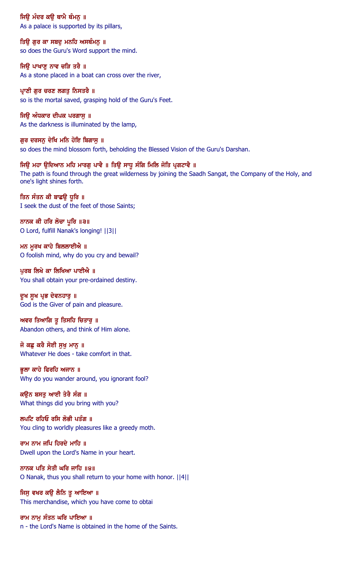ਜਿੳ ਮੰਦਰ ਕੳ ਥਾਮੈ ਥੰਮਨ ॥ As a palace is supported by its pillars,

ਤਿਉ ਗੁਰ ਕਾ ਸਬਦੁ ਮਨਹਿ ਅਸਥੰਮਨੁ ॥ so does the Guru's Word support the mind.

ਜਿਉ ਪਾਖਾਣੂ ਨਾਵ ਚੜਿ ਤਰੈ ॥ As a stone placed in a boat can cross over the river,

ਪ੍ਰਾਣੀ ਗੁਰ ਚਰਣ ਲਗਤੂ ਨਿਸਤਰੈ ॥ so is the mortal saved, grasping hold of the Guru's Feet.

ਜਿਉ ਅੰਧਕਾਰ ਦੀਪਕ ਪਰਗਾਸੁ ॥ As the darkness is illuminated by the lamp,

ਗੁਰ ਦਰਸਨੂ ਦੇਖਿ ਮਨਿ ਹੋਇ ਬਿਗਾਸੂ ॥ so does the mind blossom forth, beholding the Blessed Vision of the Guru's Darshan.

ਜਿਉ ਮਹਾ ਉਦਿਆਨ ਮਹਿ ਮਾਰਗੁ ਪਾਵੈ ॥ ਤਿਉ ਸਾਧੁ ਸੰਗਿ ਮਿਲਿ ਜੋਤਿ ਪ੍ਰਗਟਾਵੈ ॥ The path is found through the great wilderness by joining the Saadh Sangat, the Company of the Holy, and one's light shines forth.

ਤਿਨ ਸੰਤਨ ਕੀ ਬਾਛਉ ਧੁਰਿ ॥ I seek the dust of the feet of those Saints;

ਨਾਨਕ ਕੀ ਹਰਿ ਲੋਚਾ ਪੁਰਿ ॥੩॥ O Lord, fulfill Nanak's longing! ||3||

ਮਨ ਮੁਰਖ ਕਾਹੇ ਬਿਲਲਾਈਐ ॥ O foolish mind, why do you cry and bewail?

ਪੁਰਬ ਲਿਖੇ ਕਾ ਲਿਖਿਆ ਪਾਈਐ ॥ You shall obtain your pre-ordained destiny.

ਦੁਖ ਸੁਖ ਪ੍ਰਭ ਦੇਵਨਹਾਰੁ ॥ God is the Giver of pain and pleasure.

ਅਵਰ ਤਿਆਗਿ ਤੁ ਤਿਸਹਿ ਚਿਤਾਰੁ ॥ Abandon others, and think of Him alone.

ਜੋ ਕਛ ਕਰੈ ਸੋਈ ਸਖ ਮਾਨ ॥ Whatever He does - take comfort in that.

ਭੁਲਾ ਕਾਹੇ ਫਿਰਹਿ ਅਜਾਨ ॥ Why do you wander around, you ignorant fool?

ਕਉਨ ਬਸਤੂ ਆਈ ਤੇਰੈ ਸੰਗ ॥ What things did you bring with you?

ਲਪਟਿ ਰਹਿਓ ਰਸਿ ਲੋਭੀ ਪਤੰਗ ॥ You cling to worldly pleasures like a greedy moth.

ਰਾਮ ਨਾਮ ਜਪਿ ਹਿਰਦੇ ਮਾਹਿ ॥ Dwell upon the Lord's Name in your heart.

ਨਾਨਕ ਪਤਿ ਸੇਤੀ ਘਰਿ ਜਾਹਿ ॥੪॥ O Nanak, thus you shall return to your home with honor. ||4||

ਜਿਸੁ ਵਖਰ ਕਉ ਲੈਨਿ ਤੁ ਆਇਆ ॥ This merchandise, which you have come to obtai

ਰਾਮ ਨਾਮੂ ਸੰਤਨ ਘਰਿ ਪਾਇਆ ॥ n - the Lord's Name is obtained in the home of the Saints.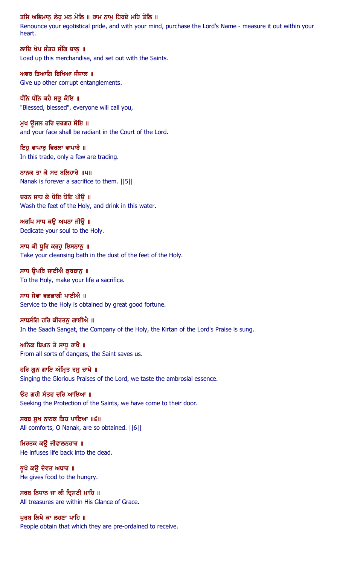#### ਤਜਿ ਅਭਿਮਾਨੂ ਲੇਹੂ ਮਨ ਮੋਲਿ ॥ ਰਾਮ ਨਾਮੂ ਹਿਰਦੇ ਮਹਿ ਤੋਲਿ ॥

Renounce your egotistical pride, and with your mind, purchase the Lord's Name - measure it out within your heart.

ਲਾਦਿ ਖੇਪ ਸੰਤਹ ਸੰਗਿ ਚਾਲੂ ॥ Load up this merchandise, and set out with the Saints.

ਅਵਰ ਤਿਆਗਿ ਬਿਖਿਆ ਜੰਜਾਲ ॥ Give up other corrupt entanglements.

ਧੰਨਿ ਧੰਨਿ ਕਹੈ ਸਭ ਕੋਇ ॥ "Blessed, blessed", everyone will call you,

ਮੁਖ ਉਜਲ ਹਰਿ ਦਰਗਹ ਸੋਇ ॥ and your face shall be radiant in the Court of the Lord.

ਇਹੁ ਵਾਪਾਰੂ ਵਿਰਲਾ ਵਾਪਾਰੈ ॥ In this trade, only a few are trading.

ਨਾਨਕ ਤਾ ਕੈ ਸਦ ਬਲਿਹਾਰੈ ॥੫॥ Nanak is forever a sacrifice to them. ||5||

ਚਰਨ ਸਾਧ ਕੇ ਧੋਇ ਧੋਇ ਪੀਉ ॥ Wash the feet of the Holy, and drink in this water.

ਅਰਪਿ ਸਾਧ ਕਉ ਅਪਨਾ ਜੀਉ ॥ Dedicate your soul to the Holy.

ਸਾਧ ਕੀ ਧੁਰਿ ਕਰਹੁ ਇਸਨਾਨੁ ॥ Take your cleansing bath in the dust of the feet of the Holy.

ਸਾਧ ਉਪਰਿ ਜਾਈਐ ਕੁਰਬਾਨੂ ॥ To the Holy, make your life a sacrifice.

ਸਾਧ ਸੇਵਾ ਵਡਭਾਗੀ ਪਾਈਐ ॥ Service to the Holy is obtained by great good fortune.

ਸਾਧਸੰਗਿ ਹਰਿ ਕੀਰਤਨੂ ਗਾਈਐ ॥ In the Saadh Sangat, the Company of the Holy, the Kirtan of the Lord's Praise is sung.

ਅਨਿਕ ਬਿਘਨ ਤੇ ਸਾਧ ਰਾਖੈ ॥ From all sorts of dangers, the Saint saves us.

ਹਰਿ ਗੁਨ ਗਾਇ ਅੰਮ੍ਰਿਤ ਰਸੁ ਚਾਖੈ ॥ Singing the Glorious Praises of the Lord, we taste the ambrosial essence.

ਓਟ ਗਹੀ ਸੰਤਹ ਦਰਿ ਆਇਆ ॥ Seeking the Protection of the Saints, we have come to their door.

ਸਰਬ ਸੁਖ ਨਾਨਕ ਤਿਹ ਪਾਇਆ ॥੬॥ All comforts, O Nanak, are so obtained. ||6||

ਮਿਰਤਕ ਕੳ ਜੀਵਾਲਨਹਾਰ ॥ He infuses life back into the dead.

ਭੂਖੇ ਕਉ ਦੇਵਤ ਅਧਾਰ ॥ He gives food to the hungry.

ਸਰਬ ਨਿਧਾਨ ਜਾ ਕੀ ਦ੍ਰਿਸਟੀ ਮਾਹਿ ॥ All treasures are within His Glance of Grace.

ਪੂਰਬ ਲਿਖੇ ਕਾ ਲਹਣਾ ਪਾਹਿ ॥ People obtain that which they are pre-ordained to receive.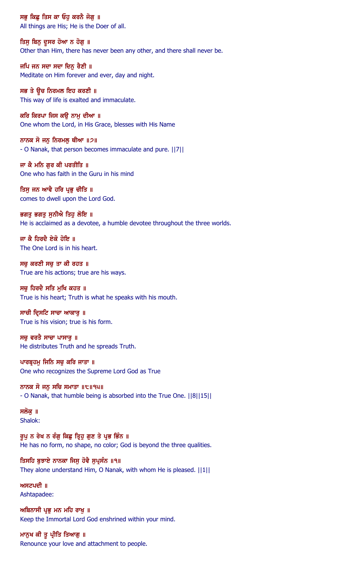ਸਭੂ ਕਿਛੂ ਤਿਸ ਕਾ ਓਹੁ ਕਰਨੈ ਜੋਗੂ ॥ All things are His; He is the Doer of all.

ਤਿਸੁ ਬਿਨੁ ਦੁਸਰ ਹੋਆ ਨ ਹੋਗੁ ॥ Other than Him, there has never been any other, and there shall never be.

ਜਪਿ ਜਨ ਸਦਾ ਸਦਾ ਦਿਨੂ ਰੈਣੀ ॥ Meditate on Him forever and ever, day and night.

ਸਭ ਤੇ ਉਚ ਨਿਰਮਲ ਇਹ ਕਰਣੀ ॥ This way of life is exalted and immaculate.

ਕਰਿ ਕਿਰਪਾ ਜਿਸ ਕੳ ਨਾਮ ਦੀਆ ॥ One whom the Lord, in His Grace, blesses with His Name

ਨਾਨਕ ਸੋ ਜਨ ਨਿਰਮਲ ਥੀਆ  $\|2\|$ - O Nanak, that person becomes immaculate and pure. ||7||

ਜਾ ਕੈ ਮਨਿ ਗਰ ਕੀ ਪਰਤੀਤਿ ॥ One who has faith in the Guru in his mind

ਤਿਸੁ ਜਨ ਆਵੈ ਹਰਿ ਪ੍ਰਭੁ ਚੀਤਿ ॥ comes to dwell upon the Lord God.

ਭਗਤੂ ਭਗਤੂ ਸੁਨੀਐ ਤਿਹੁ ਲੋਇ ॥ He is acclaimed as a devotee, a humble devotee throughout the three worlds.

ਜਾ ਕੈ ਹਿਰਦੈ ਏਕੋ ਹੋਇ ॥ The One Lord is in his heart.

ਸਚੁ ਕਰਣੀ ਸਚੁ ਤਾ ਕੀ ਰਹਤ ॥ True are his actions; true are his ways.

ਸਚ ਹਿਰਦੈ ਸਤਿ ਮਖਿ ਕਹਤ ॥ True is his heart; Truth is what he speaks with his mouth.

ਸਾਚੀ ਦ੍ਰਿਸਟਿ ਸਾਚਾ ਆਕਾਰੁ ॥ True is his vision; true is his form.

ਸਚੁ ਵਰਤੈ ਸਾਚਾ ਪਾਸਾਰੁ ॥ He distributes Truth and he spreads Truth.

ਪਾਰਬ੍ਰਹਮੁ ਜਿਨਿ ਸਚੁ ਕਰਿ ਜਾਤਾ ॥ One who recognizes the Supreme Lord God as True

ਨਾਨਕ ਸੋ ਜਨੁ ਸਚਿ ਸਮਾਤਾ ॥੮॥੧੫॥ - O Nanak, that humble being is absorbed into the True One. ||8||15||

ਸਲੋਕ ॥ Shalok:

ਰੁਪੂ ਨ ਰੇਖ ਨ ਰੰਗੂ ਕਿਛੂ ਤ੍ਰਿਹੂ ਗੁਣ ਤੇ ਪ੍ਰਭ ਭਿੰਨ ॥ He has no form, no shape, no color; God is beyond the three qualities.

ਤਿਸਹਿ ਬੁਝਾਏ ਨਾਨਕਾ ਜਿਸੁ ਹੋਵੈ ਸੁਪ੍ਰਸੰਨ ॥੧॥ They alone understand Him, O Nanak, with whom He is pleased. ||1||

ਅਸਟਪਦੀ $\parallel$ Ashtapadee:

ਅਬਿਨਾਸੀ ਪ੍ਰਭ ਮਨ ਮਹਿ ਰਾਖ ॥ Keep the Immortal Lord God enshrined within your mind.

ਮਾਨੁਖ ਕੀ ਤੁ ਪ੍ਰੀਤਿ ਤਿਆਗੂ ॥ Renounce your love and attachment to people.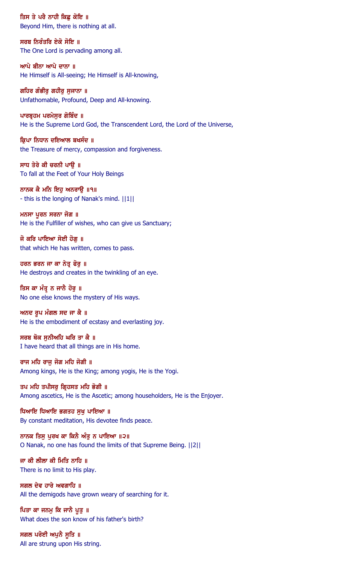ਤਿਸ ਤੇ ਪਰੈ ਨਾਹੀ ਕਿਛੂ ਕੋਇ ॥ Beyond Him, there is nothing at all.

ਸਰਬ ਨਿਰੰਤਰਿ ਏਕੋ ਸੋਇ ॥ The One Lord is pervading among all.

ਆਪੇ ਬੀਨਾ ਆਪੇ ਦਾਨਾ ॥ He Himself is All-seeing; He Himself is All-knowing,

ਗਹਿਰ ਗੰਭੀਰੂ ਗਹੀਰੂ ਸੁਜਾਨਾ ॥ Unfathomable, Profound, Deep and All-knowing.

ਪਾਰਬ੍ਰਹਮ ਪਰਮੇਸੁਰ ਗੋਬਿੰਦ ॥ He is the Supreme Lord God, the Transcendent Lord, the Lord of the Universe,

ਕਿਪਾ ਨਿਧਾਨ ਦਇਆਲ ਬਖਸੰਦ ॥ the Treasure of mercy, compassion and forgiveness.

ਸਾਧ ਤੇਰੇ ਕੀ ਚਰਨੀ ਪਾੳ ॥ To fall at the Feet of Your Holy Beings

ਨਾਨਕ ਕੈ ਮਨਿ ਇਹੁ ਅਨਰਾਉ ॥੧॥ - this is the longing of Nanak's mind. ||1||

ਮਨਸਾ ਪੂਰਨ ਸਰਨਾ ਜੋਗ ॥ He is the Fulfiller of wishes, who can give us Sanctuary;

ਜੋ ਕਰਿ ਪਾਇਆ ਸੋਈ ਹੋਗ ॥ that which He has written, comes to pass.

ਹਰਨ ਭਰਨ ਜਾ ਕਾ ਨੇਤ੍ਰ ਫੋਰੁ ॥ He destroys and creates in the twinkling of an eye.

ਤਿਸ ਕਾ ਮੰਤ੍ਰ ਨ ਜਾਨੈ ਹੋਰੁ ॥ No one else knows the mystery of His ways.

ਅਨਦ ਰੂਪ ਮੰਗਲ ਸਦ ਜਾ ਕੈ ॥ He is the embodiment of ecstasy and everlasting joy.

ਸਰਬ ਥੋਕ ਸੁਨੀਅਹਿ ਘਰਿ ਤਾ ਕੈ ॥ I have heard that all things are in His home.

ਰਾਜ ਮਹਿ ਰਾਜੂ ਜੋਗ ਮਹਿ ਜੋਗੀ ॥ Among kings, He is the King; among yogis, He is the Yogi.

ਤਪ ਮਹਿ ਤਪੀਸਰੂ ਗ੍ਰਿਹਸਤ ਮਹਿ ਭੋਗੀ ॥ Among ascetics, He is the Ascetic; among householders, He is the Enjoyer.

ਧਿਆਇ ਧਿਆਇ ਭਗਤਹ ਸੁਖ ਪਾਇਆ ॥ By constant meditation, His devotee finds peace.

ਨਾਨਕ ਤਿਸ ਪਰਖ ਕਾ ਕਿਨੈ ਅੰਤ ਨ ਪਾਇਆ ॥੨॥ O Nanak, no one has found the limits of that Supreme Being. ||2||

ਜਾ ਕੀ ਲੀਲਾ ਕੀ ਮਿਤਿ ਨਾਹਿ ॥ There is no limit to His play.

ਸਗਲ ਦੇਵ ਹਾਰੇ ਅਵਗਾਹਿ ॥ All the demigods have grown weary of searching for it.

ਪਿਤਾ ਕਾ ਜਨਮੂ ਕਿ ਜਾਨੈ ਪੁਤੂ ॥ What does the son know of his father's birth?

ਸਗਲ ਪਰੋਈ ਅਪੁਨੈ ਸੁਤਿ ॥ All are strung upon His string.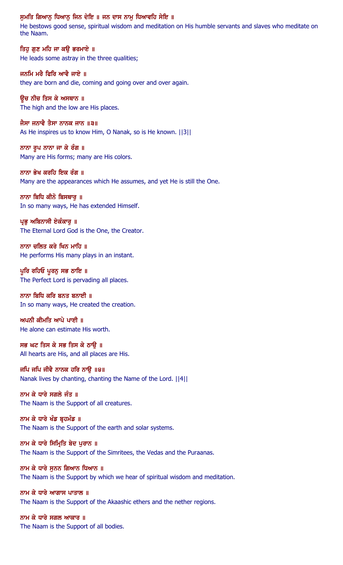#### ਸੁਮਤਿ ਗਿਆਨੂ ਧਿਆਨੂ ਜਿਨ ਦੇਇ ॥ ਜਨ ਦਾਸ ਨਾਮੂ ਧਿਆਵਹਿ ਸੇਇ ॥

He bestows good sense, spiritual wisdom and meditation on His humble servants and slaves who meditate on the Naam.

ਤਿਹੁ ਗੁਣ ਮਹਿ ਜਾ ਕਉ ਭਰਮਾਏ ॥ He leads some astray in the three qualities;

ਜਨਮਿ ਮਰੈ ਫਿਰਿ ਆਵੈ ਜਾਏ ॥ they are born and die, coming and going over and over again.

ਉਚ ਨੀਚ ਤਿਸ ਕੇ ਅਸਥਾਨ ॥ The high and the low are His places.

ਜੈਸਾ ਜਨਾਵੈ ਤੈਸਾ ਨਾਨਕ ਜਾਨ ॥੩॥ As He inspires us to know Him, O Nanak, so is He known. ||3||

ਨਾਨਾ ਰੂਪ ਨਾਨਾ ਜਾ ਕੇ ਰੰਗ ॥ Many are His forms; many are His colors.

ਨਾਨਾ ਭੇਖ ਕਰਹਿ ਇਕ ਰੰਗ ॥ Many are the appearances which He assumes, and yet He is still the One.

ਨਾਨਾ ਬਿਧਿ ਕੀਨੋ ਬਿਸਥਾਰੁ ॥ In so many ways, He has extended Himself.

ਪ੍ਰਭੂ ਅਬਿਨਾਸੀ ਏਕੰਕਾਰੂ ॥ The Eternal Lord God is the One, the Creator.

ਨਾਨਾ ਚਲਿਤ ਕਰੇ ਖਿਨ ਮਾਹਿ ॥ He performs His many plays in an instant.

ਪੁਰਿ ਰਹਿਓ ਪੂਰਨ ਸਭ ਠਾਇ ॥ The Perfect Lord is pervading all places.

ਨਾਨਾ ਬਿਧਿ ਕਰਿ ਬਨਤ ਬਨਾਈ ॥ In so many ways, He created the creation.

ਅਪਨੀ ਕੀਮਤਿ ਆਪੇ ਪਾਈ ॥ He alone can estimate His worth.

ਸਭ ਘਟ ਤਿਸ ਕੇ ਸਭ ਤਿਸ ਕੇ ਠਾੳ ॥ All hearts are His, and all places are His.

ਜਪਿ ਜਪਿ ਜੀਵੈ ਨਾਨਕ ਹਰਿ ਨਾਉ ॥੪॥ Nanak lives by chanting, chanting the Name of the Lord. ||4||

ਨਾਮ ਕੇ ਧਾਰੇ ਸਗਲੇ ਜੰਤ ॥ The Naam is the Support of all creatures.

ਨਾਮ ਕੇ ਧਾਰੇ ਖੰਡ ਬ੍ਰਹਮੰਡ ॥ The Naam is the Support of the earth and solar systems.

ਨਾਮ ਕੇ ਧਾਰੇ ਸਿਮ੍ਰਿਤਿ ਬੇਦ ਪਰਾਨ ॥ The Naam is the Support of the Simritees, the Vedas and the Puraanas.

ਨਾਮ ਕੇ ਧਾਰੇ ਸੁਨਨ ਗਿਆਨ ਧਿਆਨ ॥ The Naam is the Support by which we hear of spiritual wisdom and meditation.

ਨਾਮ ਕੇ ਧਾਰੇ ਆਗਾਸ ਪਾਤਾਲ ॥ The Naam is the Support of the Akaashic ethers and the nether regions.

ਨਾਮ ਕੇ ਧਾਰੇ ਸਗਲ ਆਕਾਰ ॥ The Naam is the Support of all bodies.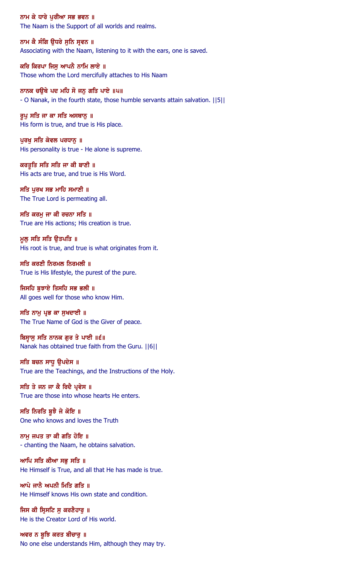ਨਾਮ ਕੇ ਧਾਰੇ ਪੁਰੀਆ ਸਭ ਭਵਨ ॥ The Naam is the Support of all worlds and realms.

ਨਾਮ ਕੈ ਸੰਗਿ ਉਧਰੇ ਸੁਨਿ ਸੁਵਨ ॥ Associating with the Naam, listening to it with the ears, one is saved.

ਕਰਿ ਕਿਰਪਾ ਜਿਸੂ ਆਪਨੈ ਨਾਮਿ ਲਾਏ ॥ Those whom the Lord mercifully attaches to His Naam

ਨਾਨਕ ਚਉਥੇ ਪਦ ਮਹਿ ਸੋ ਜਨੁ ਗਤਿ ਪਾਏ ॥੫॥ - O Nanak, in the fourth state, those humble servants attain salvation. ||5||

ਰੁਪੁ ਸਤਿ ਜਾ ਕਾ ਸਤਿ ਅਸਥਾਨੁ ॥ His form is true, and true is His place.

ਪੂਰਖ ਸਤਿ ਕੇਵਲ ਪਰਧਾਨੂ ॥ His personality is true - He alone is supreme.

ਕਰਤੂਤਿ ਸਤਿ ਸਤਿ ਜਾ ਕੀ ਬਾਣੀ ॥ His acts are true, and true is His Word.

ਸਤਿ ਪੂਰਖ ਸਭ ਮਾਹਿ ਸਮਾਣੀ ॥ The True Lord is permeating all.

ਸਤਿ ਕਰਮੂ ਜਾ ਕੀ ਰਚਨਾ ਸਤਿ ॥ True are His actions; His creation is true.

ਮੁਲੂ ਸਤਿ ਸਤਿ ਉਤਪਤਿ ॥ His root is true, and true is what originates from it.

ਸਤਿ ਕਰਣੀ ਨਿਰਮਲ ਨਿਰਮਲੀ ॥ True is His lifestyle, the purest of the pure.

ਜਿਸਹਿ ਬਝਾਏ ਤਿਸਹਿ ਸਭ ਭਲੀ ॥ All goes well for those who know Him.

ਸਤਿ ਨਾਮੂ ਪ੍ਰਭ ਕਾ ਸੁਖਦਾਈ ॥ The True Name of God is the Giver of peace.

ਬਿਸ੍ਵਾਸੁ ਸਤਿ ਨਾਨਕ ਗੁਰ ਤੇ ਪਾਈ ॥੬॥ Nanak has obtained true faith from the Guru. ||6||

ਸਤਿ ਬਚਨ ਸਾਧੁ ਉਪਦੇਸ ॥ True are the Teachings, and the Instructions of the Holy.

ਸਤਿ ਤੇ ਜਨ ਜਾ ਕੈ ਰਿਦੈ ਪ੍ਰਵੇਸ ॥ True are those into whose hearts He enters.

ਸਤਿ ਨਿਰਤਿ ਬੁਝੈ ਜੇ ਕੋਇ ॥ One who knows and loves the Truth

ਨਾਮ ਜਪਤ ਤਾ ਕੀ ਗਤਿ ਹੋਇ ॥ - chanting the Naam, he obtains salvation.

ਆਪਿ ਸਤਿ ਕੀਆ ਸਭੁ ਸਤਿ ॥ He Himself is True, and all that He has made is true.

ਆਪੇ ਜਾਨੈ ਅਪਨੀ ਮਿਤਿ ਗਤਿ ॥ He Himself knows His own state and condition.

ਜਿਸ ਕੀ ਸਿਸਟਿ ਸ ਕਰਣੈਹਾਰ ॥ He is the Creator Lord of His world.

ਅਵਰ ਨ ਬੁਝਿ ਕਰਤ ਬੀਚਾਰੂ ॥ No one else understands Him, although they may try.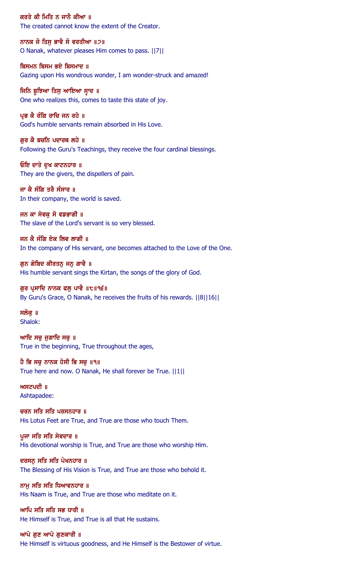ਕਰਤੇ ਕੀ ਮਿਤਿ ਨ ਜਾਨੈ ਕੀਆ ॥ The created cannot know the extent of the Creator.

ਨਾਨਕ ਜੋ ਤਿਸ ਭਾਵੈ ਸੋ ਵਰਤੀਆ ॥੭॥ O Nanak, whatever pleases Him comes to pass. ||7||

ਬਿਸਮਨ ਬਿਸਮ ਭਏ ਬਿਸਮਾਦ ॥ Gazing upon His wondrous wonder, I am wonder-struck and amazed!

ਜਿਨਿ ਬੁਝਿਆ ਤਿਸੁ ਆਇਆ ਸਾਦ ॥ One who realizes this, comes to taste this state of joy.

ਪ੍ਰਭ ਕੈ ਰੰਗਿ ਰਾਚਿ ਜਨ ਰਹੇ ॥ God's humble servants remain absorbed in His Love.

ਗੁਰ ਕੈ ਬਚਨਿ ਪਦਾਰਥ ਲਹੇ ॥ Following the Guru's Teachings, they receive the four cardinal blessings.

ਓਇ ਦਾਤੇ ਦਖ ਕਾਟਨਹਾਰ ॥ They are the givers, the dispellers of pain.

ਜਾ ਕੈ ਸੰਗਿ ਤਰੈ ਸੰਸਾਰ ॥ In their company, the world is saved.

ਜਨ ਕਾ ਸੇਵਕ ਸੋ ਵਡਭਾਗੀ ॥ The slave of the Lord's servant is so very blessed.

ਜਨ ਕੈ ਸੰਗਿ ਏਕ ਲਿਵ ਲਾਗੀ ॥ In the company of His servant, one becomes attached to the Love of the One.

ਗੁਨ ਗੋਬਿਦ ਕੀਰਤਨੂ ਜਨੂ ਗਾਵੈ ॥ His humble servant sings the Kirtan, the songs of the glory of God.

ਗੁਰ ਪ੍ਰਸਾਦਿ ਨਾਨਕ ਫਲੂ ਪਾਵੈ ॥੮॥੧੬॥ By Guru's Grace, O Nanak, he receives the fruits of his rewards. ||8||16||

ਸਲੋਕ ॥ Shalok:

ਆਦਿ ਸਚੁ ਜੁਗਾਦਿ ਸਚੁ ॥ True in the beginning, True throughout the ages,

ਹੈ ਭਿ ਸਚੁ ਨਾਨਕ ਹੋਸੀ ਭਿ ਸਚੁ ॥੧॥ True here and now. O Nanak, He shall forever be True. ||1||

 $M$   $H$   $Z$  $U$   $U$   $I$ Ashtapadee:

ਚਰਨ ਸਤਿ ਸਤਿ ਪਰਸਨਹਾਰ ॥ His Lotus Feet are True, and True are those who touch Them.

ਪਜਾ ਸਤਿ ਸਤਿ ਸੇਵਦਾਰ ॥ His devotional worship is True, and True are those who worship Him.

ਦਰਸਨ ਸਤਿ ਸਤਿ ਪੇਖਨਹਾਰ ॥ The Blessing of His Vision is True, and True are those who behold it.

ਨਾਮ ਸਤਿ ਸਤਿ ਧਿਆਵਨਹਾਰ ॥ His Naam is True, and True are those who meditate on it.

ਆਪਿ ਸਤਿ ਸਤਿ ਸਭ ਧਾਰੀ ॥ He Himself is True, and True is all that He sustains.

ਆਪੇ ਗੁਣ ਆਪੇ ਗੁਣਕਾਰੀ ॥ He Himself is virtuous goodness, and He Himself is the Bestower of virtue.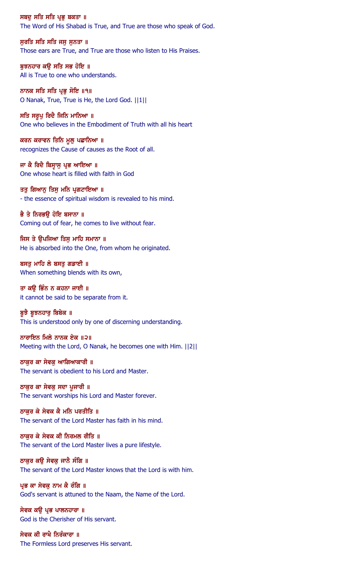ਸਬਦੁ ਸਤਿ ਸਤਿ ਪ੍ਰਭੁ ਬਕਤਾ ॥ The Word of His Shabad is True, and True are those who speak of God.

ਸੁਰਤਿ ਸਤਿ ਸਤਿ ਜਸੁ ਸੁਨਤਾ ॥ Those ears are True, and True are those who listen to His Praises.

ਬੁਝਨਹਾਰ ਕਉ ਸਤਿ ਸਭ ਹੋਇ ॥ All is True to one who understands.

ਨਾਨਕ ਸਤਿ ਸਤਿ ਪ੍ਰਭੁ ਸੋਇ ॥੧॥ O Nanak, True, True is He, the Lord God. ||1||

ਸਤਿ ਸਰੂਪੂ ਰਿਦੈ ਜਿਨਿ ਮਾਨਿਆ ॥ One who believes in the Embodiment of Truth with all his heart

ਕਰਨ ਕਰਾਵਨ ਤਿਨਿ ਮੁਲ਼ ਪਛਾਨਿਆ ॥ recognizes the Cause of causes as the Root of all.

ਜਾ ਕੈ ਰਿਦੈ ਬਿਸੁਾਸੁ ਪ੍ਰਭ ਆਇਆ ॥ One whose heart is filled with faith in God

ਤਤੁ ਗਿਆਨੂ ਤਿਸੁ ਮਨਿ ਪ੍ਰਗਟਾਇਆ ॥ - the essence of spiritual wisdom is revealed to his mind.

ਭੈ ਤੇ ਨਿਰਭੳ ਹੋਇ ਬਸਾਨਾ ॥ Coming out of fear, he comes to live without fear.

ਜਿਸ ਤੇ ੳਪਜਿਆ ਤਿਸ ਮਾਹਿ ਸਮਾਨਾ ॥ He is absorbed into the One, from whom he originated.

ਬਸਤੂ ਮਾਹਿ ਲੇ ਬਸਤੂ ਗਡਾਈ ॥ When something blends with its own,

ਤਾ ਕੳ ਭਿੰਨ ਨ ਕਹਨਾ ਜਾਈ ॥ it cannot be said to be separate from it.

ਬੁਝੈ ਬੁਝਨਹਾਰੂ ਬਿਬੇਕ ॥ This is understood only by one of discerning understanding.

ਨਾਰਾਇਨ ਮਿਲੇ ਨਾਨਕ ਏਕ ॥੨॥ Meeting with the Lord, O Nanak, he becomes one with Him. ||2||

ਠਾਕੁਰ ਕਾ ਸੇਵਕੁ ਆਗਿਆਕਾਰੀ ॥ The servant is obedient to his Lord and Master.

ਠਾਕੁਰ ਕਾ ਸੇਵਕੁ ਸਦਾ ਪੁਜਾਰੀ ॥ The servant worships his Lord and Master forever.

ਠਾਕਰ ਕੇ ਸੇਵਕ ਕੈ ਮਨਿ ਪਰਤੀਤਿ ॥ The servant of the Lord Master has faith in his mind.

ਠਾਕਰ ਕੇ ਸੇਵਕ ਕੀ ਨਿਰਮਲ ਰੀਤਿ ॥ The servant of the Lord Master lives a pure lifestyle.

ਠਾਕੁਰ ਕਉ ਸੇਵਕੁ ਜਾਨੈ ਸੰਗਿ ॥ The servant of the Lord Master knows that the Lord is with him.

ਪ੍ਰਭ ਕਾ ਸੇਵਕੂ ਨਾਮ ਕੈ ਰੰਗਿ ॥ God's servant is attuned to the Naam, the Name of the Lord.

ਸੇਵਕ ਕੳ ਪ੍ਰਭ ਪਾਲਨਹਾਰਾ ॥ God is the Cherisher of His servant.

ਸੇਵਕ ਕੀ ਰਾਖੈ ਨਿਰੰਕਾਰਾ ॥ The Formless Lord preserves His servant.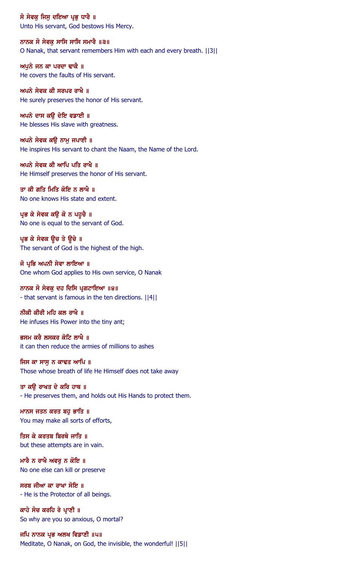ਸੋ ਸੇਵਕੁ ਜਿਸੁ ਦਇਆ ਪ੍ਰਭੁ ਧਾਰੈ ॥ Unto His servant, God bestows His Mercy.

ਨਾਨਕ ਸੋ ਸੇਵਕ ਸਾਸਿ ਸਾਸਿ ਸਮਾਰੈ ॥੩॥ O Nanak, that servant remembers Him with each and every breath. ||3||

ਅਪੁਨੇ ਜਨ ਕਾ ਪਰਦਾ ਢਾਕੈ ॥ He covers the faults of His servant.

ਅਪਨੇ ਸੇਵਕ ਕੀ ਸਰਪਰ ਰਾਖੈ $\parallel$  । He surely preserves the honor of His servant.

ਅਪਨੇ ਦਾਸ ਕਉ ਦੇਇ ਵਡਾਈ ॥ He blesses His slave with greatness.

ਅਪਨੇ ਸੇਵਕ ਕਉ ਨਾਮੂ ਜਪਾਈ ॥ He inspires His servant to chant the Naam, the Name of the Lord.

ਅਪਨੇ ਸੇਵਕ ਕੀ ਆਪਿ ਪਤਿ ਰਾਖੈ $\parallel$ He Himself preserves the honor of His servant.

ਤਾ ਕੀ ਗਤਿ ਮਿਤਿ ਕੋਇ ਨ ਲਾਖੈ ॥ No one knows His state and extent.

ਪ੍ਰਭ ਕੇ ਸੇਵਕ ਕਉ ਕੋ ਨ ਪਹੁਚੈ ॥ No one is equal to the servant of God.

ਪ੍ਰਭ ਕੇ ਸੇਵਕ ਉਚ ਤੇ ਉਚੇ ॥ The servant of God is the highest of the high.

ਜੋ ਪ੍ਰਭਿ ਅਪਨੀ ਸੇਵਾ ਲਾਇਆ ॥ One whom God applies to His own service, O Nanak

ਨਾਨਕ ਸੋ ਸੇਵਕ ਦਹ ਦਿਸਿ ਪ੍ਰਗਟਾਇਆ ॥੪॥ - that servant is famous in the ten directions. ||4||

ਨੀਕੀ ਕੀਰੀ ਮਹਿ ਕਲ ਰਾਖੈ ॥ He infuses His Power into the tiny ant;

ਭਸਮ ਕਰੈ ਲਸਕਰ ਕੋਟਿ ਲਾਖੈ ॥ it can then reduce the armies of millions to ashes

ਜਿਸ ਕਾ ਸਾਸੂ ਨ ਕਾਢਤ ਆਪਿ ॥ Those whose breath of life He Himself does not take away

ਤਾ ਕੳ ਰਾਖਤ ਦੇ ਕਰਿ ਹਾਥ ॥ - He preserves them, and holds out His Hands to protect them.

ਮਾਨਸ ਜਤਨ ਕਰਤ ਬਹੁ ਭਾਤਿ ॥ You may make all sorts of efforts,

ਤਿਸ ਕੇ ਕਰਤਬ ਬਿਰਥੇ ਜਾਤਿ ॥ but these attempts are in vain.

ਮਾਰੈ ਨ ਰਾਖੈ ਅਵਰੁ ਨ ਕੋਇ ॥ No one else can kill or preserve

ਸਰਬ ਜੀਆ ਕਾ ਰਾਖਾ ਸੋਇ ॥ - He is the Protector of all beings.

ਕਾਹੇ ਸੋਚ ਕਰਹਿ ਰੇ ਪਾਣੀ ॥ So why are you so anxious, O mortal?

ਜਪਿ ਨਾਨਕ ਪ੍ਰਭ ਅਲਖ ਵਿਡਾਣੀ ॥੫॥ Meditate, O Nanak, on God, the invisible, the wonderful! ||5||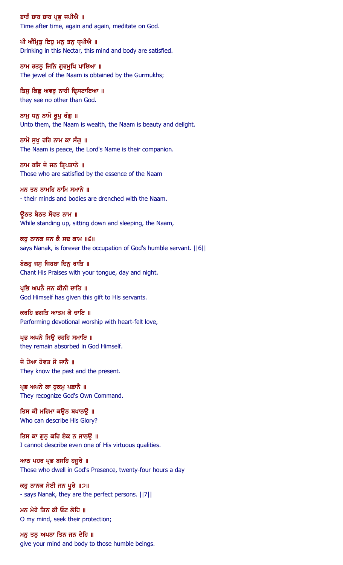ਬਾਰੰ ਬਾਰ ਬਾਰ ਪ੍ਰਭੂ ਜਪੀਐ ॥ Time after time, again and again, meditate on God.

ਪੀ ਅੰਮ੍ਰਿਤੂ ਇਹੂ ਮਨੂ ਤਨੂ ਧ੍ਰਪੀਐ ॥ Drinking in this Nectar, this mind and body are satisfied.

ਨਾਮ ਰਤਨੂ ਜਿਨਿ ਗੁਰਮੁਖਿ ਪਾਇਆ ॥ The jewel of the Naam is obtained by the Gurmukhs;

ਤਿਸੁ ਕਿਛੁ ਅਵਰੁ ਨਾਹੀ ਦ੍ਰਿਸਟਾਇਆ ॥ they see no other than God.

ਨਾਮੁ ਧਨੁ ਨਾਮੋ ਰੁਪੁ ਰੰਗੁ ॥ Unto them, the Naam is wealth, the Naam is beauty and delight.

ਨਾਮੋ ਸੁਖ ਹਰਿ ਨਾਮ ਕਾ ਸੰਗੂ ॥ The Naam is peace, the Lord's Name is their companion.

ਨਾਮ ਰਸਿ ਜੋ ਜਨ ਤਿਪਤਾਨੇ ॥ Those who are satisfied by the essence of the Naam

ਮਨ ਤਨ ਨਾਮਹਿ ਨਾਮਿ ਸਮਾਨੇ ॥ - their minds and bodies are drenched with the Naam.

ਉਠਤ ਬੈਠਤ ਸੋਵਤ ਨਾਮ ॥ While standing up, sitting down and sleeping, the Naam,

ਕਹ ਨਾਨਕ ਜਨ ਕੈ ਸਦ ਕਾਮ ॥੬॥ says Nanak, is forever the occupation of God's humble servant. ||6||

ਬੋਲਹੂ ਜਸੂ ਜਿਹਬਾ ਦਿਨੂ ਰਾਤਿ ॥ Chant His Praises with your tongue, day and night.

ਪ੍ਰਭਿ ਅਪਨੈ ਜਨ ਕੀਨੀ ਦਾਤਿ ॥ God Himself has given this gift to His servants.

ਕਰਹਿ ਭਗਤਿ ਆਤਮ ਕੈ ਚਾਇ ॥ Performing devotional worship with heart-felt love,

ਪ੍ਰਭ ਅਪਨੇ ਸਿਉ ਰਹਹਿ ਸਮਾਇ ॥ they remain absorbed in God Himself.

ਜੋ ਹੋਆ ਹੋਵਤ ਸੋ ਜਾਨੈ ॥ They know the past and the present.

ਪ੍ਰਭ ਅਪਨੇ ਕਾ ਹੁਕਮੁ ਪਛਾਨੈ ॥ They recognize God's Own Command.

ਤਿਸ ਕੀ ਮਹਿਮਾ ਕਉਨ ਬਖਾਨਉ ॥ Who can describe His Glory?

ਤਿਸ ਕਾ ਗਨ ਕਹਿ ਏਕ ਨ ਜਾਨੳ ॥ I cannot describe even one of His virtuous qualities.

ਆਠ ਪਹਰ ਪ੍ਰਭ ਬਸਹਿ ਹਜੁਰੇ ॥ Those who dwell in God's Presence, twenty-four hours a day

ਕਹੁ ਨਾਨਕ ਸੇਈ ਜਨ ਪੂਰੇ ॥੭॥ - says Nanak, they are the perfect persons. ||7||

ਮਨ ਮੇਰੇ ਤਿਨ ਕੀ ਓਟ ਲੇਹਿ ॥ O my mind, seek their protection;

ਮਨੂ ਤਨੂ ਅਪਨਾ ਤਿਨ ਜਨ ਦੇਹਿ ॥ give your mind and body to those humble beings.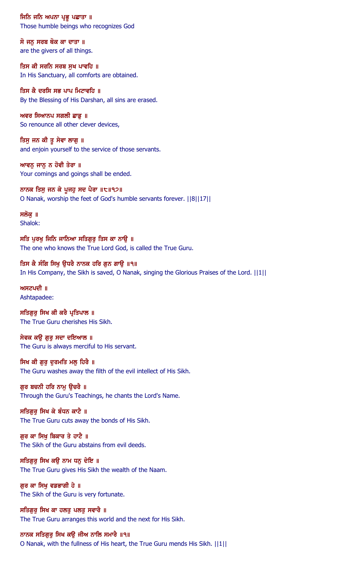ਜਿਨਿ ਜਨਿ ਅਪਨਾ ਪ੍ਰਭੂ ਪਛਾਤਾ ॥ Those humble beings who recognizes God

ਸੋ ਜਨ ਸਰਬ ਥੋਕ ਕਾ ਦਾਤਾ ॥ are the givers of all things.

ਤਿਸ ਕੀ ਸਰਨਿ ਸਰਬ ਸੁਖ ਪਾਵਹਿ ॥ In His Sanctuary, all comforts are obtained.

ਤਿਸ ਕੈ ਦਰਸਿ ਸਭ ਪਾਪ ਮਿਟਾਵਹਿ ॥ By the Blessing of His Darshan, all sins are erased.

ਅਵਰ ਸਿਆਨਪ ਸਗਲੀ ਛਾਡੂ ॥ So renounce all other clever devices,

ਤਿਸੁ ਜਨ ਕੀ ਤੁ ਸੇਵਾ ਲਾਗੁ ॥ and enjoin yourself to the service of those servants.

ਆਵਨ ਜਾਨ ਨ ਹੋਵੀ ਤੇਰਾ ॥ Your comings and goings shall be ended.

ਨਾਨਕ ਤਿਸੁ ਜਨ ਕੇ ਪੁਜਹੁ ਸਦ ਪੈਰਾ ॥੮॥੧੭॥ O Nanak, worship the feet of God's humble servants forever. ||8||17||

ਸਲੋਕ ॥ Shalok:

ਸਤਿ ਪਰਖ ਜਿਨਿ ਜਾਨਿਆ ਸਤਿਗਰ ਤਿਸ ਕਾ ਨਾੳ ॥ The one who knows the True Lord God, is called the True Guru.

ਤਿਸ ਕੈ ਸੰਗਿ ਸਿਖੁ ਉਧਰੈ ਨਾਨਕ ਹਰਿ ਗੁਨ ਗਾਉ ॥੧॥ In His Company, the Sikh is saved, O Nanak, singing the Glorious Praises of the Lord. ||1||

ਅਸਟਪਦੀ $\parallel$   $\parallel$ Ashtapadee:

ਸਤਿਗੁਰੂ ਸਿਖ ਕੀ ਕਰੈ ਪ੍ਰਤਿਪਾਲ ॥ The True Guru cherishes His Sikh.

ਸੇਵਕ ਕਉ ਗੁਰੂ ਸਦਾ ਦਇਆਲ ॥ The Guru is always merciful to His servant.

ਸਿਖ ਕੀ ਗੁਰੂ ਦੁਰਮਤਿ ਮਲੂ ਹਿਰੈ ॥ The Guru washes away the filth of the evil intellect of His Sikh.

ਗੁਰ ਬਚਨੀ ਹਰਿ ਨਾਮੂ ਉਚਰੈ ॥ Through the Guru's Teachings, he chants the Lord's Name.

ਸਤਿਗੁਰੂ ਸਿਖ ਕੇ ਬੰਧਨ ਕਾਟੈ ॥ The True Guru cuts away the bonds of His Sikh.

ਗਰ ਕਾ ਸਿਖ ਬਿਕਾਰ ਤੇ ਹਾਟੈ ॥ The Sikh of the Guru abstains from evil deeds.

ਸਤਿਗੁਰੂ ਸਿਖ ਕਉ ਨਾਮ ਧਨੂ ਦੇਇ ॥ The True Guru gives His Sikh the wealth of the Naam.

ਗੁਰ ਕਾ ਸਿਖੁ ਵਡਭਾਗੀ ਹੇ ॥ The Sikh of the Guru is very fortunate.

ਸਤਿਗਰ ਸਿਖ ਕਾ ਹਲਤ ਪਲਤ ਸਵਾਰੈ ॥ The True Guru arranges this world and the next for His Sikh.

### ਨਾਨਕ ਸਤਿਗੁਰੁ ਸਿਖ ਕਉ ਜੀਅ ਨਾਲਿ ਸਮਾਰੈ ॥੧॥

O Nanak, with the fullness of His heart, the True Guru mends His Sikh. ||1||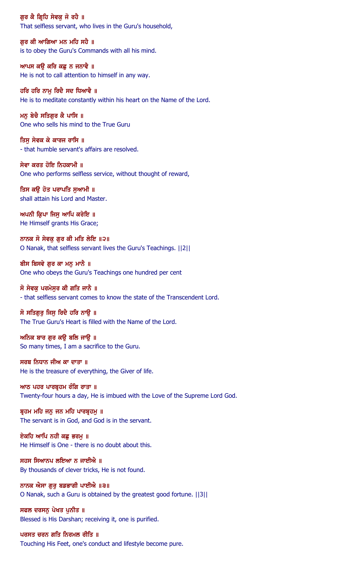ਗੁਰ ਕੈ ਗ੍ਰਿਹਿ ਸੇਵਕੁ ਜੋ ਰਹੈ ॥ That selfless servant, who lives in the Guru's household,

ਗਰ ਕੀ ਆਗਿਆ ਮਨ ਮਹਿ ਸਹੈ ॥ is to obey the Guru's Commands with all his mind.

ਆਪਸ ਕਉ ਕਰਿ ਕਛੂ ਨ ਜਨਾਵੈ ॥ He is not to call attention to himself in any way.

ਹਰਿ ਹਰਿ ਨਾਮੁ ਰਿਦੈ ਸਦ ਧਿਆਵੈ ॥ He is to meditate constantly within his heart on the Name of the Lord.

ਮਨੁ ਬੇਚੈ ਸਤਿਗੁਰ ਕੈ ਪਾਸਿ ॥ One who sells his mind to the True Guru

ਤਿਸ ਸੇਵਕ ਕੇ ਕਾਰਜ ਰਾਸਿ ॥ - that humble servant's affairs are resolved.

ਸੇਵਾ ਕਰਤ ਹੋਇ ਨਿਹਕਾਮੀ ॥ One who performs selfless service, without thought of reward,

ਤਿਸ ਕਉ ਹੋਤ ਪਰਾਪਤਿ ਸੁਆਮੀ ॥ shall attain his Lord and Master.

 $m$ ਪਨੀ ਕ੍ਰਿਪਾ ਜਿਸ ਆਪਿ ਕਰੇਇ ॥ He Himself grants His Grace;

ਨਾਨਕ ਸੋ ਸੇਵਕ ਗਰ ਕੀ ਮਤਿ ਲੇਇ ॥੨॥ O Nanak, that selfless servant lives the Guru's Teachings. ||2||

ਬੀਸ ਬਿਸਵੇ ਗੁਰ ਕਾ ਮਨੁ ਮਾਨੈ ॥ One who obeys the Guru's Teachings one hundred per cent

ਸੋ ਸੇਵਕ ਪਰਮੇਸਰ ਕੀ ਗਤਿ ਜਾਨੈ ॥ - that selfless servant comes to know the state of the Transcendent Lord.

ਸੋ ਸਤਿਗਰ ਜਿਸ ਰਿਦੈ ਹਰਿ ਨਾੳ ॥ The True Guru's Heart is filled with the Name of the Lord.

ਅਨਿਕ ਬਾਰ ਗੁਰ ਕਉ ਬਲਿ ਜਾਉ ॥ So many times, I am a sacrifice to the Guru.

ਸਰਬ ਨਿਧਾਨ ਜੀਅ ਕਾ ਦਾਤਾ ॥ He is the treasure of everything, the Giver of life.

ਆਠ ਪਹਰ ਪਾਰਬ੍ਰਹਮ ਰੰਗਿ ਰਾਤਾ ॥ Twenty-four hours a day, He is imbued with the Love of the Supreme Lord God.

ਬ੍ਰਹਮ ਮਹਿ ਜਨੁ ਜਨ ਮਹਿ ਪਾਰਬ੍ਰਹਮੁ ॥ The servant is in God, and God is in the servant.

ਏਕਹਿ ਆਪਿ ਨਹੀ ਕਛ ਭਰਮ ॥ He Himself is One - there is no doubt about this.

ਸਹਸ ਸਿਆਨਪ ਲਇਆ ਨ ਜਾਈਐ ॥ By thousands of clever tricks, He is not found.

ਨਾਨਕ ਐਸਾ ਗੁਰੂ ਬਡਭਾਗੀ ਪਾਈਐ ॥੩॥ O Nanak, such a Guru is obtained by the greatest good fortune. ||3||

ਸਫਲ ਦਰਸਨ ਪੇਖਤ ਪਨੀਤ ॥ Blessed is His Darshan; receiving it, one is purified.

ਪਰਸਤ ਚਰਨ ਗਤਿ ਨਿਰਮਲ ਰੀਤਿ ॥

Touching His Feet, one's conduct and lifestyle become pure.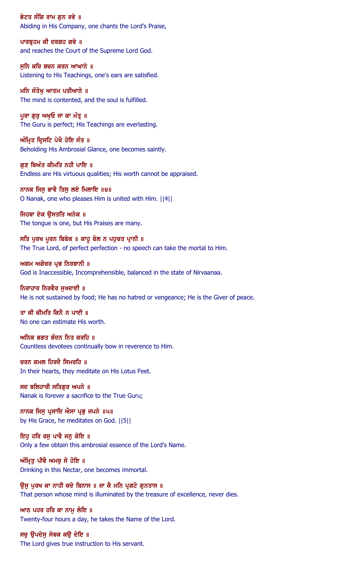ਭੇਟਤ ਸੰਗਿ ਰਾਮ ਗਨ ਰਵੇ ॥ Abiding in His Company, one chants the Lord's Praise,

ਪਾਰਬੁਹਮ ਕੀ ਦਰਗਹ ਗਵੇ ॥ and reaches the Court of the Supreme Lord God.

ਸੁਨਿ ਕਰਿ ਬਚਨ ਕਰਨ ਆਘਾਨੇ ॥ Listening to His Teachings, one's ears are satisfied.

ਮਨਿ ਸੰਤੋਖੁ ਆਤਮ ਪਤੀਆਨੇ ॥ The mind is contented, and the soul is fulfilled.

ਪੁਰਾ ਗੁਰੂ ਅਖ਼ਓ ਜਾ ਕਾ ਮੰਤ੍ਰ ॥ The Guru is perfect; His Teachings are everlasting.

ਅੰਮ੍ਰਿਤ ਦ੍ਰਿਸਟਿ ਪੇਖੈ ਹੋਇ ਸੰਤ ॥ Beholding His Ambrosial Glance, one becomes saintly.

ਗਣ ਬਿਅੰਤ ਕੀਮਤਿ ਨਹੀ ਪਾਇ ॥ Endless are His virtuous qualities; His worth cannot be appraised.

ਨਾਨਕ ਜਿਸੁ ਭਾਵੈ ਤਿਸੁ ਲਏ ਮਿਲਾਇ ॥੪॥ O Nanak, one who pleases Him is united with Him. ||4||

ਜਿਹਬਾ ਏਕ ੳਸਤਤਿ ਅਨੇਕ ॥ The tongue is one, but His Praises are many.

ਸਤਿ ਪੂਰਖ ਪੂਰਨ ਬਿਬੇਕ ॥ ਕਾਹੁ ਬੋਲ ਨ ਪਹੁਚਤ ਪ੍ਰਾਨੀ ॥ The True Lord, of perfect perfection - no speech can take the mortal to Him.

ਅਗਮ ਅਗੋਚਰ ਪ੍ਰਭ ਨਿਰਬਾਨੀ ॥ God is Inaccessible, Incomprehensible, balanced in the state of Nirvaanaa.

ਨਿਰਾਹਾਰ ਨਿਰਵੈਰ ਸਖਦਾਈ ॥ He is not sustained by food; He has no hatred or vengeance; He is the Giver of peace.

ਤਾ ਕੀ ਕੀਮਤਿ ਕਿਨੈ ਨ ਪਾਈ ॥ No one can estimate His worth.

ਅਨਿਕ ਭਗਤ ਬੰਦਨ ਨਿਤ ਕਰਹਿ ॥ Countless devotees continually bow in reverence to Him.

ਚਰਨ ਕਮਲ ਹਿਰਦੈ ਸਿਮਰਹਿ ॥ In their hearts, they meditate on His Lotus Feet.

ਸਦ ਬਲਿਹਾਰੀ ਸਤਿਗੁਰ ਅਪਨੇ ॥ Nanak is forever a sacrifice to the True Guru;

ਨਾਨਕ ਜਿਸ ਪ੍ਰਸਾਦਿ ਐਸਾ ਪ੍ਰਭੁ ਜਪਨੇ ॥ਪ॥ by His Grace, he meditates on God. ||5||

ਇਹ ਹਰਿ ਰਸ ਪਾਵੈ ਜਨ ਕੋਇ ॥ Only a few obtain this ambrosial essence of the Lord's Name.

ਅੰਮ੍ਰਿਤੂ ਪੀਵੈ ਅਮਰੁ ਸੋ ਹੋਇ ॥ Drinking in this Nectar, one becomes immortal.

ਉਸ ਪੂਰਖ ਕਾ ਨਾਹੀ ਕਦੇ ਬਿਨਾਸ ॥ ਜਾ ਕੈ ਮਨਿ ਪ੍ਰਗਟੇ ਗੁਨਤਾਸ ॥ That person whose mind is illuminated by the treasure of excellence, never dies.

ਆਠ ਪਹਰ ਹਰਿ ਕਾ ਨਾਮ ਲੇਇ ॥ Twenty-four hours a day, he takes the Name of the Lord.

ਸਚੁ ਉਪਦੇਸੁ ਸੇਵਕ ਕਉ ਦੇਇ ॥ The Lord gives true instruction to His servant.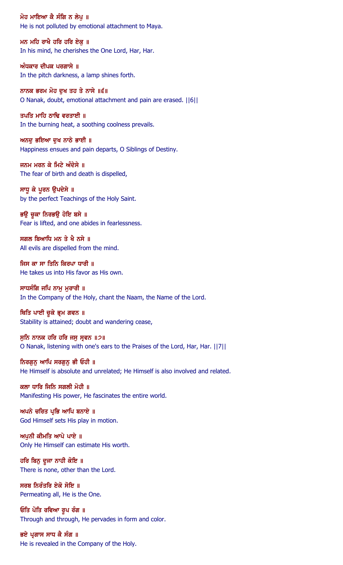ਮੋਹ ਮਾਇਆ ਕੈ ਸੰਗਿ ਨ ਲੇਪੁ ॥ He is not polluted by emotional attachment to Maya.

ਮਨ ਮਹਿ ਰਾਖੈ ਹਰਿ ਹਰਿ ਏਕ ॥ In his mind, he cherishes the One Lord, Har, Har.

ਅੰਧਕਾਰ ਦੀਪਕ ਪਰਗਾਸੇ ॥ In the pitch darkness, a lamp shines forth.

ਨਾਨਕ ਭਰਮ ਮੋਹ ਦਖ ਤਹ ਤੇ ਨਾਸੇ ॥੬॥ O Nanak, doubt, emotional attachment and pain are erased. ||6||

ਤਪਤਿ ਮਾਹਿ ਠਾਢਿ ਵਰਤਾਈ ॥ In the burning heat, a soothing coolness prevails.

ਅਨਦੂ ਭਇਆ ਦੁਖ ਨਾਠੇ ਭਾਈ ॥ Happiness ensues and pain departs, O Siblings of Destiny.

ਜਨਮ ਮਰਨ ਕੇ ਮਿਟੇ ਅੰਦੇਸੇ ॥ The fear of birth and death is dispelled,

ਸਾਧੁ ਕੇ ਪੂਰਨ ਉਪਦੇਸੇ ॥ by the perfect Teachings of the Holy Saint.

ਭਉ ਚੁਕਾ ਨਿਰਭਉ ਹੋਇ ਬਸੇ ॥ Fear is lifted, and one abides in fearlessness.

ਸਗਲ ਬਿਆਧਿ ਮਨ ਤੇ ਖੈ ਨਸੇ ॥ All evils are dispelled from the mind.

ਜਿਸ ਕਾ ਸਾ ਤਿਨਿ ਕਿਰਪਾ ਧਾਰੀ ॥ He takes us into His favor as His own.

ਸਾਧਸੰਗਿ ਜਪਿ ਨਾਮ ਮਰਾਰੀ ॥ In the Company of the Holy, chant the Naam, the Name of the Lord.

ਥਿਤਿ ਪਾਈ ਚੁਕੇ ਭ੍ਰਮ ਗਵਨ ॥ Stability is attained; doubt and wandering cease,

ਸੁਨਿ ਨਾਨਕ ਹਰਿ ਹਰਿ ਜਸੁ ਸ੍ਰਵਨ ॥੭॥ O Nanak, listening with one's ears to the Praises of the Lord, Har, Har. ||7||

ਨਿਰਗੁਨੂ ਆਪਿ ਸਰਗੁਨੂ ਭੀ ਓਹੀ ॥ He Himself is absolute and unrelated; He Himself is also involved and related.

ਕਲਾ ਧਾਰਿ ਜਿਨਿ ਸਗਲੀ ਮੋਹੀ ॥ Manifesting His power, He fascinates the entire world.

ਅਪਨੇ ਚਰਿਤ ਪ੍ਰਭਿ ਆਪਿ ਬਨਾਏ ॥ God Himself sets His play in motion.

ਅਪਨੀ ਕੀਮਤਿ ਆਪੇ ਪਾਏ ॥ Only He Himself can estimate His worth.

ਹਰਿ ਬਿਨੂ ਦੂਜਾ ਨਾਹੀ ਕੋਇ ॥ There is none, other than the Lord.

ਸਰਬ ਨਿਰੰਤਰਿ ਏਕੋ ਸੋਇ ॥ Permeating all, He is the One.

ਓਤਿ ਪੋਤਿ ਰਵਿਆ ਰੂਪ ਰੰਗ ॥ Through and through, He pervades in form and color.

ਭਏ ਪ੍ਰਗਾਸ ਸਾਧ ਕੈ ਸੰਗ ॥ He is revealed in the Company of the Holy.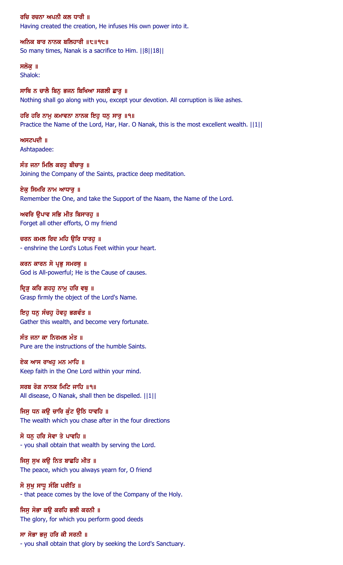ਰਚਿ ਰਚਨਾ ਅਪਨੀ ਕਲ ਧਾਰੀ ॥ Having created the creation, He infuses His own power into it.

ਅਨਿਕ ਬਾਰ ਨਾਨਕ ਬਲਿਹਾਰੀ  $\|t\|$ ੧੮ $\|$ So many times, Nanak is a sacrifice to Him. ||8||18||

#### ਸਲੋਕ ॥ Shalok:

ਸਾਥਿ ਨ ਚਾਲੈ ਬਿਨ ਭਜਨ ਬਿਖਿਆ ਸਗਲੀ ਛਾਰ ॥ Nothing shall go along with you, except your devotion. All corruption is like ashes.

ਹਰਿ ਹਰਿ ਨਾਮੂ ਕਮਾਵਨਾ ਨਾਨਕ ਇਹੁ ਧਨੁ ਸਾਰੁ ॥੧॥ Practice the Name of the Lord, Har, Har. O Nanak, this is the most excellent wealth.  $||1||$ 

 $m$ ਸਟਪਦੀ ॥ Ashtapadee:

ਸੰਤ ਜਨਾ ਮਿਲਿ ਕਰਹ ਬੀਚਾਰ ॥ Joining the Company of the Saints, practice deep meditation.

ਏਕੁ ਸਿਮਰਿ ਨਾਮ ਆਧਾਰੂ ॥ Remember the One, and take the Support of the Naam, the Name of the Lord.

ਅਵਰਿ ਉਪਾਵ ਸਭਿ ਮੀਤ ਬਿਸਾਰਹੁ ॥ Forget all other efforts, O my friend

ਚਰਨ ਕਮਲ ਰਿਦ ਮਹਿ ੳਿਰ ਧਾਰਹ ॥ - enshrine the Lord's Lotus Feet within your heart.

ਕਰਨ ਕਾਰਨ ਸੋ ਪ੍ਰਭੁ ਸਮਰਥੁ ॥ God is All-powerful; He is the Cause of causes.

ਦਿੜ ਕਰਿ ਗਹਹ ਨਾਮ ਹਰਿ ਵਥ ॥ Grasp firmly the object of the Lord's Name.

ਇਹੂ ਧਨੂ ਸੰਚਹੂ ਹੋਵਹੂ ਭਗਵੰਤ ॥ Gather this wealth, and become very fortunate.

ਸੰਤ ਜਨਾ ਕਾ ਨਿਰਮਲ ਮੰਤ ॥ Pure are the instructions of the humble Saints.

ਏਕ ਆਸ ਰਾਖਹੁ ਮਨ ਮਾਹਿ ॥ Keep faith in the One Lord within your mind.

ਸਰਬ ਰੋਗ ਨਾਨਕ ਮਿਟਿ ਜਾਹਿ ॥੧॥ All disease, O Nanak, shall then be dispelled.  $||1||$ 

ਜਿਸੂ ਧਨ ਕਉ ਚਾਰਿ ਕੁੰਟ ਉਠਿ ਧਾਵਹਿ ॥ The wealth which you chase after in the four directions

ਸੋ ਧਨ ਹਰਿ ਸੇਵਾ ਤੇ ਪਾਵਹਿ ॥ - you shall obtain that wealth by serving the Lord.

ਜਿਸੂ ਸੁਖ ਕਉ ਨਿਤ ਬਾਛਹਿ ਮੀਤ ॥ The peace, which you always yearn for, O friend

ਸੋ ਸੁਖ ਸਾਧੂ ਸੰਗਿ ਪਰੀਤਿ ॥ - that peace comes by the love of the Company of the Holy.

ਜਿਸ ਸੋਭਾ ਕੳ ਕਰਹਿ ਭਲੀ ਕਰਨੀ ॥ The glory, for which you perform good deeds

ਸਾ ਸੋਭਾ ਭਜੂ ਹਰਿ ਕੀ ਸਰਨੀ ॥ - you shall obtain that glory by seeking the Lord's Sanctuary.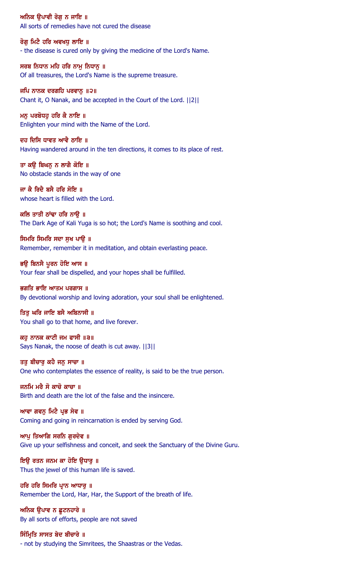ਅਨਿਕ ੳਪਾਵੀ ਰੋਗ ਨ ਜਾਇ ॥ All sorts of remedies have not cured the disease

ਰੋਗ ਮਿਟੈ ਹਰਿ ਅਵਖਧ ਲਾਇ ॥ - the disease is cured only by giving the medicine of the Lord's Name.

ਸਰਬ ਨਿਧਾਨ ਮਹਿ ਹਰਿ ਨਾਮੂ ਨਿਧਾਨੂ ॥ Of all treasures, the Lord's Name is the supreme treasure.

ਜਪਿ ਨਾਨਕ ਦਰਗਹਿ ਪਰਵਾਨੁ ॥੨॥ Chant it, O Nanak, and be accepted in the Court of the Lord. ||2||

ਮਨ ਪਰਬੋਧਹ ਹਰਿ ਕੈ ਨਾਇ ॥ Enlighten your mind with the Name of the Lord.

ਦੂਹ ਦਿਸਿ ਧਾਵਤ ਆਵੈ ਨਾਇ ॥ Having wandered around in the ten directions, it comes to its place of rest.

ਤਾ ਕੳ ਬਿਘਨ ਨ ਲਾਗੈ ਕੋਇ ॥ No obstacle stands in the way of one

ਜਾ ਕੈ ਰਿਦੈ ਬਸੈ ਹਰਿ ਸੋਇ ॥ whose heart is filled with the Lord.

ਕਲਿ ਤਾਤੀ ਠਾਂਢਾ ਹਰਿ ਨਾੳ ॥ The Dark Age of Kali Yuga is so hot; the Lord's Name is soothing and cool.

ਸਿਮਰਿ ਸਿਮਰਿ ਸਦਾ ਸਖ ਪਾੳ ॥ Remember, remember it in meditation, and obtain everlasting peace.

ਭਉ ਬਿਨਸੈ ਪੂਰਨ ਹੋਇ ਆਸ ॥ Your fear shall be dispelled, and your hopes shall be fulfilled.

ਭਗਤਿ ਭਾਇ ਆਤਮ ਪਰਗਾਸ ॥ By devotional worship and loving adoration, your soul shall be enlightened.

ਤਿਤ ਘਰਿ ਜਾਇ ਬਸੈ ਅਬਿਨਾਸੀ ॥ You shall go to that home, and live forever.

ਕਹੁ ਨਾਨਕ ਕਾਟੀ ਜਮ ਫਾਸੀ ॥੩॥ Says Nanak, the noose of death is cut away. ||3||

ਤਤੁ ਬੀਚਾਰੁ ਕਹੈ ਜਨੁ ਸਾਚਾ ॥ One who contemplates the essence of reality, is said to be the true person.

ਜਨਮਿ ਮਰੈ ਸੋ ਕਾਚੋ ਕਾਚਾ ॥ Birth and death are the lot of the false and the insincere.

ਆਵਾ ਗਵਨੂ ਮਿਟੈ ਪ੍ਰਭ ਸੇਵ ॥ Coming and going in reincarnation is ended by serving God.

ਆਪ ਤਿਆਗਿ ਸਰਨਿ ਗਰਦੇਵ ॥ Give up your selfishness and conceit, and seek the Sanctuary of the Divine Guru.

ਇਉ ਰਤਨ ਜਨਮ ਕਾ ਹੋਇ ਉਧਾਰੂ ॥ Thus the jewel of this human life is saved.

ਹਰਿ ਹਰਿ ਸਿਮਰਿ ਪ੍ਰਾਨ ਆਧਾਰੁ ॥ Remember the Lord, Har, Har, the Support of the breath of life.

ਅਨਿਕ ੳਪਾਵ ਨ ਛਟਨਹਾਰੇ ॥ By all sorts of efforts, people are not saved

ਸਿੰਮ੍ਰਿਤਿ ਸਾਸਤ ਬੇਦ ਬੀਚਾਰੇ ॥ - not by studying the Simritees, the Shaastras or the Vedas.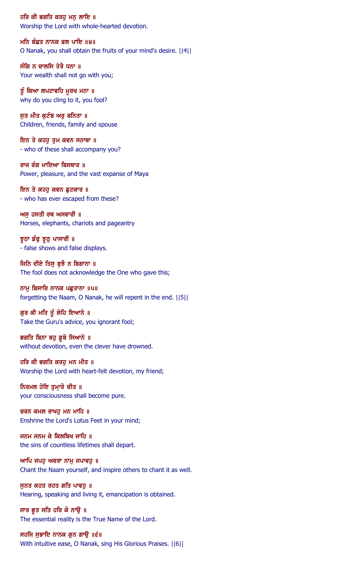ਹਰਿ ਕੀ ਭਗਤਿ ਕਰਹੁ ਮਨੁ ਲਾਇ ॥ Worship the Lord with whole-hearted devotion.

ਮਨਿ ਬੰਛਤ ਨਾਨਕ ਫਲ ਪਾਇ ॥੪॥ O Nanak, you shall obtain the fruits of your mind's desire. ||4||

ਸੰਗਿ ਨ ਚਾਲਸਿ ਤੇਰੈ ਧਨਾ ॥ Your wealth shall not go with you;

ਤੂੰ ਕਿਆ ਲਪਟਾਵਹਿ ਮੁਰਖ ਮਨਾ ॥ why do you cling to it, you fool?

ਸੁਤ ਮੀਤ ਕੁਟੰਬ ਅਰੁ ਬਨਿਤਾ ॥ Children, friends, family and spouse

ਇਨ ਤੇ ਕਹਰੂ ਤੁਮ ਕਵਨ ਸਨਾਥਾ ॥ - who of these shall accompany you?

ਰਾਜ ਰੰਗ ਮਾਇਆ ਬਿਸਥਾਰ ॥ Power, pleasure, and the vast expanse of Maya

ਇਨ ਤੇ ਕਹਹੁ ਕਵਨ ਛੁਟਕਾਰ ॥ - who has ever escaped from these?

ਅਸੁ ਹਸਤੀ ਰਥ ਅਸਵਾਰੀ ॥ Horses, elephants, chariots and pageantry

ਝੁਠਾ ਡੰਫੂ ਝੁਠੂ ਪਾਸਾਰੀ ॥ - false shows and false displays.

ਜਿਨਿ ਦੀਏ ਤਿਸੁ ਬੁਝੈ ਨ ਬਿਗਾਨਾ ॥ The fool does not acknowledge the One who gave this;

ਨਾਮੂ ਬਿਸਾਰਿ ਨਾਨਕ ਪਛੁਤਾਨਾ ॥੫॥ forgetting the Naam, O Nanak, he will repent in the end. ||5||

ਗੁਰ ਕੀ ਮਤਿ ਤੂੰ ਲੇਹਿ ਇਆਨੇ ॥ Take the Guru's advice, you ignorant fool;

ਭਗਤਿ ਬਿਨਾ ਬਹੁ ਡੁਬੇ ਸਿਆਨੇ ॥ without devotion, even the clever have drowned.

ਹਰਿ ਕੀ ਭਗਤਿ ਕਰਹੁ ਮਨ ਮੀਤ ॥ Worship the Lord with heart-felt devotion, my friend;

ਨਿਰਮਲ ਹੋਇ ਤੁਮ੍ਹਾਰੋ ਚੀਤ ॥ your consciousness shall become pure.

ਚਰਨ ਕਮਲ ਰਾਖਹੁ ਮਨ ਮਾਹਿ ॥ Enshrine the Lord's Lotus Feet in your mind;

ਜਨਮ ਜਨਮ ਕੇ ਕਿਲਬਿਖ ਜਾਹਿ ॥ the sins of countless lifetimes shall depart.

ਆਪਿ ਜਪਹੁ ਅਵਰਾ ਨਾਮੁ ਜਪਾਵਹੁ ॥ Chant the Naam yourself, and inspire others to chant it as well.

ਸੁਨਤ ਕਹਤ ਰਹਤ ਗਤਿ ਪਾਵਹੁ ॥ Hearing, speaking and living it, emancipation is obtained.

ਸਾਰ ਭੁਤ ਸਤਿ ਹਰਿ ਕੋ ਨਾਉ ॥ The essential reality is the True Name of the Lord.

ਸਹਜਿ ਸੁਭਾਇ ਨਾਨਕ ਗੁਨ ਗਾਉ ॥੬॥ With intuitive ease, O Nanak, sing His Glorious Praises. ||6||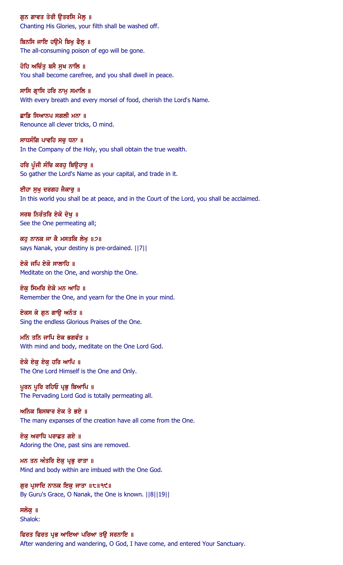ਗੁਨ ਗਾਵਤ ਤੇਰੀ ਉਤਰਸਿ ਮੈਲੂ ॥ Chanting His Glories, your filth shall be washed off.

ਬਿਨਸਿ ਜਾਇ ਹੳਮੈ ਬਿਖ ਫੈਲ ॥ The all-consuming poison of ego will be gone.

ਹੋਹਿ ਅਚਿੰਤੁ ਬਸੈ ਸੁਖ ਨਾਲਿ ॥ You shall become carefree, and you shall dwell in peace.

ਸਾਸਿ ਗ੍ਰਾਸਿ ਹਰਿ ਨਾਮੁ ਸਮਾਲਿ ॥ With every breath and every morsel of food, cherish the Lord's Name.

ਛਾਡਿ ਸਿਆਨਪ ਸਗਲੀ ਮਨਾ ॥ Renounce all clever tricks, O mind.

ਸਾਧਸੰਗਿ ਪਾਵਹਿ ਸਚੁ ਧਨਾ ॥ In the Company of the Holy, you shall obtain the true wealth.

ਹਰਿ ਪੰਜੀ ਸੰਚਿ ਕਰਹ ਬਿੳਹਾਰ ॥ So gather the Lord's Name as your capital, and trade in it.

ਈਹਾ ਸੁਖੂ ਦਰਗਹ ਜੈਕਾਰੂ ॥ In this world you shall be at peace, and in the Court of the Lord, you shall be acclaimed.

ਸਰਬ ਨਿਰੰਤਰਿ ਏਕੋ ਦੇਖੁ ॥ See the One permeating all;

ਕਹ ਨਾਨਕ ਜਾ ਕੈ ਮਸਤਕਿ ਲੇਖ ॥੭॥ says Nanak, your destiny is pre-ordained. ||7||

ਏਕੋ ਜਪਿ ਏਕੋ ਸਾਲਾਹਿ ॥ Meditate on the One, and worship the One.

ਏਕ ਸਿਮਰਿ ਏਕੋ ਮਨ ਆਹਿ ॥ Remember the One, and yearn for the One in your mind.

ਏਕਸ ਕੇ ਗਨ ਗਾੳ ਅਨੰਤ ॥ Sing the endless Glorious Praises of the One.

ਮਨਿ ਤਨਿ ਜਾਪਿ ਏਕ ਭਗਵੰਤ ॥ With mind and body, meditate on the One Lord God.

ਏਕੋ ਏਕੁ ਏਕੁ ਹਰਿ ਆਪਿ ॥ The One Lord Himself is the One and Only.

ਪੁਰਨ ਪੁਰਿ ਰਹਿਓ ਪ੍ਰਭੂ ਬਿਆਪਿ ॥ The Pervading Lord God is totally permeating all.

ਅਨਿਕ ਬਿਸਥਾਰ ਏਕ ਤੇ ਭਏ $\,$  ॥ The many expanses of the creation have all come from the One.

ਏਕ ਅਰਾਧਿ ਪਰਾਛਤ ਗਏ ॥ Adoring the One, past sins are removed.

ਮਨ ਤਨ ਅੰਤਰਿ ਏਕੁ ਪ੍ਰਭੁ ਰਾਤਾ ॥ Mind and body within are imbued with the One God.

ਗੁਰ ਪ੍ਰਸਾਦਿ ਨਾਨਕ ਇਕ ਜਾਤਾ ॥੮॥੧੯॥ By Guru's Grace, O Nanak, the One is known. ||8||19||

ਸਲੋਕ ॥ Shalok:

## ਫਿਰਤ ਫਿਰਤ ਪ੍ਰਭ ਆਇਆ ਪਰਿਆ ਤਉ ਸਰਨਾਇ ॥

After wandering and wandering, O God, I have come, and entered Your Sanctuary.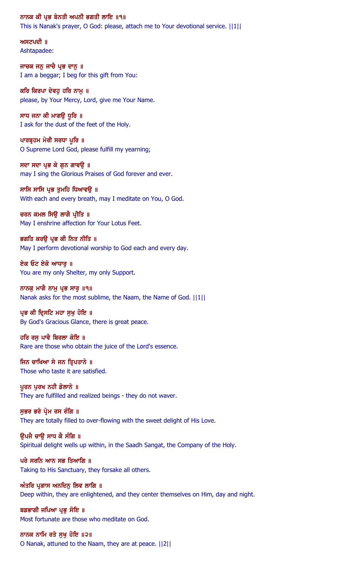#### ਨਾਨਕ ਕੀ ਪ੍ਰਭ ਬੇਨਤੀ ਅਪਨੀ ਭਗਤੀ ਲਾਇ ॥੧॥

This is Nanak's prayer, O God: please, attach me to Your devotional service. ||1||

ਅਸਟਪਦੀ $\parallel$ Ashtapadee:

ਜਾਚਕ ਜਨੁ ਜਾਚੈ ਪ੍ਰਭ ਦਾਨੁ ॥ I am a beggar; I beg for this gift from You:

ਕਰਿ ਕਿਰਪਾ ਦੇਵਹ ਹਰਿ ਨਾਮ ॥ please, by Your Mercy, Lord, give me Your Name.

ਸਾਧ ਜਨਾ ਕੀ ਮਾਗਉ ਧੁਰਿ ॥ I ask for the dust of the feet of the Holy.

ਪਾਰਬੁਹਮ ਮੇਰੀ ਸਰਧਾ ਪੁਰਿ ॥ O Supreme Lord God, please fulfill my yearning;

ਸਦਾ ਸਦਾ ਪ੍ਰਭ ਕੇ ਗਨ ਗਾਵੳ ॥ may I sing the Glorious Praises of God forever and ever.

ਸਾਸਿ ਸਾਸਿ ਪ੍ਰਭ ਤੁਮਹਿ ਧਿਆਵਉ ॥ With each and every breath, may I meditate on You, O God.

ਚਰਨ ਕਮਲ ਸਿਉ ਲਾਗੈ ਪ੍ਰੀਤਿ ॥ May I enshrine affection for Your Lotus Feet.

ਭਗਤਿ ਕਰੳ ਪੁਭ ਕੀ ਨਿਤ ਨੀਤਿ ॥ May I perform devotional worship to God each and every day.

ਏਕ ਓਟ ਏਕੋ ਆਧਾਰ ॥ You are my only Shelter, my only Support.

ਨਾਨਕੂ ਮਾਗੈ ਨਾਮੂ ਪ੍ਰਭ ਸਾਰੂ ॥੧॥ Nanak asks for the most sublime, the Naam, the Name of God. ||1||

ਪ੍ਰਭ ਕੀ ਦ੍ਰਿਸਟਿ ਮਹਾ ਸੁਖੁ ਹੋਇ ॥ By God's Gracious Glance, there is great peace.

ਹਰਿ ਰਸੂ ਪਾਵੈ ਬਿਰਲਾ ਕੋਇ ॥ Rare are those who obtain the juice of the Lord's essence.

ਜਿਨ ਚਾਖਿਆ ਸੇ ਜਨ ਤ੍ਰਿਪਤਾਨੇ ॥ Those who taste it are satisfied.

ਪੁਰਨ ਪੁਰਖ ਨਹੀ ਡੋਲਾਨੇ ॥ They are fulfilled and realized beings - they do not waver.

ਸਭਰ ਭਰੇ ਪ੍ਰੇਮ ਰਸ ਰੰਗਿ ॥ They are totally filled to over-flowing with the sweet delight of His Love.

ੳਪਜੈ ਚਾੳ ਸਾਧ ਕੈ ਸੰਗਿ ॥ Spiritual delight wells up within, in the Saadh Sangat, the Company of the Holy.

ਪਰੇ ਸਰਨਿ ਆਨ ਸਭ ਤਿਆਗਿ ॥ Taking to His Sanctuary, they forsake all others.

ਅੰਤਰਿ ਪ੍ਰਗਾਸ ਅਨਦਿਨ ਲਿਵ ਲਾਗਿ ॥ Deep within, they are enlightened, and they center themselves on Him, day and night.

ਬਡਭਾਗੀ ਜਪਿਆ ਪ੍ਰਭ ਸੋਇ ॥ Most fortunate are those who meditate on God.

ਨਾਨਕ ਨਾਮਿ ਰਤੇ ਸੁਖੁ ਹੋਇ ॥੨॥ O Nanak, attuned to the Naam, they are at peace. ||2||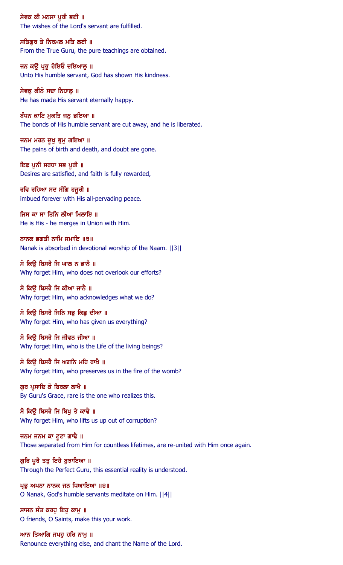ਸੇਵਕ ਕੀ ਮਨਸਾ ਪੂਰੀ ਭਈ ॥ The wishes of the Lord's servant are fulfilled.

ਸਤਿਗਰ ਤੇ ਨਿਰਮਲ ਮਤਿ ਲਈ ॥ From the True Guru, the pure teachings are obtained.

ਜਨ ਕਉ ਪ੍ਰਭੁ ਹੋਇਓ ਦਇਆਲੂ ॥ Unto His humble servant, God has shown His kindness.

ਸੇਵਕੁ ਕੀਨੋ ਸਦਾ ਨਿਹਾਲੂ ॥ He has made His servant eternally happy.

ਬੰਧਨ ਕਾਟਿ ਮੁਕਤਿ ਜਨੁ ਭਇਆ ॥ The bonds of His humble servant are cut away, and he is liberated.

ਜਨਮ ਮਰਨ ਦੁਖ ਭੁਮੁ ਗਇਆ ॥ The pains of birth and death, and doubt are gone.

ਇਛ ਪਨੀ ਸਰਧਾ ਸਭ ਪੂਰੀ ॥ Desires are satisfied, and faith is fully rewarded,

ਰਵਿ ਰਹਿਆ ਸਦ ਸੰਗਿ ਹਜੁਰੀ ॥ imbued forever with His all-pervading peace.

ਜਿਸ ਕਾ ਸਾ ਤਿਨਿ ਲੀਆ ਮਿਲਾਇ ॥ He is His - he merges in Union with Him.

ਨਾਨਕ ਭਗਤੀ ਨਾਮਿ ਸਮਾਇ ॥੩॥ Nanak is absorbed in devotional worship of the Naam. ||3||

ਸੋ ਕਿੳ ਬਿਸਰੈ ਜਿ ਘਾਲ ਨ ਭਾਨੈ ॥ Why forget Him, who does not overlook our efforts?

ਸੋ ਕਿੳ ਬਿਸਰੈ ਜਿ ਕੀਆ ਜਾਨੈ ॥ Why forget Him, who acknowledges what we do?

ਸੋ ਕਿੳ ਬਿਸਰੈ ਜਿਨਿ ਸਭ ਕਿਛ ਦੀਆ ॥ Why forget Him, who has given us everything?

ਸੋ ਕਿਉ ਬਿਸਰੈ ਜਿ ਜੀਵਨ ਜੀਆ ॥ Why forget Him, who is the Life of the living beings?

ਸੋ ਕਿਉ ਬਿਸਰੈ ਜਿ ਅਗਨਿ ਮਹਿ ਰਾਖੈ ॥ Why forget Him, who preserves us in the fire of the womb?

ਗੁਰ ਪ੍ਰਸਾਦਿ ਕੋ ਬਿਰਲਾ ਲਾਖੈ ॥ By Guru's Grace, rare is the one who realizes this.

ਸੋ ਕਿੳ ਬਿਸਰੈ ਜਿ ਬਿਖ ਤੇ ਕਾਢੈ ॥ Why forget Him, who lifts us up out of corruption?

ਜਨਮ ਜਨਮ ਕਾ ਟੁਟਾ ਗਾਢੈ ॥ Those separated from Him for countless lifetimes, are re-united with Him once again.

ਗੁਰਿ ਪੂਰੈ ਤਤੂ ਇਹੈ ਬੁਝਾਇਆ ॥ Through the Perfect Guru, this essential reality is understood.

ਪ੍ਰਭੂ ਅਪਨਾ ਨਾਨਕ ਜਨ ਧਿਆਇਆ ॥੪॥ O Nanak, God's humble servants meditate on Him. ||4||

ਸਾਜਨ ਸੰਤ ਕਰਹ ਇਹ ਕਾਮ ॥ O friends, O Saints, make this your work.

ਆਨ ਤਿਆਗਿ ਜਪਹੁ ਹਰਿ ਨਾਮੁ ॥ Renounce everything else, and chant the Name of the Lord.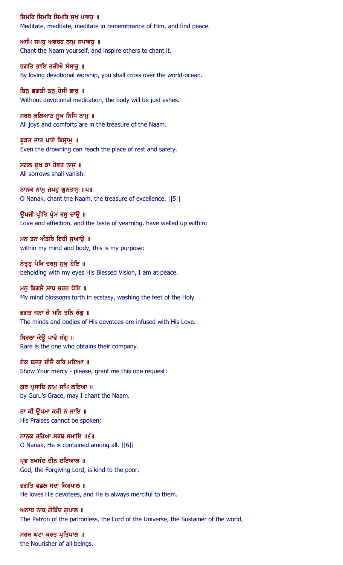### ਸਿਮਰਿ ਸਿਮਰਿ ਸਿਮਰਿ ਸਖ ਪਾਵਹ ॥

Meditate, meditate, meditate in remembrance of Him, and find peace.

ਆਪਿ ਜਪਹੁ ਅਵਰਹ ਨਾਮੁ ਜਪਾਵਹੁ ॥ Chant the Naam yourself, and inspire others to chant it.

ਭਗਤਿ ਭਾਇ ਤਰੀਐ ਸੰਸਾਰੂ ॥ By loving devotional worship, you shall cross over the world-ocean.

ਬਿਨੂ ਭਗਤੀ ਤਨੂ ਹੋਸੀ ਛਾਰੂ ॥ Without devotional meditation, the body will be just ashes.

ਸਰਬ ਕਲਿਆਣ ਸੂਖ ਨਿਧਿ ਨਾਮੁ ॥ All joys and comforts are in the treasure of the Naam.

ਬੁਡਤ ਜਾਤ ਪਾਏ ਬਿਸ਼ਾਮੁ ॥ Even the drowning can reach the place of rest and safety.

ਸਗਲ ਦੁਖ ਕਾ ਹੋਵਤ ਨਾਸ ॥ All sorrows shall vanish.

ਨਾਨਕ ਨਾਮੂ ਜਪਹੁ ਗੁਨਤਾਸੁ ॥੫॥ O Nanak, chant the Naam, the treasure of excellence. ||5||

ਉਪਜੀ ਪ੍ਰੀਤਿ ਪ੍ਰੇਮ ਰਸੂ ਚਾਉ ॥ Love and affection, and the taste of yearning, have welled up within;

ਮਨ ਤਨ ਅੰਤਰਿ ਇਹੀ ਸਆੳ ॥ within my mind and body, this is my purpose:

ਨੇਤ੍ਰਹੂ ਪੇਖਿ ਦਰਸੂ ਸੁਖੂ ਹੋਇ ॥ beholding with my eyes His Blessed Vision, I am at peace.

ਮਨ ਬਿਗਸੈ ਸਾਧ ਚਰਨ ਧੋਇ ॥ My mind blossoms forth in ecstasy, washing the feet of the Holy.

## ਭਗਤ ਜਨਾ ਕੈ ਮਨਿ ਤਨਿ ਰੰਗ ॥

The minds and bodies of His devotees are infused with His Love.

ਬਿਰਲਾ ਕੋਉ ਪਾਵੈ ਸੰਗੂ ॥ Rare is the one who obtains their company.

ਏਕ ਬਸਤੂ ਦੀਜੈ ਕਰਿ ਮਇਆ ॥ Show Your mercy - please, grant me this one request:

ਗੁਰ ਪ੍ਰਸਾਦਿ ਨਾਮੁ ਜਪਿ ਲਇਆ ॥ by Guru's Grace, may I chant the Naam.

ਤਾ ਕੀ ਉਪਮਾ ਕਹੀ ਨ ਜਾਇ ॥ His Praises cannot be spoken;

ਨਾਨਕ ਰਹਿਆ ਸਰਬ ਸਮਾਇ ॥ $\epsilon$ ॥ O Nanak, He is contained among all. ||6||

ਪ੍ਰਭ ਬਖਸੰਦ ਦੀਨ ਦਇਆਲ ॥ God, the Forgiving Lord, is kind to the poor.

ਭਗਤਿ ਵਛਲ ਸਦਾ ਕਿਰਪਾਲ ॥ He loves His devotees, and He is always merciful to them.

ਅਨਾਥ ਨਾਥ ਗੋਬਿੰਦ ਗਪਾਲ ॥ The Patron of the patronless, the Lord of the Universe, the Sustainer of the world,

ਸਰਬ ਘਟਾ ਕਰਤ ਪ੍ਰਤਿਪਾਲ ॥ the Nourisher of all beings.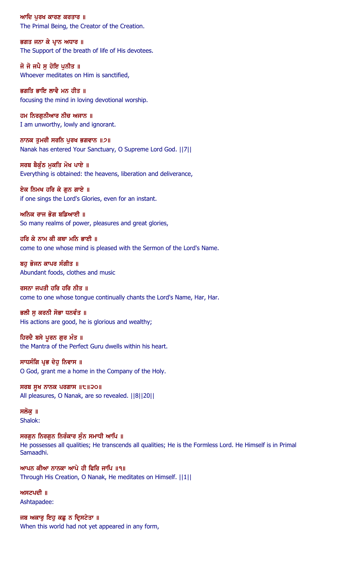ਆਦਿ ਪਰਖ ਕਾਰਣ ਕਰਤਾਰ ॥ The Primal Being, the Creator of the Creation.

ਭਗਤ ਜਨਾ ਕੇ ਪਾਨ ਅਧਾਰ ॥ The Support of the breath of life of His devotees.

ਜੋ ਜੋ ਜਪੈ ਸੁ ਹੋਇ ਪੁਨੀਤ ॥ Whoever meditates on Him is sanctified,

ਭਗਤਿ ਭਾਇ ਲਾਵੈ ਮਨ ਹੀਤ ॥ focusing the mind in loving devotional worship.

ਹਮ ਨਿਰਗੁਨੀਆਰ ਨੀਚ ਅਜਾਨ ॥ I am unworthy, lowly and ignorant.

ਨਾਨਕ ਤੁਮਰੀ ਸਰਨਿ ਪੂਰਖ ਭਗਵਾਨ ॥੭॥ Nanak has entered Your Sanctuary, O Supreme Lord God. ||7||

ਸਰਬ ਬੈਕੰਠ ਮਕਤਿ ਮੋਖ ਪਾਏ ॥ Everything is obtained: the heavens, liberation and deliverance,

ਏਕ ਨਿਮਖ ਹਰਿ ਕੇ ਗੁਨ ਗਾਏ ॥ if one sings the Lord's Glories, even for an instant.

ਅਨਿਕ ਰਾਜ ਭੋਗ ਬਡਿਆਈ ॥ So many realms of power, pleasures and great glories,

ਹਰਿ ਕੇ ਨਾਮ ਕੀ ਕਥਾ ਮਨਿ ਭਾਈ ॥ come to one whose mind is pleased with the Sermon of the Lord's Name.

ਬਹ ਭੋਜਨ ਕਾਪਰ ਸੰਗੀਤ ॥ Abundant foods, clothes and music

ਰਸਨਾ ਜਪਤੀ ਹਰਿ ਹਰਿ ਨੀਤ ॥ come to one whose tongue continually chants the Lord's Name, Har, Har.

ਭਲੀ ਸ ਕਰਨੀ ਸੋਭਾ ਧਨਵੰਤ ॥ His actions are good, he is glorious and wealthy;

ਹਿਰਦੈ ਬਸੇ ਪੂਰਨ ਗੁਰ ਮੰਤ ॥ the Mantra of the Perfect Guru dwells within his heart.

ਸਾਧਸੰਗਿ ਪ੍ਰਭ ਦੇਹੁ ਨਿਵਾਸ ॥ O God, grant me a home in the Company of the Holy.

ਸਰਬ ਸੁਖ ਨਾਨਕ ਪਰਗਾਸ  $||t||$ ੨੦॥ All pleasures, O Nanak, are so revealed. ||8||20||

ਸਲੋਕ ॥ Shalok:

ਸਰਗਨ ਨਿਰਗਨ ਨਿਰੰਕਾਰ ਸੰਨ ਸਮਾਧੀ ਆਪਿ ॥ He possesses all qualities; He transcends all qualities; He is the Formless Lord. He Himself is in Primal Samaadhi.

ਆਪਨ ਕੀਆ ਨਾਨਕਾ ਆਪੇ ਹੀ ਫ਼ਿਰਿ ਜਾਪਿ ॥੧॥ Through His Creation, O Nanak, He meditates on Himself. ||1||

 $M$   $H$   $Z$  $U$   $U$   $I$ Ashtapadee:

ਜਬ ਅਕਾਰ ਇਹ ਕਛ ਨ ਦਿਸਟੇਤਾ ॥ When this world had not yet appeared in any form,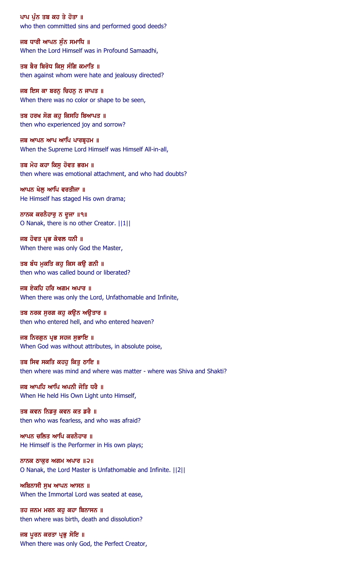ਪਾਪ ਪੁੰਨ ਤਬ ਕਹ ਤੇ ਹੋਤਾ ॥ who then committed sins and performed good deeds?

ਜਬ ਧਾਰੀ ਆਪਨ ਸੰਨ ਸਮਾਧਿ ॥ When the Lord Himself was in Profound Samaadhi,

ਤਬ ਬੈਰ ਬਿਰੋਧ ਕਿਸੂ ਸੰਗਿ ਕਮਾਤਿ ॥ then against whom were hate and jealousy directed?

ਜਬ ਇਸ ਕਾ ਬਰਨੂ ਚਿਹਨੂ ਨ ਜਾਪਤ ॥ When there was no color or shape to be seen,

ਤਬ ਹਰਖ ਸੋਗ ਕਹੁ ਕਿਸਹਿ ਬਿਆਪਤ ॥ then who experienced joy and sorrow?

ਜਬ ਆਪਨ ਆਪ ਆਪਿ ਪਾਰਬੁਹਮ ॥ When the Supreme Lord Himself was Himself All-in-all,

ਤਬ ਮੋਹ ਕਹਾ ਕਿਸ ਹੋਵਤ ਭਰਮ ॥ then where was emotional attachment, and who had doubts?

ਆਪਨ ਖੇਲੂ ਆਪਿ ਵਰਤੀਜਾ ॥ He Himself has staged His own drama;

ਨਾਨਕ ਕਰਨੈਹਾਰੂ ਨ ਦੂਜਾ ॥੧॥ O Nanak, there is no other Creator. ||1||

ਜਬ ਹੋਵਤ ਪ੍ਰਭ ਕੇਵਲ ਧਨੀ ॥ When there was only God the Master,

ਤਬ ਬੰਧ ਮੁਕਤਿ ਕਹੁ ਕਿਸ ਕਉ ਗਨੀ ॥ then who was called bound or liberated?

ਜਬ ਏਕਹਿ ਹਰਿ ਅਗਮ ਅਪਾਰ ॥ When there was only the Lord, Unfathomable and Infinite,

ਤਬ ਨਰਕ ਸੁਰਗ ਕਹੁ ਕਉਨ ਅਉਤਾਰ ॥ then who entered hell, and who entered heaven?

ਜਬ ਨਿਰਗੁਨ ਪ੍ਰਭ ਸਹਜ ਸੁਭਾਇ ॥ When God was without attributes, in absolute poise,

ਤਬ ਸਿਵ ਸਕਤਿ ਕਹਹੁ ਕਿਤੁ ਠਾਇ ॥ then where was mind and where was matter - where was Shiva and Shakti?

ਜਬ ਆਪਹਿ ਆਪਿ ਅਪਨੀ ਜੋਤਿ ਧਰੈ ॥ When He held His Own Light unto Himself,

ਤਬ ਕਵਨ ਨਿਡਰੂ ਕਵਨ ਕਤ ਡਰੈ ॥ then who was fearless, and who was afraid?

ਆਪਨ ਚਲਿਤ ਆਪਿ ਕਰਨੈਹਾਰ ॥ He Himself is the Performer in His own plays;

ਨਾਨਕ ਠਾਕੁਰ ਅਗਮ ਅਪਾਰ $\|Q\|$ O Nanak, the Lord Master is Unfathomable and Infinite. ||2||

ਅਬਿਨਾਸੀ ਸੁਖ ਆਪਨ ਆਸਨ ॥ When the Immortal Lord was seated at ease,

ਤਹ ਜਨਮ ਮਰਨ ਕਹ ਕਹਾ ਬਿਨਾਸਨ ॥ then where was birth, death and dissolution?

ਜਬ ਪੂਰਨ ਕਰਤਾ ਪ੍ਰਭੁ ਸੋਇ ॥ When there was only God, the Perfect Creator,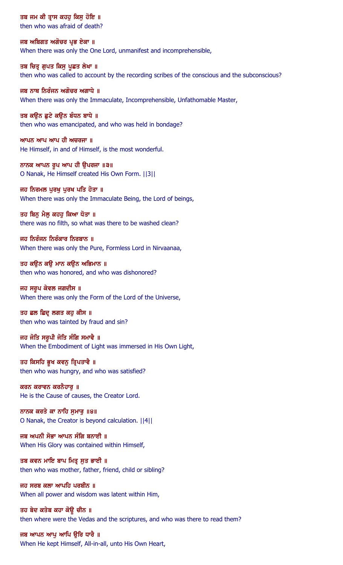ਤਬ ਜਮ ਕੀ ਤ੍ਰਾਸ ਕਹਹੁ ਕਿਸੁ ਹੋਇ ॥

then who was afraid of death?

ਜਬ ਅਬਿਗਤ ਅਗੋਚਰ ਪਭ ਏਕਾ ॥ When there was only the One Lord, unmanifest and incomprehensible,

ਤਬ ਚਿਤ੍ਰ ਗੁਪਤ ਕਿਸੁ ਪੁਛਤ ਲੇਖਾ ॥ then who was called to account by the recording scribes of the conscious and the subconscious?

ਜਬ ਨਾਥ ਨਿਰੰਜਨ ਅਗੋਚਰ ਅਗਾਧੇ ॥ When there was only the Immaculate, Incomprehensible, Unfathomable Master,

ਤਬ ਕਉਨ ਛੁਟੇ ਕਉਨ ਬੰਧਨ ਬਾਧੇ ॥ then who was emancipated, and who was held in bondage?

ਆਪਨ ਆਪ ਆਪ ਹੀ ਅਚਰਜਾ ॥ He Himself, in and of Himself, is the most wonderful.

ਨਾਨਕ ਆਪਨ ਰੂਪ ਆਪ ਹੀ ਉਪਰਜਾ ॥੩॥ O Nanak, He Himself created His Own Form. ||3||

ਜਹ ਨਿਰਮਲ ਪੂਰਖੂ ਪੂਰਖ ਪਤਿ ਹੋਤਾ ॥ When there was only the Immaculate Being, the Lord of beings,

ਤਹ ਬਿਨੂ ਮੈਲੂ ਕਹਹੁ ਕਿਆ ਧੋਤਾ ॥ there was no filth, so what was there to be washed clean?

ਜਹ ਨਿਰੰਜਨ ਨਿਰੰਕਾਰ ਨਿਰਬਾਨ ॥ When there was only the Pure, Formless Lord in Nirvaanaa,

ਤਹ ਕਉਨ ਕਉ ਮਾਨ ਕਉਨ ਅਭਿਮਾਨ ॥ then who was honored, and who was dishonored?

ਜਹ ਸਰੂਪ ਕੇਵਲ ਜਗਦੀਸ ॥ When there was only the Form of the Lord of the Universe,

ਤਹ ਛਲ ਛਿਦ੍ਰ ਲਗਤ ਕਹੁ ਕੀਸ ॥ then who was tainted by fraud and sin?

ਜਹ ਜੋਤਿ ਸਰੂਪੀ ਜੋਤਿ ਸੰਗਿ ਸਮਾਵੈ ॥ When the Embodiment of Light was immersed in His Own Light,

ਤਹ ਕਿਸਹਿ ਭੁਖ ਕਵਨੁ ਤ੍ਰਿਪਤਾਵੈ ॥ then who was hungry, and who was satisfied?

ਕਰਨ ਕਰਾਵਨ ਕਰਨੈਹਾਰੂ ॥ He is the Cause of causes, the Creator Lord.

ਨਾਨਕ ਕਰਤੇ ਕਾ ਨਾਹਿ ਸੁਮਾਰੂ ॥੪॥ O Nanak, the Creator is beyond calculation. ||4||

ਜਬ ਅਪਨੀ ਸੋਭਾ ਆਪਨ ਸੰਗਿ ਬਨਾਈ ॥ When His Glory was contained within Himself,

ਤਬ ਕਵਨ ਮਾਇ ਬਾਪ ਮਿਤ੍ਰ ਸੂਤ ਭਾਈ ॥ then who was mother, father, friend, child or sibling?

ਜਹ ਸਰਬ ਕਲਾ ਆਪਹਿ ਪਰਬੀਨ ॥ When all power and wisdom was latent within Him,

ਤਹ ਬੇਦ ਕਤੇਬ ਕਹਾ ਕੋਉ ਚੀਨ ॥ then where were the Vedas and the scriptures, and who was there to read them?

ਜਬ ਆਪਨ ਆਪੂ ਆਪਿ ਉਰਿ ਧਾਰੈ ॥ When He kept Himself, All-in-all, unto His Own Heart,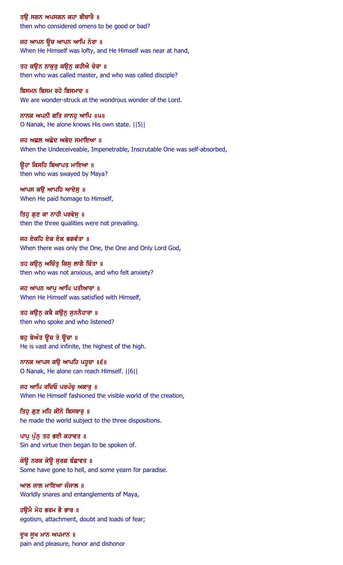ਤਉ ਸਗਨ ਅਪਸਗਨ ਕਹਾ ਬੀਚਾਰੈ ॥ then who considered omens to be good or bad?

ਜਹ ਆਪਨ ਉਚ ਆਪਨ ਆਪਿ ਨੇਰਾ ॥ When He Himself was lofty, and He Himself was near at hand,

ਤਹ ਕਉਨ ਠਾਕੁਰੂ ਕਉਨੂ ਕਹੀਐ ਚੇਰਾ ॥ then who was called master, and who was called disciple?

ਬਿਸਮਨ ਬਿਸਮ ਰਹੇ ਬਿਸਮਾਦ ॥ We are wonder-struck at the wondrous wonder of the Lord.

ਨਾਨਕ ਅਪਨੀ ਗਤਿ ਜਾਨਹੁ ਆਪਿ ॥੫॥ O Nanak, He alone knows His own state. ||5||

ਜਹ ਅਛਲ ਅਛੇਦ ਅਭੇਦ ਸਮਾਇਆ ॥ When the Undeceiveable, Impenetrable, Inscrutable One was self-absorbed,

ਉਹਾ ਕਿਸਹਿ ਬਿਆਪਤ ਮਾਇਆ ॥ then who was swayed by Maya?

ਆਪਸ ਕਉ ਆਪਹਿ ਆਦੇਸੁ ॥ When He paid homage to Himself,

ਤਿਹੁ ਗੁਣ ਕਾ ਨਾਹੀ ਪਰਵੇਸ਼ ॥ then the three qualities were not prevailing.

ਜਹ ਏਕਹਿ ਏਕ ਏਕ ਭਗਵੰਤਾ ॥ When there was only the One, the One and Only Lord God,

ਤਹ ਕਉਨੂ ਅਚਿੰਤੂ ਕਿਸੂ ਲਾਗੈ ਚਿੰਤਾ ॥ then who was not anxious, and who felt anxiety?

ਜਹ ਆਪਨ ਆਪ ਆਪਿ ਪਤੀਆਰਾ ॥ When He Himself was satisfied with Himself,

ਤਹ ਕਉਨੂ ਕਥੈ ਕਉਨੂ ਸੁਨਨੈਹਾਰਾ ॥ then who spoke and who listened?

ਬਹੁ ਬੇਅੰਤ ਉਚ ਤੇ ਊਚਾ ॥ He is vast and infinite, the highest of the high.

ਨਾਨਕ ਆਪਸ ਕਉ ਆਪਹਿ ਪਹੁਚਾ ॥੬॥ O Nanak, He alone can reach Himself. ||6||

ਜਹ ਆਪਿ ਰਚਿਓ ਪਰਪੰਚੂ ਅਕਾਰੂ ॥ When He Himself fashioned the visible world of the creation,

ਤਿਹੁ ਗੁਣ ਮਹਿ ਕੀਨੋ ਬਿਸਥਾਰੂ ॥ he made the world subject to the three dispositions.

ਪਾਪੁ ਪੁੰਨੂ ਤਹ ਭਈ ਕਹਾਵਤ ॥ Sin and virtue then began to be spoken of.

ਕੋਉ ਨਰਕ ਕੋਉ ਸੁਰਗ ਬੰਛਾਵਤ ॥ Some have gone to hell, and some yearn for paradise.

ਆਲ ਜਾਲ ਮਾਇਆ ਜੰਜਾਲ ॥ Worldly snares and entanglements of Maya,

ਹੳਮੈ ਮੋਹ ਭਰਮ ਭੈ ਭਾਰ ॥ egotism, attachment, doubt and loads of fear;

ਦੁਖ ਸੁਖ ਮਾਨ ਅਪਮਾਨ ॥ pain and pleasure, honor and dishonor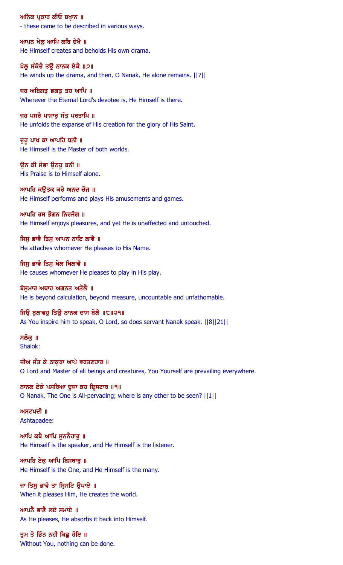ਅਨਿਕ ਪ੍ਰਕਾਰ ਕੀਓ ਬਖ਼ਾਨ ॥ - these came to be described in various ways.

ਆਪਨ ਖੇਲ ਆਪਿ ਕਰਿ ਦੇਖੈ ॥ He Himself creates and beholds His own drama.

ਖੇਲੂ ਸੰਕੋਚੈ ਤਉ ਨਾਨਕ ਏਕੈ ॥੭॥ He winds up the drama, and then, O Nanak, He alone remains. ||7||

ਜਹ ਅਬਿਗਤੁ ਭਗਤੁ ਤਹ ਆਪਿ ॥ Wherever the Eternal Lord's devotee is, He Himself is there.

ਜਹ ਪਸਰੈ ਪਾਸਾਰੂ ਸੰਤ ਪਰਤਾਪਿ ॥ He unfolds the expanse of His creation for the glory of His Saint.

ਦੁਹੁ ਪਾਖ ਕਾ ਆਪਹਿ ਧਨੀ ॥ He Himself is the Master of both worlds.

ਉਨ ਕੀ ਸੋਭਾ ਉਨਹੁ ਬਨੀ ॥ His Praise is to Himself alone.

ਆਪਹਿ ਕਉਤਕ ਕਰੈ ਅਨਦ ਚੋਜ ॥ He Himself performs and plays His amusements and games.

ਆਪਹਿ ਰਸ ਭੋਗਨ ਨਿਰਜੋਗ ॥ He Himself enjoys pleasures, and yet He is unaffected and untouched.

ਜਿਸ ਭਾਵੈ ਤਿਸ ਆਪਨ ਨਾਇ ਲਾਵੈ ॥ He attaches whomever He pleases to His Name.

ਜਿਸੁ ਭਾਵੈ ਤਿਸੁ ਖੇਲ ਖਿਲਾਵੈ ॥ He causes whomever He pleases to play in His play.

ਬੇਸਮਾਰ ਅਥਾਹ ਅਗਨਤ ਅਤੋਲੈ ॥ He is beyond calculation, beyond measure, uncountable and unfathomable.

ਜਿਉ ਬੁਲਾਵਹੁ ਤਿਉ ਨਾਨਕ ਦਾਸ ਬੋਲੈ ॥੮॥੨੧॥ As You inspire him to speak, O Lord, so does servant Nanak speak. ||8||21||

ਸਲੋਕ ॥ Shalok:

ਜੀਅ ਜੰਤ ਕੇ ਠਾਕੁਰਾ ਆਪੇ ਵਰਤਣਹਾਰ ॥ O Lord and Master of all beings and creatures, You Yourself are prevailing everywhere.

ਨਾਨਕ ਏਕੋ ਪਸਰਿਆ ਦੂਜਾ ਕਹ ਦ੍ਰਿਸਟਾਰ ॥੧॥ O Nanak, The One is All-pervading; where is any other to be seen? ||1||

ਅਸਟਪਦੀ $\parallel$   $\parallel$ Ashtapadee:

ਆਪਿ ਕਥੈ ਆਪਿ ਸਨਨੈਹਾਰ ॥ He Himself is the speaker, and He Himself is the listener.

ਆਪਹਿ ਏਕੁ ਆਪਿ ਬਿਸਥਾਰੁ ॥ He Himself is the One, and He Himself is the many.

ਜਾ ਤਿਸੁ ਭਾਵੈ ਤਾ ਸ੍ਰਿਸਟਿ ਉਪਾਏ ॥ When it pleases Him, He creates the world.

ਆਪਨੈ ਭਾਣੈ ਲਏ ਸਮਾਏ ॥ As He pleases, He absorbs it back into Himself.

ਤੁਮ ਤੇ ਭਿੰਨ ਨਹੀ ਕਿਛੂ ਹੋਇ ॥ Without You, nothing can be done.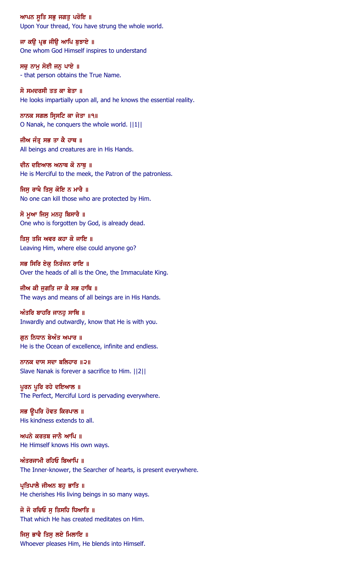ਆਪਨ ਸੁਤਿ ਸਭੁ ਜਗਤੁ ਪਰੋਇ ॥ Upon Your thread, You have strung the whole world.

ਜਾ ਕਉ ਪ੍ਰਭ ਜੀਉ ਆਪਿ ਬੁਝਾਏ ॥ One whom God Himself inspires to understand

ਸਚੁ ਨਾਮੁ ਸੋਈ ਜਨੁ ਪਾਏ ॥ - that person obtains the True Name.

ਸੋ ਸਮਦਰਸੀ ਤਤ ਕਾ ਬੇਤਾ ॥ He looks impartially upon all, and he knows the essential reality.

ਨਾਨਕ ਸਗਲ ਸ੍ਰਿਸਟਿ ਕਾ ਜੇਤਾ ॥੧॥ O Nanak, he conquers the whole world. ||1||

ਜੀਅ ਜੰਤ੍ਰ ਸਭ ਤਾ ਕੈ ਹਾਥ ॥ All beings and creatures are in His Hands.

ਦੀਨ ਦਇਆਲ ਅਨਾਥ ਕੋ ਨਾਥ ॥ He is Merciful to the meek, the Patron of the patronless.

ਜਿਸੂ ਰਾਖੈ ਤਿਸੂ ਕੋਇ ਨ ਮਾਰੈ ॥ No one can kill those who are protected by Him.

ਸੋ ਮੁਆ ਜਿਸ ਮਨਹੂ ਬਿਸਾਰੈ ॥ One who is forgotten by God, is already dead.

ਤਿਸ ਤਜਿ ਅਵਰ ਕਹਾ ਕੋ ਜਾਇ ॥ Leaving Him, where else could anyone go?

ਸਭ ਸਿਰਿ ਏਕੁ ਨਿਰੰਜਨ ਰਾਇ ॥ Over the heads of all is the One, the Immaculate King.

ਜੀਅ ਕੀ ਜੁਗਤਿ ਜਾ ਕੈ ਸਭ ਹਾਥਿ ॥ The ways and means of all beings are in His Hands.

 $w$ ੰਤਰਿ ਬਾਹਰਿ ਜਾਨਹ ਸਾਥਿ ॥ Inwardly and outwardly, know that He is with you.

ਗੁਨ ਨਿਧਾਨ ਬੇਅੰਤ ਅਪਾਰ ॥ He is the Ocean of excellence, infinite and endless.

ਨਾਨਕ ਦਾਸ ਸਦਾ ਬਲਿਹਾਰ ॥੨॥ Slave Nanak is forever a sacrifice to Him. ||2||

ਪੁਰਨ ਪੁਰਿ ਰਹੇ ਦਇਆਲ ॥ The Perfect, Merciful Lord is pervading everywhere.

ਸਭ ਉਪਰਿ ਹੋਵਤ ਕਿਰਪਾਲ ॥ His kindness extends to all.

ਅਪਨੇ ਕਰਤਬ ਜਾਨੈ ਆਪਿ ॥ He Himself knows His own ways.

 $w$ ਤਰਜਾਮੀ ਰਹਿਓ ਬਿਆਪਿ ॥ The Inner-knower, the Searcher of hearts, is present everywhere.

ਪ੍ਰਤਿਪਾਲੈ ਜੀਅਨ ਬਹੁ ਭਾਤਿ ॥ He cherishes His living beings in so many ways.

ਜੋ ਜੋ ਰਚਿਓ ਸ ਤਿਸਹਿ ਧਿਆਤਿ ॥ That which He has created meditates on Him.

ਜਿਸ ਭਾਵੈ ਤਿਸੂ ਲਏ ਮਿਲਾਇ ॥ Whoever pleases Him, He blends into Himself.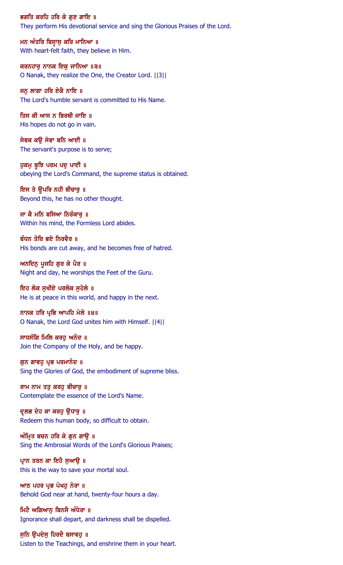ਭਗਤਿ ਕਰਹਿ ਹਰਿ ਕੇ ਗਣ ਗਾਇ ॥ They perform His devotional service and sing the Glorious Praises of the Lord.

ਮਨ ਅੰਤਰਿ ਬਿਸੁਾਸੁ ਕਰਿ ਮਾਨਿਆ ॥ With heart-felt faith, they believe in Him.

ਕਰਨਹਾਰੂ ਨਾਨਕ ਇਕੁ ਜਾਨਿਆ ॥੩॥ O Nanak, they realize the One, the Creator Lord. ||3||

ਜਨ ਲਾਗਾ ਹਰਿ ਏਕੈ ਨਾਇ ॥ The Lord's humble servant is committed to His Name.

ਤਿਸ ਕੀ ਆਸ ਨ ਬਿਰਥੀ ਜਾਇ ॥ His hopes do not go in vain.

ਸੇਵਕ ਕਉ ਸੇਵਾ ਬਨਿ ਆਈ ॥ The servant's purpose is to serve;

ਹੁਕਮੁ ਬੁਝਿ ਪਰਮ ਪਦੁ ਪਾਈ ॥ obeying the Lord's Command, the supreme status is obtained.

ਇਸ ਤੇ ਉਪਰਿ ਨਹੀ ਬੀਚਾਰੂ ॥ Beyond this, he has no other thought.

ਜਾ ਕੈ ਮਨਿ ਬਸਿਆ ਨਿਰੰਕਾਰੂ ॥ Within his mind, the Formless Lord abides.

ਬੰਧਨ ਤੋਰਿ ਭਏ ਨਿਰਵੈਰ ॥ His bonds are cut away, and he becomes free of hatred.

ਅਨਦਿਨੁ ਪੂਜਹਿ ਗੁਰ ਕੇ ਪੈਰ ॥ Night and day, he worships the Feet of the Guru.

ਇਹ ਲੋਕ ਸਖੀਏ ਪਰਲੋਕ ਸਹੇਲੇ ॥ He is at peace in this world, and happy in the next.

ਨਾਨਕ ਹਰਿ ਪ੍ਰਭਿ ਆਪਹਿ ਮੇਲੇ ॥੪॥ O Nanak, the Lord God unites him with Himself. ||4||

ਸਾਧਸੰਗਿ ਮਿਲਿ ਕਰਹੁ ਅਨੰਦ ॥ Join the Company of the Holy, and be happy.

ਗੁਨ ਗਾਵਹੁ ਪ੍ਰਭ ਪਰਮਾਨੰਦ ॥ Sing the Glories of God, the embodiment of supreme bliss.

ਰਾਮ ਨਾਮ ਤਤੁ ਕਰਹੁ ਬੀਚਾਰੁ ॥ Contemplate the essence of the Lord's Name.

ਦੁਲਭ ਦੇਹ ਕਾ ਕਰਹੁ ਉਧਾਰੁ ॥ Redeem this human body, so difficult to obtain.

ਅੰਮ੍ਰਿਤ ਬਚਨ ਹਰਿ ਕੇ ਗੁਨ ਗਾਉ ॥ Sing the Ambrosial Words of the Lord's Glorious Praises;

ਪ੍ਰਾਨ ਤਰਨ ਕਾ ਇਹੈ ਸੁਆਉ ॥ this is the way to save your mortal soul.

ਆਠ ਪਹਰ ਪ੍ਰਭ ਪੇਖਹੁ ਨੇਰਾ ॥ Behold God near at hand, twenty-four hours a day.

ਮਿਟੈ ਅਗਿਆਨ ਬਿਨਸੈ ਅੰਧੇਰਾ ॥ Ignorance shall depart, and darkness shall be dispelled.

ਸੁਨਿ ਉਪਦੇਸੁ ਹਿਰਦੈ ਬਸਾਵਹੁ ॥ Listen to the Teachings, and enshrine them in your heart.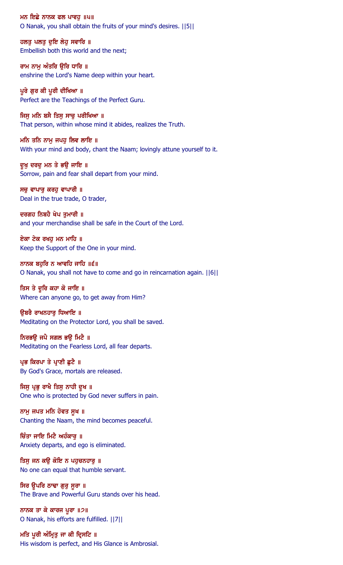ਮਨ ਇਛੇ ਨਾਨਕ ਫਲ ਪਾਵਹੁ ॥੫॥ O Nanak, you shall obtain the fruits of your mind's desires. ||5||

ਹਲਤੂ ਪਲਤੂ ਦੁਇ ਲੇਹੂ ਸਵਾਰਿ ॥ Embellish both this world and the next;

ਰਾਮ ਨਾਮੂ ਅੰਤਰਿ ਉਰਿ ਧਾਰਿ ॥ enshrine the Lord's Name deep within your heart.

ਪੁਰੇ ਗੁਰ ਕੀ ਪੁਰੀ ਦੀਖਿਆ ॥ Perfect are the Teachings of the Perfect Guru.

ਜਿਸੁ ਮਨਿ ਬਸੈ ਤਿਸੁ ਸਾਚੁ ਪਰੀਖਿਆ ॥ That person, within whose mind it abides, realizes the Truth.

ਮਨਿ ਤਨਿ ਨਾਮੂ ਜਪਹੁ ਲਿਵ ਲਾਇ ॥ With your mind and body, chant the Naam; lovingly attune yourself to it.

ਦੁਖੁ ਦਰਦੁ ਮਨ ਤੇ ਭਉ ਜਾਇ ॥ Sorrow, pain and fear shall depart from your mind.

ਸਚੁ ਵਾਪਾਰੁ ਕਰਹੁ ਵਾਪਾਰੀ ॥ Deal in the true trade, O trader,

ਦਰਗਹ ਨਿਬਹੈ ਖੇਪ ਤੁਮਾਰੀ ॥ and your merchandise shall be safe in the Court of the Lord.

ਏਕਾ ਟੇਕ ਰਖਹ ਮਨ ਮਾਹਿ ॥ Keep the Support of the One in your mind.

ਨਾਨਕ ਬਹੁਰਿ ਨ ਆਵਹਿ ਜਾਹਿ ॥੬॥ O Nanak, you shall not have to come and go in reincarnation again. ||6||

ਤਿਸ ਤੇ ਦੂਰਿ ਕਹਾ ਕੋ ਜਾਇ ॥ Where can anyone go, to get away from Him?

ੳਬਰੈ ਰਾਖਨਹਾਰ ਧਿਆਇ ॥ Meditating on the Protector Lord, you shall be saved.

ਨਿਰਭਉ ਜਪੈ ਸਗਲ ਭਉ ਮਿਟੈ ॥ Meditating on the Fearless Lord, all fear departs.

ਪ੍ਰਭ ਕਿਰਪਾ ਤੇ ਪ੍ਰਾਣੀ ਛੁਟੈ ॥ By God's Grace, mortals are released.

ਜਿਸੁ ਪ੍ਰਭੁ ਰਾਖੈ ਤਿਸੁ ਨਾਹੀ ਦੁਖ ॥ One who is protected by God never suffers in pain.

ਨਾਮੂ ਜਪਤ ਮਨਿ ਹੋਵਤ ਸੁਖ ॥ Chanting the Naam, the mind becomes peaceful.

ਚਿੰਤਾ ਜਾਇ ਮਿਟੈ ਅਹੰਕਾਰ ॥ Anxiety departs, and ego is eliminated.

ਤਿਸੂ ਜਨ ਕਉ ਕੋਇ ਨ ਪਹੁਚਨਹਾਰੂ ॥ No one can equal that humble servant.

ਸਿਰ ਉਪਰਿ ਠਾਢਾ ਗੁਰੂ ਸੂਰਾ ॥ The Brave and Powerful Guru stands over his head.

ਨਾਨਕ ਤਾ ਕੇ ਕਾਰਜ ਪੂਰਾ ॥੭॥ O Nanak, his efforts are fulfilled. ||7||

ਮਤਿ ਪੂਰੀ ਅੰਮ੍ਰਿਤੂ ਜਾ ਕੀ ਦ੍ਰਿਸਟਿ ॥ His wisdom is perfect, and His Glance is Ambrosial.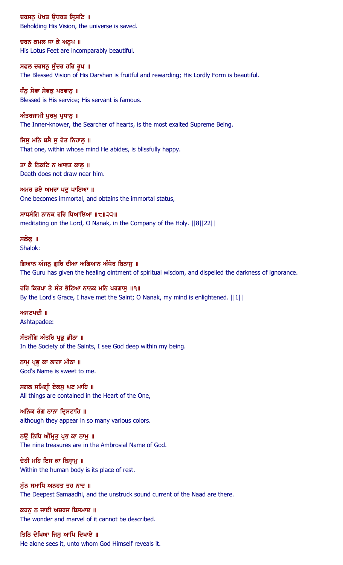ਦਰਸਨੂ ਪੇਖਤ ਉਧਰਤ ਸ੍ਰਿਸਟਿ ॥ Beholding His Vision, the universe is saved.

ਚਰਨ ਕਮਲ ਜਾ ਕੇ ਅਨੁਪ ॥ His Lotus Feet are incomparably beautiful.

ਸਫਲ ਦਰਸਨੂ ਸੁੰਦਰ ਹਰਿ ਰੂਪ ॥ The Blessed Vision of His Darshan is fruitful and rewarding; His Lordly Form is beautiful.

ਧੰਨੂ ਸੇਵਾ ਸੇਵਕੂ ਪਰਵਾਨੂ ॥ Blessed is His service; His servant is famous.

ਅੰਤਰਜਾਮੀ ਪੁਰਖੁ ਪ੍ਰਧਾਨੁ ॥ The Inner-knower, the Searcher of hearts, is the most exalted Supreme Being.

ਜਿਸੂ ਮਨਿ ਬਸੈ ਸੂ ਹੋਤ ਨਿਹਾਲੂ ॥ That one, within whose mind He abides, is blissfully happy.

ਤਾ ਕੈ ਨਿਕਟਿ ਨ ਆਵਤ ਕਾਲ ॥ Death does not draw near him.

ਅਮਰ ਭਏ ਅਮਰਾ ਪਦੁ ਪਾਇਆ ॥ One becomes immortal, and obtains the immortal status,

ਸਾਧਸੰਗਿ ਨਾਨਕ ਹਰਿ ਧਿਆਇਆ ॥੮॥੨੨॥ meditating on the Lord, O Nanak, in the Company of the Holy. ||8||22||

ਸਲੋਕ ॥ Shalok:

ਗਿਆਨ ਅੰਜਨੂ ਗੁਰਿ ਦੀਆ ਅਗਿਆਨ ਅੰਧੇਰ ਬਿਨਾਸੁ ॥ The Guru has given the healing ointment of spiritual wisdom, and dispelled the darkness of ignorance.

ਹਰਿ ਕਿਰਪਾ ਤੇ ਸੰਤ ਭੇਟਿਆ ਨਾਨਕ ਮਨਿ ਪਰਗਾਸ ॥੧॥ By the Lord's Grace, I have met the Saint; O Nanak, my mind is enlightened.  $||1||$ 

ਅਸਟਪਦੀ $\parallel$ Ashtapadee:

ਸੰਤਸੰਗਿ ਅੰਤਰਿ ਪ੍ਰਭੂ ਡੀਠਾ ॥ In the Society of the Saints, I see God deep within my being.

ਨਾਮੁ ਪ੍ਰਭੁ ਕਾ ਲਾਗਾ ਮੀਠਾ ॥ God's Name is sweet to me.

ਸਗਲ ਸਮਿਗ੍ਰੀ ਏਕਸੁ ਘਟ ਮਾਹਿ ॥ All things are contained in the Heart of the One,

ਅਨਿਕ ਰੰਗ ਨਾਨਾ ਦ੍ਰਿਸਟਾਹਿ ॥ although they appear in so many various colors.

ਨੳ ਨਿਧਿ ਅੰਮ੍ਰਿਤ ਪ੍ਰਭ ਕਾ ਨਾਮ ॥ The nine treasures are in the Ambrosial Name of God.

ਦੇਹੀ ਮਹਿ ਇਸ ਕਾ ਬਿਸ਼ਾਮੁ ॥ Within the human body is its place of rest.

ਸੁੰਨ ਸਮਾਧਿ ਅਨਹਤ ਤਹ ਨਾਦ ॥ The Deepest Samaadhi, and the unstruck sound current of the Naad are there.

ਕਹਨ ਨ ਜਾਈ ਅਚਰਜ ਬਿਸਮਾਦ ॥ The wonder and marvel of it cannot be described.

ਤਿਨਿ ਦੇਖਿਆ ਜਿਸ ਆਪਿ ਦਿਖਾਏ ॥ He alone sees it, unto whom God Himself reveals it.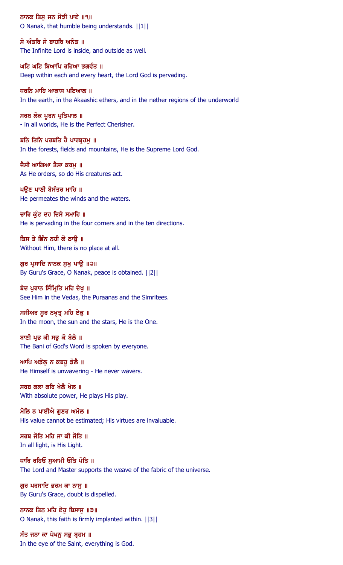ਨਾਨਕ ਤਿਸੁ ਜਨ ਸੋਝੀ ਪਾਏ ॥੧॥ O Nanak, that humble being understands. ||1||

ਸੋ ਅੰਤਰਿ ਸੋ ਬਾਹਰਿ ਅਨੰਤ ॥ The Infinite Lord is inside, and outside as well.

ਘਟਿ ਘਟਿ ਬਿਆਪਿ ਰਹਿਆ ਭਗਵੰਤ ॥ Deep within each and every heart, the Lord God is pervading.

ਧਰਨਿ ਮਾਹਿ ਆਕਾਸ ਪਇਆਲ ॥ In the earth, in the Akaashic ethers, and in the nether regions of the underworld

ਸਰਬ ਲੋਕ ਪੂਰਨ ਪ੍ਰਤਿਪਾਲ ॥ - in all worlds, He is the Perfect Cherisher.

ਬਨਿ ਤਿਨਿ ਪਰਬਤਿ ਹੈ ਪਾਰਬੁਹਮੁ ॥ In the forests, fields and mountains, He is the Supreme Lord God.

ਜੈਸੀ ਆਗਿਆ ਤੈਸਾ ਕਰਮ ॥ As He orders, so do His creatures act.

ਪਉਣ ਪਾਣੀ ਬੈਸੰਤਰ ਮਾਹਿ ॥ He permeates the winds and the waters.

ਚਾਰਿ ਕੰਟ ਦਹ ਦਿਸੇ ਸਮਾਹਿ ॥ He is pervading in the four corners and in the ten directions.

ਤਿਸ ਤੇ ਭਿੰਨ ਨਹੀ ਕੋ ਠਾੳ ॥ Without Him, there is no place at all.

ਗੁਰ ਪ੍ਰਸਾਦਿ ਨਾਨਕ ਸੁਖੁ ਪਾਉ ॥੨॥ By Guru's Grace, O Nanak, peace is obtained. ||2||

ਬੇਦ ਪੁਰਾਨ ਸਿੰਮ੍ਰਿਤਿ ਮਹਿ ਦੇਖੁ ॥ See Him in the Vedas, the Puraanas and the Simritees.

ਸਸੀਅਰ ਸੁਰ ਨਖ਼ਤ੍ਰ ਮਹਿ ਏਕੁ ॥ In the moon, the sun and the stars, He is the One.

ਬਾਣੀ ਪ੍ਰਭ ਕੀ ਸਭੁ ਕੋ ਬੋਲੈ ॥ The Bani of God's Word is spoken by everyone.

ਆਪਿ ਅਡੋਲੂ ਨ ਕਬਹੁ ਡੋਲੈ ॥ He Himself is unwavering - He never wavers.

ਸਰਬ ਕਲਾ ਕਰਿ ਖੇਲੈ ਖੇਲ ॥ With absolute power, He plays His play.

ਮੋਲਿ ਨ ਪਾਈਐ ਗਣਹ ਅਮੋਲ ॥ His value cannot be estimated; His virtues are invaluable.

ਸਰਬ ਜੋਤਿ ਮਹਿ ਜਾ ਕੀ ਜੋਤਿ ॥ In all light, is His Light.

ਧਾਰਿ ਰਹਿਓ ਸੁਆਮੀ ਓਤਿ ਪੋਤਿ ॥ The Lord and Master supports the weave of the fabric of the universe.

ਗੁਰ ਪਰਸਾਦਿ ਭਰਮ ਕਾ ਨਾਸੁ ॥ By Guru's Grace, doubt is dispelled.

ਨਾਨਕ ਤਿਨ ਮਹਿ ਏਹ ਬਿਸਾਸ ॥੩॥ O Nanak, this faith is firmly implanted within. ||3||

ਸੰਤ ਜਨਾ ਕਾ ਪੇਖਨੂ ਸਭੂ ਬ੍ਰਹਮ ॥ In the eye of the Saint, everything is God.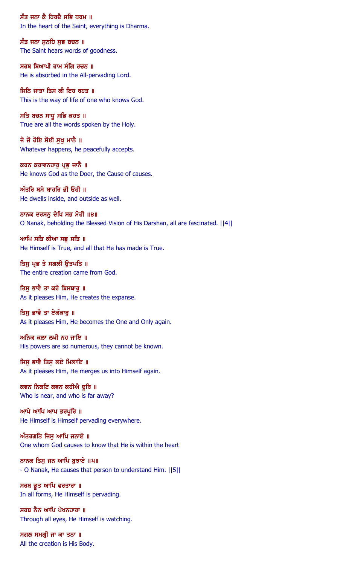ਸੰਤ ਜਨਾ ਕੈ ਹਿਰਦੈ ਸਭਿ ਧਰਮ ॥ In the heart of the Saint, everything is Dharma.

ਸੰਤ ਜਨਾ ਸੁਨਹਿ ਸੁਭ ਬਚਨ ॥ The Saint hears words of goodness.

ਸਰਬ ਬਿਆਪੀ ਰਾਮ ਸੰਗਿ ਰਚਨ ॥ He is absorbed in the All-pervading Lord.

ਜਿਨਿ ਜਾਤਾ ਤਿਸ ਕੀ ਇਹ ਰਹਤ ॥ This is the way of life of one who knows God.

ਸਤਿ ਬਚਨ ਸਾਧੁ ਸਭਿ ਕਹਤ ॥ True are all the words spoken by the Holy.

ਜੋ ਜੋ ਹੋਇ ਸੋਈ ਸੁਖ਼ ਮਾਨੈ ॥ Whatever happens, he peacefully accepts.

ਕਰਨ ਕਰਾਵਨਹਾਰੂ ਪ੍ਰਭੂ ਜਾਨੈ ॥ He knows God as the Doer, the Cause of causes.

ਅੰਤਰਿ ਬਸੇ ਬਾਹਰਿ ਭੀ ਓਹੀ ॥ He dwells inside, and outside as well.

ਨਾਨਕ ਦਰਸਨੂ ਦੇਖਿ ਸਭ ਮੋਹੀ ॥੪॥ O Nanak, beholding the Blessed Vision of His Darshan, all are fascinated. ||4||

ਆਪਿ ਸਤਿ ਕੀਆ ਸਭ ਸਤਿ ॥ He Himself is True, and all that He has made is True.

ਤਿਸੁ ਪ੍ਰਭ ਤੇ ਸਗਲੀ ਉਤਪਤਿ ॥ The entire creation came from God.

ਤਿਸ ਭਾਵੈ ਤਾ ਕਰੇ ਬਿਸਥਾਰ ॥ As it pleases Him, He creates the expanse.

ਤਿਸ ਭਾਵੈ ਤਾ ਏਕੰਕਾਰ ॥ As it pleases Him, He becomes the One and Only again.

ਅਨਿਕ ਕਲਾ ਲਖੀ ਨਹ ਜਾਇ ॥ His powers are so numerous, they cannot be known.

ਜਿਸੁ ਭਾਵੈ ਤਿਸੁ ਲਏ ਮਿਲਾਇ ॥ As it pleases Him, He merges us into Himself again.

ਕਵਨ ਨਿਕਟਿ ਕਵਨ ਕਹੀਐ ਦੁਰਿ ॥ Who is near, and who is far away?

ਆਪੇ ਆਪਿ ਆਪ ਭਰਪੁਰਿ **॥** He Himself is Himself pervading everywhere.

 $w$ ੰਤਰਗਤਿ ਜਿਸ ਆਪਿ ਜਨਾਏ ॥ One whom God causes to know that He is within the heart

ਨਾਨਕ ਤਿਸੁ ਜਨ ਆਪਿ ਬੁਝਾਏ ॥੫॥ - O Nanak, He causes that person to understand Him. ||5||

ਸਰਬ ਭੁਤ ਆਪਿ ਵਰਤਾਰਾ ॥ In all forms, He Himself is pervading.

ਸਰਬ ਨੈਨ ਆਪਿ ਪੇਖਨਹਾਰਾ ॥ Through all eyes, He Himself is watching.

ਸਗਲ ਸਮਗ੍ਰੀ ਜਾ ਕਾ ਤਨਾ ॥ All the creation is His Body.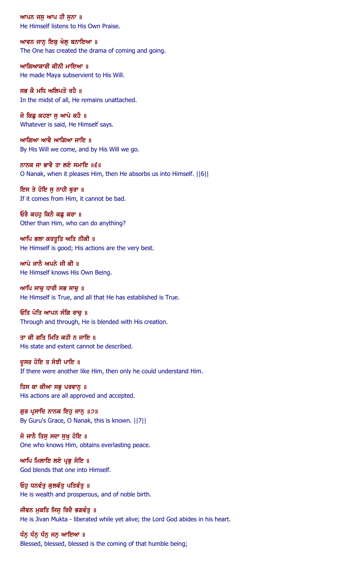ਆਪਨ ਜਸੁ ਆਪ ਹੀ ਸੁਨਾ ॥ He Himself listens to His Own Praise.

ਆਵਨ ਜਾਨ ਇਕ ਖੇਲ ਬਨਾਇਆ ॥ The One has created the drama of coming and going.

ਆਗਿਆਕਾਰੀ ਕੀਨੀ ਮਾਇਆ ॥ He made Maya subservient to His Will.

ਸਭ ਕੈ ਮਧਿ ਅਲਿਪਤੋ ਰਹੈ ॥ In the midst of all, He remains unattached.

ਜੋ ਕਿਛੂ ਕਹਣਾ ਸੁ ਆਪੇ ਕਹੈ ॥ Whatever is said, He Himself says.

ਆਗਿਆ ਆਵੈ ਆਗਿਆ ਜਾਇ ॥ By His Will we come, and by His Will we go.

ਨਾਨਕ ਜਾ ਭਾਵੈ ਤਾ ਲਏ ਸਮਾਇ ॥੬॥ O Nanak, when it pleases Him, then He absorbs us into Himself. ||6||

ਇਸ ਤੇ ਹੋਇ ਸੁ ਨਾਹੀ ਬੁਰਾ ॥ If it comes from Him, it cannot be bad.

ਓਰੈ ਕਹਹੁ ਕਿਨੈ ਕਛੁ ਕਰਾ ॥ Other than Him, who can do anything?

ਆਪਿ ਭਲਾ ਕਰਤੁਤਿ ਅਤਿ ਨੀਕੀ ॥ He Himself is good; His actions are the very best.

ਆਪੇ ਜਾਨੈ ਅਪਨੇ ਜੀ ਕੀ ॥ He Himself knows His Own Being.

ਆਪਿ ਸਾਚ ਧਾਰੀ ਸਭ ਸਾਚ ॥ He Himself is True, and all that He has established is True.

ਓਤਿ ਪੋਤਿ ਆਪਨ ਸੰਗਿ ਰਾਚ ॥ Through and through, He is blended with His creation.

ਤਾ ਕੀ ਗਤਿ ਮਿਤਿ ਕਹੀ ਨ ਜਾਇ ॥ His state and extent cannot be described.

ਦੁਸਰ ਹੋਇ ਤ ਸੋਝੀ ਪਾਇ ॥ If there were another like Him, then only he could understand Him.

ਤਿਸ ਕਾ ਕੀਆ ਸਭੁ ਪਰਵਾਨੁ ॥ His actions are all approved and accepted.

ਗੁਰ ਪ੍ਰਸਾਦਿ ਨਾਨਕ ਇਹੁ ਜਾਨੂ ॥੭॥ By Guru's Grace, O Nanak, this is known. ||7||

ਜੋ ਜਾਨੈ ਤਿਸ ਸਦਾ ਸਖ ਹੋਇ ॥ One who knows Him, obtains everlasting peace.

ਆਪਿ ਮਿਲਾਇ ਲਏ ਪ੍ਰਭੂ ਸੋਇ ॥ God blends that one into Himself.

ਓਹੁ ਧਨਵੰਤੂ ਕੁਲਵੰਤੂ ਪਤਿਵੰਤੂ **॥** He is wealth and prosperous, and of noble birth.

ਜੀਵਨ ਮਕਤਿ ਜਿਸ ਰਿਦੈ ਭਗਵੰਤ ॥ He is Jivan Mukta - liberated while yet alive; the Lord God abides in his heart.

ਧੰਨੂ ਧੰਨੂ ਧੰਨੂ ਜਨੂ ਆਇਆ ॥ Blessed, blessed, blessed is the coming of that humble being;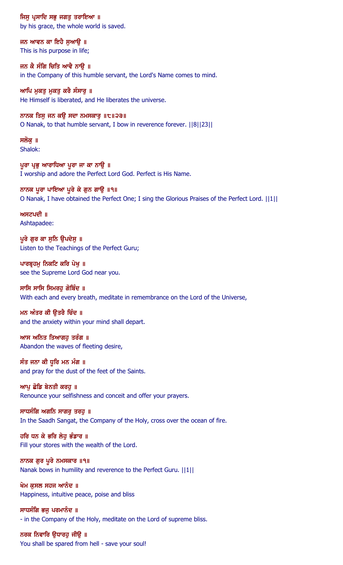ਜਿਸੂ ਪ੍ਰਸਾਦਿ ਸਭੂ ਜਗਤੂ ਤਰਾਇਆ ॥ by his grace, the whole world is saved.

ਜਨ ਆਵਨ ਕਾ ਇਹੈ ਸਆੳ ॥ This is his purpose in life;

ਜਨ ਕੈ ਸੰਗਿ ਚਿਤਿ ਆਵੈ ਨਾਉ ॥ in the Company of this humble servant, the Lord's Name comes to mind.

ਆਪਿ ਮੁਕਤੂ ਮੁਕਤੂ ਕਰੈ ਸੰਸਾਰੂ ॥ He Himself is liberated, and He liberates the universe.

ਨਾਨਕ ਤਿਸੁ ਜਨ ਕਉ ਸਦਾ ਨਮਸਕਾਰੁ ॥੮॥੨੩॥ O Nanak, to that humble servant, I bow in reverence forever. ||8||23||

ਸਲੋਕ ॥ Shalok:

ਪਰਾ ਪੁਭ ਆਰਾਧਿਆ ਪਰਾ ਜਾ ਕਾ ਨਾੳ ॥ I worship and adore the Perfect Lord God. Perfect is His Name.

ਨਾਨਕ ਪੂਰਾ ਪਾਇਆ ਪੂਰੇ ਕੇ ਗੁਨ ਗਾਉ ॥੧॥ O Nanak, I have obtained the Perfect One; I sing the Glorious Praises of the Perfect Lord. ||1||

 $m$ ਸਟਪਦੀ  $\parallel$ Ashtapadee:

ਪੁਰੇ ਗੁਰ ਕਾ ਸੁਨਿ ਉਪਦੇਸੁ ॥ Listen to the Teachings of the Perfect Guru;

ਪਾਰਬ੍ਰਹਮੁ ਨਿਕਟਿ ਕਰਿ ਪੇਖੁ ॥ see the Supreme Lord God near you.

ਸਾਸਿ ਸਾਸਿ ਸਿਮਰਹ ਗੋਬਿੰਦ ॥ With each and every breath, meditate in remembrance on the Lord of the Universe,

ਮਨ ਅੰਤਰ ਕੀ ੳਤਰੈ ਚਿੰਦ ॥ and the anxiety within your mind shall depart.

ਆਸ ਅਨਿਤ ਤਿਆਗਹੁ ਤਰੰਗ ॥ Abandon the waves of fleeting desire,

ਸੰਤ ਜਨਾ ਕੀ ਧੁਰਿ ਮਨ ਮੰਗ ॥ and pray for the dust of the feet of the Saints.

ਆਪ ਛੋਡਿ ਬੇਨਤੀ ਕਰਹ ॥ Renounce your selfishness and conceit and offer your prayers.

ਸਾਧਸੰਗਿ ਅਗਨਿ ਸਾਗਰੁ ਤਰਹੁ ॥ In the Saadh Sangat, the Company of the Holy, cross over the ocean of fire.

ਹਰਿ ਧਨ ਕੇ ਭਰਿ ਲੇਹ ਭੰਡਾਰ ॥ Fill your stores with the wealth of the Lord.

ਨਾਨਕ ਗੁਰ ਪੂਰੇ ਨਮਸਕਾਰ ॥੧॥ Nanak bows in humility and reverence to the Perfect Guru. ||1||

ਖੇਮ ਕਸਲ ਸਹਜ ਆਨੰਦ ॥ Happiness, intuitive peace, poise and bliss

ਸਾਧਸੰਗਿ ਭਜ ਪਰਮਾਨੰਦ ॥ - in the Company of the Holy, meditate on the Lord of supreme bliss.

ਨਰਕ ਨਿਵਾਰਿ ਉਧਾਰਹੁ ਜੀਉ ॥ You shall be spared from hell - save your soul!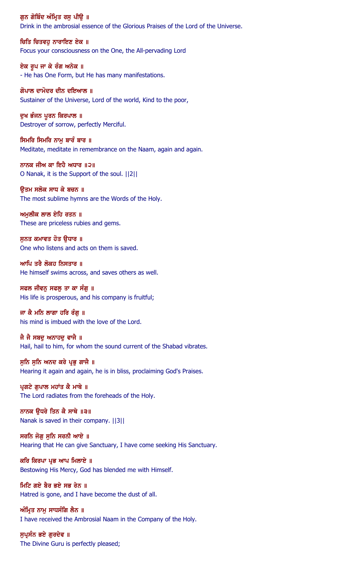ਗੁਨ ਗੋਬਿੰਦ ਅੰਮ੍ਰਿਤ ਰਸੁ ਪੀਉ ॥ Drink in the ambrosial essence of the Glorious Praises of the Lord of the Universe.

ਚਿਤਿ ਚਿਤਵਹ ਨਾਰਾਇਣ ਏਕ ॥ Focus your consciousness on the One, the All-pervading Lord

ਏਕ ਰੂਪ ਜਾ ਕੇ ਰੰਗ ਅਨੇਕ ॥ - He has One Form, but He has many manifestations.

ਗੋਪਾਲ ਦਾਮੋਦਰ ਦੀਨ ਦਇਆਲ ॥ Sustainer of the Universe, Lord of the world, Kind to the poor,

ਦੁਖ ਭੰਜਨ ਪੂਰਨ ਕਿਰਪਾਲ ॥ Destroyer of sorrow, perfectly Merciful.

ਸਿਮਰਿ ਸਿਮਰਿ ਨਾਮੂ ਬਾਰੰ ਬਾਰ ॥ Meditate, meditate in remembrance on the Naam, again and again.

ਨਾਨਕ ਜੀਅ ਕਾ ਇਹੈ ਅਧਾਰ ॥੨॥ O Nanak, it is the Support of the soul. ||2||

ਉਤਮ ਸਲੋਕ ਸਾਧ ਕੇ ਬਚਨ ॥ The most sublime hymns are the Words of the Holy.

ਅਮੁਲੀਕ ਲਾਲ ਏਹਿ ਰਤਨ ॥ These are priceless rubies and gems.

ਸਨਤ ਕਮਾਵਤ ਹੋਤ ੳਧਾਰ ॥ One who listens and acts on them is saved.

ਆਪਿ ਤਰੈ ਲੋਕਹ ਨਿਸਤਾਰ ॥ He himself swims across, and saves others as well.

ਸਫਲ ਜੀਵਨ ਸਫਲ ਤਾ ਕਾ ਸੰਗ ॥ His life is prosperous, and his company is fruitful;

ਜਾ ਕੈ ਮਨਿ ਲਾਗਾ ਹਰਿ ਰੰਗ ॥ his mind is imbued with the love of the Lord.

ਜੈ ਜੈ ਸਬਦੂ ਅਨਾਹਦੂ ਵਾਜੈ ॥ Hail, hail to him, for whom the sound current of the Shabad vibrates.

ਸੁਨਿ ਸੁਨਿ ਅਨਦ ਕਰੇ ਪ੍ਰਭੁ ਗਾਜੈ ॥ Hearing it again and again, he is in bliss, proclaiming God's Praises.

ਪ੍ਰਗਟੇ ਗੁਪਾਲ ਮਹਾਂਤ ਕੈ ਮਾਥੇ ॥ The Lord radiates from the foreheads of the Holy.

ਨਾਨਕ ਉਧਰੇ ਤਿਨ ਕੈ ਸਾਥੇ ॥੩॥ Nanak is saved in their company. ||3||

ਸਰਨਿ ਜੋਗ ਸਨਿ ਸਰਨੀ ਆਏ ॥ Hearing that He can give Sanctuary, I have come seeking His Sanctuary.

ਕਰਿ ਕਿਰਪਾ ਪ੍ਰਭ ਆਪ ਮਿਲਾਏ ॥ Bestowing His Mercy, God has blended me with Himself.

ਮਿਟਿ ਗਏ ਬੈਰ ਭਏ ਸਭ ਰੇਨ ॥ Hatred is gone, and I have become the dust of all.

ਅੰਮ੍ਰਿਤ ਨਾਮ ਸਾਧਸੰਗਿ ਲੈਨ ॥ I have received the Ambrosial Naam in the Company of the Holy.

ਸੁਪ੍ਰਸੰਨ ਭਏ ਗੁਰਦੇਵ ॥ The Divine Guru is perfectly pleased;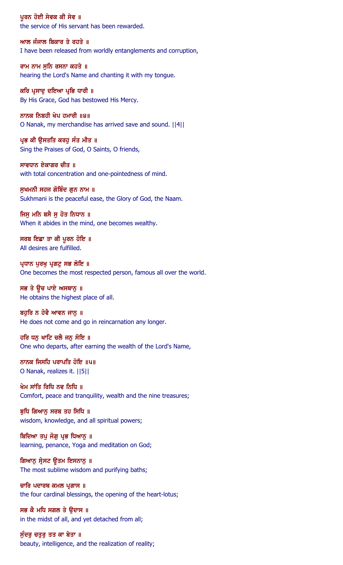ਪੁਰਨ ਹੋਈ ਸੇਵਕ ਕੀ ਸੇਵ ॥ the service of His servant has been rewarded.

ਆਲ ਜੰਜਾਲ ਬਿਕਾਰ ਤੇ ਰਹਤੇ ॥ I have been released from worldly entanglements and corruption,

ਰਾਮ ਨਾਮ ਸੁਨਿ ਰਸਨਾ ਕਹਤੇ ॥ hearing the Lord's Name and chanting it with my tongue.

ਕਰਿ ਪ੍ਰਸਾਦੂ ਦਇਆ ਪ੍ਰਭਿ ਧਾਰੀ ॥ By His Grace, God has bestowed His Mercy.

ਨਾਨਕ ਨਿਬਹੀ ਖੇਪ ਹਮਾਰੀ ॥੪॥ O Nanak, my merchandise has arrived save and sound. ||4||

ਪ੍ਰਭ ਕੀ ਉਸਤਤਿ ਕਰਹੁ ਸੰਤ ਮੀਤ ॥ Sing the Praises of God, O Saints, O friends,

ਸਾਵਧਾਨ ਏਕਾਗਰ ਚੀਤ ॥ with total concentration and one-pointedness of mind.

ਸੁਖਮਨੀ ਸਹਜ ਗੋਬਿੰਦ ਗੁਨ ਨਾਮ ॥ Sukhmani is the peaceful ease, the Glory of God, the Naam.

ਜਿਸੂ ਮਨਿ ਬਸੈ ਸੂ ਹੋਤ ਨਿਧਾਨ ॥ When it abides in the mind, one becomes wealthy.

ਸਰਬ ਇਛਾ ਤਾ ਕੀ ਪੂਰਨ ਹੋਇ ॥ All desires are fulfilled.

ਪ੍ਰਧਾਨ ਪੁਰਖੁ ਪ੍ਰਗਟੁ ਸਭ ਲੋਇ ॥ One becomes the most respected person, famous all over the world.

ਸਭ ਤੇ ਉਚ ਪਾਏ ਅਸਥਾਨੂ ॥ He obtains the highest place of all.

ਬਹੁਰਿ ਨ ਹੋਵੈ ਆਵਨ ਜਾਨੂ ॥ He does not come and go in reincarnation any longer.

ਹਰਿ ਧਨੂ ਖਾਟਿ ਚਲੈ ਜਨੂ ਸੋਇ ॥ One who departs, after earning the wealth of the Lord's Name,

ਨਾਨਕ ਜਿਸਹਿ ਪਰਾਪਤਿ ਹੋਇ ॥੫॥ O Nanak, realizes it. ||5||

ਖੇਮ ਸਾਂਤਿ ਰਿਧਿ ਨਵ ਨਿਧਿ ॥ Comfort, peace and tranquility, wealth and the nine treasures;

ਬੁਧਿ ਗਿਆਨੂ ਸਰਬ ਤਹ ਸਿਧਿ ॥ wisdom, knowledge, and all spiritual powers;

ਬਿਦਿਆ ਤਪ ਜੋਗ ਪ੍ਰਭ ਧਿਆਨ ॥ learning, penance, Yoga and meditation on God;

ਗਿਆਨੂ ਸ੍ਰੇਸਟ ਉਤਮ ਇਸਨਾਨੂ ॥ The most sublime wisdom and purifying baths;

ਚਾਰਿ ਪਦਾਰਥ ਕਮਲ ਪ੍ਰਗਾਸ ॥ the four cardinal blessings, the opening of the heart-lotus;

ਸਭ ਕੈ ਮਧਿ ਸਗਲ ਤੇ ੳਦਾਸ ॥ in the midst of all, and yet detached from all;

ਸੁੰਦਰੁ ਚਤੁਰੁ ਤਤ ਕਾ ਬੇਤਾ ॥ beauty, intelligence, and the realization of reality;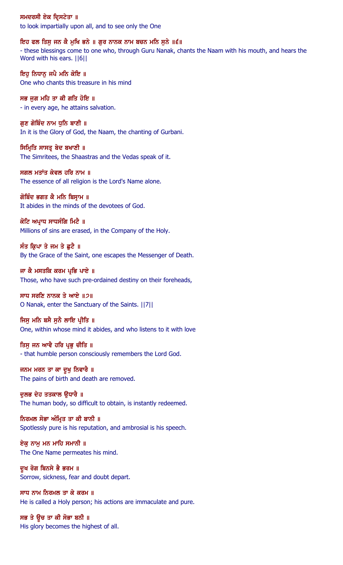## ਸਮਦਰਸੀ ਏਕ ਦ੍ਰਿਸਟੇਤਾ ॥

to look impartially upon all, and to see only the One

### ਇਹ ਫਲ ਤਿਸੁ ਜਨ ਕੈ ਮੁਖਿ ਭਨੇ ॥ ਗੁਰ ਨਾਨਕ ਨਾਮ ਬਚਨ ਮਨਿ ਸੁਨੇ ॥੬॥

- these blessings come to one who, through Guru Nanak, chants the Naam with his mouth, and hears the Word with his ears. ||6||

ਇਹ ਨਿਧਾਨ ਜਪੈ ਮਨਿ ਕੋਇ ॥ One who chants this treasure in his mind

ਸਭ ਜਗ ਮਹਿ ਤਾ ਕੀ ਗਤਿ ਹੋਇ ॥ - in every age, he attains salvation.

ਗੁਣ ਗੋਬਿੰਦ ਨਾਮ ਧੁਨਿ ਬਾਣੀ ॥ In it is the Glory of God, the Naam, the chanting of Gurbani.

ਸਿਮ੍ਰਿਤਿ ਸਾਸਤ੍ਰ ਬੇਦ ਬਖਾਣੀ ॥ The Simritees, the Shaastras and the Vedas speak of it.

ਸਗਲ ਮਤਾਂਤ ਕੇਵਲ ਹਰਿ ਨਾਮ ॥ The essence of all religion is the Lord's Name alone.

ਗੋਬਿੰਦ ਭਗਤ ਕੈ ਮਨਿ ਬਿਸ੍ਰਾਮ ॥ It abides in the minds of the devotees of God.

ਕੋਟਿ ਅਪ੍ਰਾਧ ਸਾਧਸੰਗਿ ਮਿਟੈ ॥ Millions of sins are erased, in the Company of the Holy.

ਸੰਤ ਕ੍ਰਿਪਾ ਤੇ ਜਮ ਤੇ ਛੁਟੈ ॥ By the Grace of the Saint, one escapes the Messenger of Death.

ਜਾ ਕੈ ਮਸਤਕਿ ਕਰਮ ਪਭਿ ਪਾਏ ॥ Those, who have such pre-ordained destiny on their foreheads,

ਸਾਧ ਸਰਣਿ ਨਾਨਕ ਤੇ ਆਏ ॥੭॥ O Nanak, enter the Sanctuary of the Saints. ||7||

ਜਿਸੂ ਮਨਿ ਬਸੈ ਸੁਨੈ ਲਾਇ ਪ੍ਰੀਤਿ ॥ One, within whose mind it abides, and who listens to it with love

ਤਿਸ ਜਨ ਆਵੈ ਹਰਿ ਪ੍ਰਭ ਚੀਤਿ ॥ - that humble person consciously remembers the Lord God.

ਜਨਮ ਮਰਨ ਤਾ ਕਾ ਦੁਖੁ ਨਿਵਾਰੈ ॥ The pains of birth and death are removed.

ਦੁਲਭ ਦੇਹ ਤਤਕਾਲ ਉਧਾਰੈ ॥ The human body, so difficult to obtain, is instantly redeemed.

ਨਿਰਮਲ ਸੋਭਾ ਅੰਮ੍ਰਿਤ ਤਾ ਕੀ ਬਾਨੀ ॥ Spotlessly pure is his reputation, and ambrosial is his speech.

ਏਕ ਨਾਮ ਮਨ ਮਾਹਿ ਸਮਾਨੀ ॥ The One Name permeates his mind.

ਦੁਖ ਰੋਗ ਬਿਨਸੇ ਭੈ ਭਰਮ ॥ Sorrow, sickness, fear and doubt depart.

ਸਾਧ ਨਾਮ ਨਿਰਮਲ ਤਾ ਕੇ ਕਰਮ ॥ He is called a Holy person; his actions are immaculate and pure.

ਸਭ ਤੇ ਉਚ ਤਾ ਕੀ ਸੋਭਾ ਬਨੀ ॥ His glory becomes the highest of all.